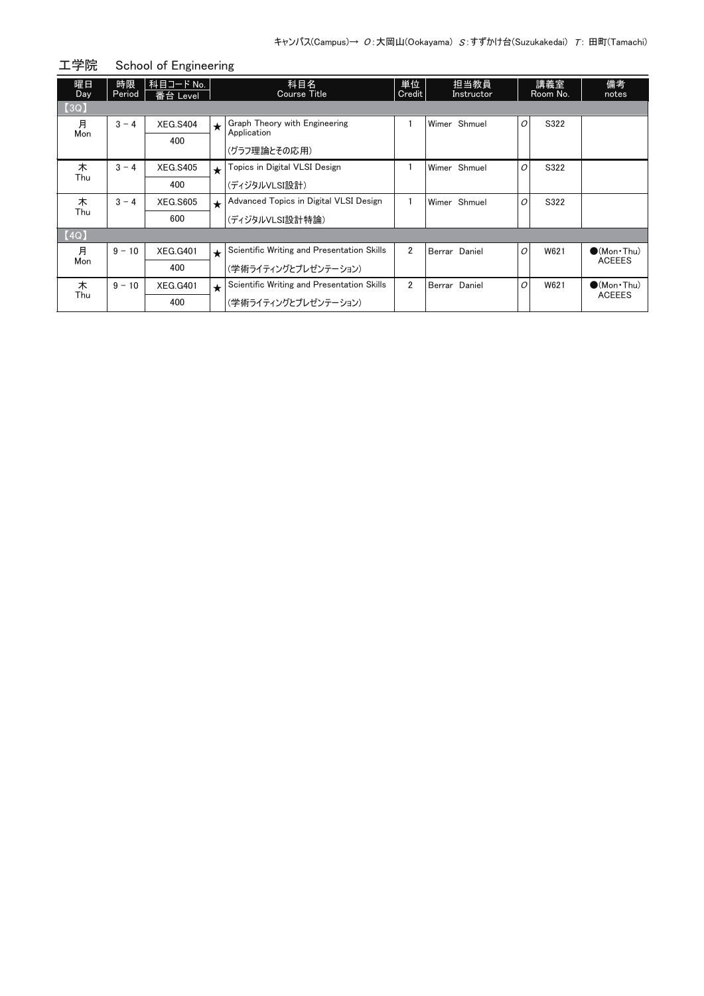| 工学院       |              | School of Engineering |            |                                              |                |  |                    |   |                 |                                      |  |  |
|-----------|--------------|-----------------------|------------|----------------------------------------------|----------------|--|--------------------|---|-----------------|--------------------------------------|--|--|
| 曜日<br>Day | 時限<br>Period | 科目コード No.<br>番台 Level |            | 科目名<br>Course Title                          | 単位<br>Credit   |  | 担当教員<br>Instructor |   | 講義室<br>Room No. | 備考<br>notes                          |  |  |
| [3Q]      |              |                       |            |                                              |                |  |                    |   |                 |                                      |  |  |
| 月         | $3 - 4$      | <b>XEG.S404</b>       | $\bigstar$ | Graph Theory with Engineering<br>Application |                |  | Wimer Shmuel       | O | S322            |                                      |  |  |
| Mon       |              | 400                   |            | (グラフ理論とその応用)                                 |                |  |                    |   |                 |                                      |  |  |
| 木         | $3 - 4$      | <b>XEG.S405</b>       | $\star$    | Topics in Digital VLSI Design                |                |  | Wimer Shmuel       | 0 | S322            |                                      |  |  |
| Thu       |              | 400                   |            | (ディジタルVLSI設計)                                |                |  |                    |   |                 |                                      |  |  |
| 木         | $3 - 4$      | <b>XEG.S605</b>       | $\star$    | Advanced Topics in Digital VLSI Design       |                |  | Wimer Shmuel       | 0 | S322            |                                      |  |  |
| Thu       |              | 600                   |            | (ディジタルVLSI設計特論)                              |                |  |                    |   |                 |                                      |  |  |
| [4Q]      |              |                       |            |                                              |                |  |                    |   |                 |                                      |  |  |
| 月         | $9 - 10$     | <b>XEG.G401</b>       | $\star$    | Scientific Writing and Presentation Skills   | $\overline{2}$ |  | Berrar Daniel      | O | W621            | $\bullet$ (Mon•Thu)                  |  |  |
| Mon       |              | 400                   |            | (学術ライティングとプレゼンテーション)                         |                |  |                    |   |                 | <b>ACEEES</b>                        |  |  |
| 木         | $9 - 10$     | <b>XEG.G401</b>       | $\star$    | Scientific Writing and Presentation Skills   | $\overline{2}$ |  | Berrar Daniel      | O | W621            | $\bullet$ (Mon•Thu)<br><b>ACEEES</b> |  |  |
| Thu       |              | 400                   |            | (学術ライティングとプレゼンテーション)                         |                |  |                    |   |                 |                                      |  |  |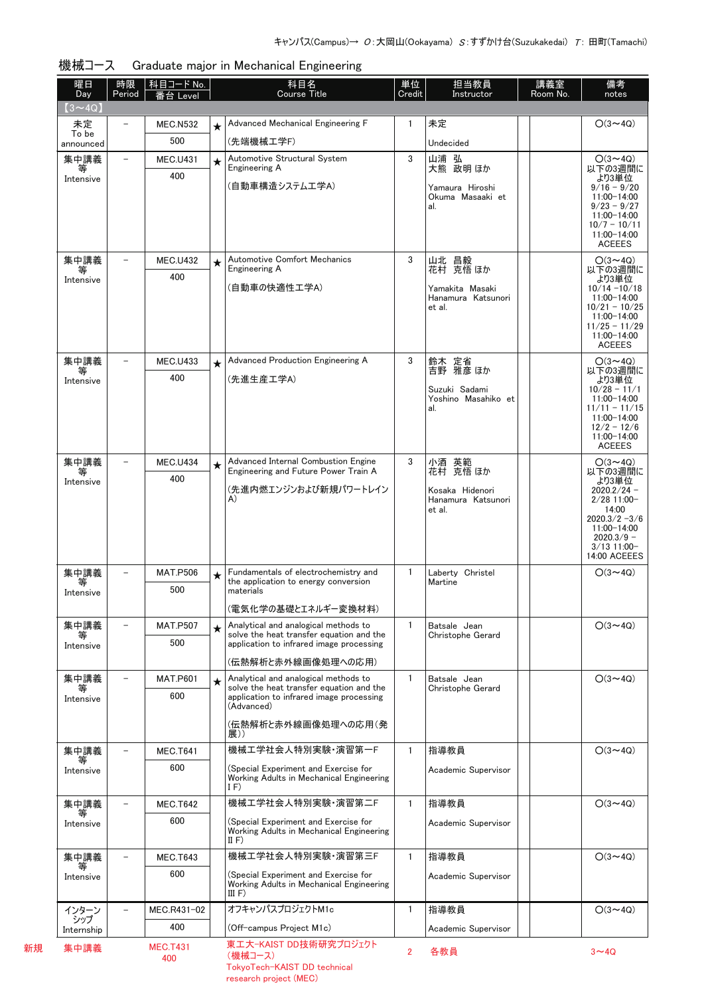| 曜日<br>Day          | 時限<br>Period             | │科目コード No.<br>番台 Level |         | 科目名<br><b>Course Title</b>                                                       | 単位<br>Credit   | 担当教員<br>Instructor                   | 講義室<br>Room No. | 備考<br>notes                       |
|--------------------|--------------------------|------------------------|---------|----------------------------------------------------------------------------------|----------------|--------------------------------------|-----------------|-----------------------------------|
| $(3 \sim 4Q)$      |                          |                        |         |                                                                                  |                |                                      |                 |                                   |
| 未定                 |                          | <b>MEC.N532</b>        |         | Advanced Mechanical Engineering F                                                | 1              | 未定                                   |                 | $O(3 \sim 4Q)$                    |
| To be<br>announced |                          | 500                    |         | (先端機械工学F)                                                                        |                | Undecided                            |                 |                                   |
| 集中講義               |                          | <b>MEC.U431</b>        | $\star$ | Automotive Structural System                                                     | 3              | 山浦 弘                                 |                 | $O(3 \sim 4Q)$                    |
| 等<br>Intensive     |                          | 400                    |         | Engineering A<br>(自動車構造システム工学A)                                                  |                | 大熊 政明 ほか<br>Yamaura Hiroshi          |                 | 以下の3週間に<br>より3単位<br>$9/16 - 9/20$ |
|                    |                          |                        |         |                                                                                  |                | Okuma Masaaki et                     |                 | 11:00-14:00<br>$9/23 - 9/27$      |
|                    |                          |                        |         |                                                                                  |                | al.                                  |                 | 11:00-14:00                       |
|                    |                          |                        |         |                                                                                  |                |                                      |                 | $10/7 - 10/11$<br>11:00-14:00     |
|                    |                          | <b>MEC.U432</b>        |         | <b>Automotive Comfort Mechanics</b>                                              | 3              |                                      |                 | <b>ACEEES</b><br>$O(3 \sim 4Q)$   |
| 集中講義<br>等          |                          | 400                    | $\star$ | Engineering A                                                                    |                | 山北 昌毅<br>花村 克悟ほか                     |                 | 以下の3週間に                           |
| Intensive          |                          |                        |         | (自動車の快適性工学A)                                                                     |                | Yamakita Masaki                      |                 | より3単位<br>$10/14 - 10/18$          |
|                    |                          |                        |         |                                                                                  |                | Hanamura Katsunori<br>et al.         |                 | 11:00-14:00<br>$10/21 - 10/25$    |
|                    |                          |                        |         |                                                                                  |                |                                      |                 | 11:00-14:00<br>$11/25 - 11/29$    |
|                    |                          |                        |         |                                                                                  |                |                                      |                 | 11:00-14:00<br><b>ACEEES</b>      |
| 集中講義               |                          | <b>MEC.U433</b>        | $\star$ | Advanced Production Engineering A                                                | 3              | 鈴木 定省                                |                 | $O(3 \sim 4Q)$                    |
| 等<br>Intensive     |                          | 400                    |         | (先進生産工学A)                                                                        |                | 吉野 雅彦 ほか                             |                 | 以下の3週間に<br>より3単位                  |
|                    |                          |                        |         |                                                                                  |                | Suzuki Sadami<br>Yoshino Masahiko et |                 | $10/28 - 11/1$<br>$11:00 - 14:00$ |
|                    |                          |                        |         |                                                                                  |                | al.                                  |                 | $11/11 - 11/15$<br>11:00-14:00    |
|                    |                          |                        |         |                                                                                  |                |                                      |                 | $12/2 - 12/6$<br>11:00-14:00      |
|                    |                          |                        |         |                                                                                  |                |                                      |                 | <b>ACEEES</b>                     |
| 集中講義<br>等          |                          | <b>MEC.U434</b>        | $\star$ | Advanced Internal Combustion Engine<br>Engineering and Future Power Train A      | 3              | 小酒 英範<br>花村 克悟 ほか                    |                 | $O(3 \sim 4Q)$<br>以下の3週間に         |
| Intensive          |                          | 400                    |         | (先進内燃エンジンおよび新規パワートレイン                                                            |                | Kosaka Hidenori                      |                 | より3単位<br>$2020.2/24 -$            |
|                    |                          |                        |         | A)                                                                               |                | Hanamura Katsunori<br>et al.         |                 | $2/28$ 11:00-<br>14:00            |
|                    |                          |                        |         |                                                                                  |                |                                      |                 | $2020.3/2 - 3/6$<br>11:00-14:00   |
|                    |                          |                        |         |                                                                                  |                |                                      |                 | $2020.3/9 -$<br>$3/13$ 11:00-     |
|                    |                          |                        |         |                                                                                  |                |                                      |                 | 14:00 ACEEES                      |
| 集中講義<br>等          |                          | <b>MAT.P506</b>        | $\star$ | Fundamentals of electrochemistry and<br>the application to energy conversion     | $\mathbf{1}$   | Laberty Christel<br>Martine          |                 | $O(3 \sim 4Q)$                    |
| Intensive          |                          | 500                    |         | materials                                                                        |                |                                      |                 |                                   |
|                    |                          |                        |         | (電気化学の基礎とエネルギー変換材料)                                                              |                |                                      |                 |                                   |
| 集中講義<br>₩          |                          | <b>MAT.P507</b>        | $\star$ | Analytical and analogical methods to<br>solve the heat transfer equation and the | 1.             | Batsale Jean<br>Christophe Gerard    |                 | $O(3 \sim 4Q)$                    |
| Intensive          |                          | 500                    |         | application to infrared image processing                                         |                |                                      |                 |                                   |
|                    | $\overline{\phantom{0}}$ |                        |         | (伝熱解析と赤外線画像処理への応用)                                                               |                |                                      |                 |                                   |
| 集中講義<br>等          |                          | <b>MAT.P601</b><br>600 | $\star$ | Analytical and analogical methods to<br>solve the heat transfer equation and the | $\mathbf{1}$   | Batsale Jean<br>Christophe Gerard    |                 | $O(3 \sim 4Q)$                    |
| Intensive          |                          |                        |         | application to infrared image processing<br>(Advanced)                           |                |                                      |                 |                                   |
|                    |                          |                        |         | (伝熱解析と赤外線画像処理への応用(発                                                              |                |                                      |                 |                                   |
| 集中講義               |                          | <b>MEC.T641</b>        |         | 展))<br>機械工学社会人特別実験·演習第一F                                                         | $\mathbf{1}$   | 指導教員                                 |                 | $O(3 \sim 4Q)$                    |
| 等                  |                          | 600                    |         | (Special Experiment and Exercise for                                             |                |                                      |                 |                                   |
| Intensive          |                          |                        |         | Working Adults in Mechanical Engineering<br>IF)                                  |                | Academic Supervisor                  |                 |                                   |
| 集中講義               |                          | <b>MEC.T642</b>        |         | 機械工学社会人特別実験・演習第二F                                                                | $\mathbf{1}$   | 指導教員                                 |                 | $O(3 \sim 4Q)$                    |
| 等<br>Intensive     |                          | 600                    |         | (Special Experiment and Exercise for                                             |                | Academic Supervisor                  |                 |                                   |
|                    |                          |                        |         | Working Adults in Mechanical Engineering<br>II $F$                               |                |                                      |                 |                                   |
| 集中講義               |                          | <b>MEC.T643</b>        |         | 機械工学社会人特別実験·演習第三F                                                                | $\mathbf{1}$   | 指導教員                                 |                 | $O(3 \sim 4Q)$                    |
| Intensive          |                          | 600                    |         | (Special Experiment and Exercise for                                             |                | Academic Supervisor                  |                 |                                   |
|                    |                          |                        |         | Working Adults in Mechanical Engineering<br>III F)                               |                |                                      |                 |                                   |
| インターン              |                          | MEC.R431-02            |         | オフキャンパスプロジェクトM1c                                                                 | $\mathbf{1}$   | 指導教員                                 |                 | $O(3 \sim 4Q)$                    |
| シップ<br>Internship  |                          | 400                    |         | (Off-campus Project M1c)                                                         |                | Academic Supervisor                  |                 |                                   |
| 集中講義               |                          | <b>MEC.T431</b>        |         | 東エ大-KAIST DD技術研究プロジェクト                                                           | $\overline{2}$ | 各教員                                  |                 | $3 - 4Q$                          |
|                    |                          | 400                    |         | (機械コース)                                                                          |                |                                      |                 |                                   |

新規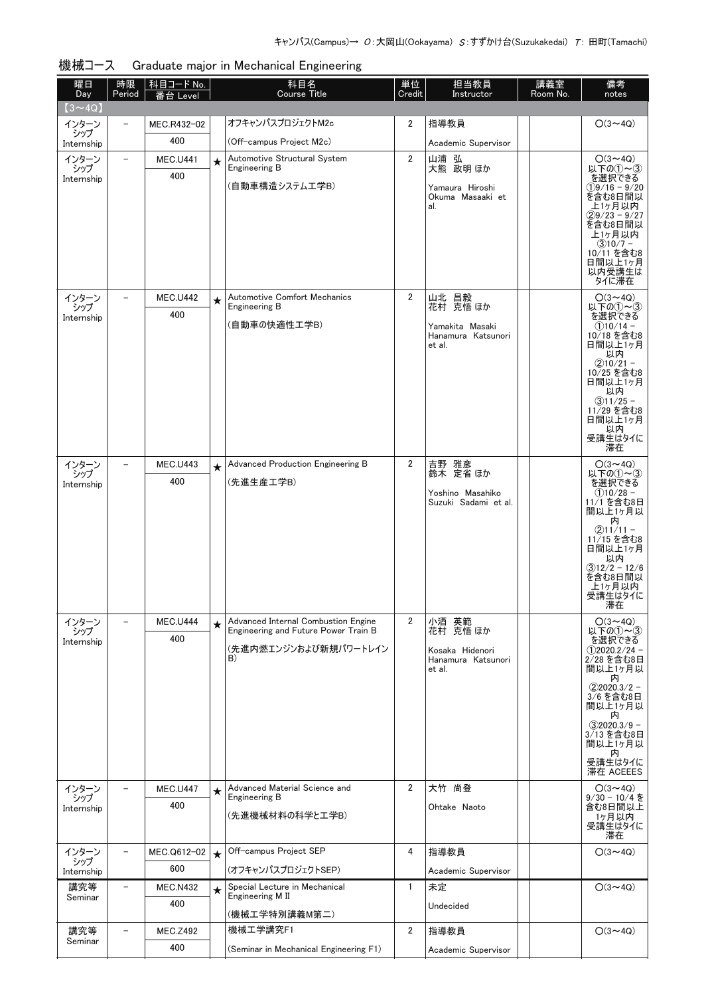| 曜日<br><b>Day</b>  | 時限<br>Period             | 科目コード No.<br>番台 Level  |         | 科目名<br>Course Title                                                         | 単位<br>Credit   | 担当教員<br>Instructor                       | 講義室<br>Room No. | 備考<br>notes                                     |
|-------------------|--------------------------|------------------------|---------|-----------------------------------------------------------------------------|----------------|------------------------------------------|-----------------|-------------------------------------------------|
| $(3 \sim 4Q)$     |                          |                        |         |                                                                             |                |                                          |                 |                                                 |
| インターン             | $\overline{\phantom{0}}$ | MEC.R432-02            |         | オフキャンパスプロジェクトM2c                                                            | $\overline{2}$ | 指導教員                                     |                 | $O(3 \sim 4Q)$                                  |
| シップ<br>Internship |                          | 400                    |         | (Off-campus Project M2c)                                                    |                | Academic Supervisor                      |                 |                                                 |
| インターン<br>シップ      | $\overline{\phantom{0}}$ | <b>MEC.U441</b>        | $\star$ | Automotive Structural System<br>Engineering B                               | $\overline{2}$ | 山浦 弘<br>大熊 政明 ほか                         |                 | $O(3 \sim 4Q)$<br>以下の①~③                        |
| Internship        |                          | 400                    |         | (自動車構造システム工学B)                                                              |                | Yamaura Hiroshi<br>Okuma Masaaki et      |                 | を選択できる<br>$(1)9/16 - 9/20$<br>を含む8日間以           |
|                   |                          |                        |         |                                                                             |                | al.                                      |                 | 上1ヶ月以内<br>$(2)9/23 - 9/27$<br>を含む8日間以<br>上1ヶ月以内 |
|                   |                          |                        |         |                                                                             |                |                                          |                 | $(3)10/7 -$<br>10/11 を含む8<br>日間以上1ヶ月            |
|                   |                          |                        |         |                                                                             |                |                                          |                 | 以内受講生は<br>タイに滞在                                 |
| インターン<br>シップ      |                          | <b>MEC.U442</b>        | $\star$ | <b>Automotive Comfort Mechanics</b><br>Engineering B                        | $\overline{2}$ | 山北 昌毅<br>花村 克悟ほか                         |                 | $O(3 \sim 4Q)$<br>以下の①~3                        |
| Internship        |                          | 400                    |         | (自動車の快適性工学B)                                                                |                | Yamakita Masaki<br>Hanamura Katsunori    |                 | を選択できる<br>$(1)10/14 -$<br>10/18 を含む8            |
|                   |                          |                        |         |                                                                             |                | et al.                                   |                 | 日間以上1ヶ月<br>以内<br>$(2)10/21 -$                   |
|                   |                          |                        |         |                                                                             |                |                                          |                 | 10/25 を含む8<br>日間以上1ヶ月<br>以内                     |
|                   |                          |                        |         |                                                                             |                |                                          |                 | $(3)11/25 -$<br>11/29 を含む8<br>日間以上1ヶ月           |
|                   |                          |                        |         |                                                                             |                |                                          |                 | 以内<br>受講生はタイに<br>滞在                             |
| インターン<br>シップ      |                          | <b>MEC.U443</b><br>400 | $\star$ | Advanced Production Engineering B<br>(先進生産工学B)                              | $\mathbf{2}$   | 吉野 雅彦<br>鈴木 定省ほか                         |                 | $O(3 \sim 4Q)$<br>以下の①~③                        |
| Internship        |                          |                        |         |                                                                             |                | Yoshino Masahiko<br>Suzuki Sadami et al. |                 | を選択できる<br>$(1)10/28 -$<br>11/1 を含む8日<br>間以上1ヶ月以 |
|                   |                          |                        |         |                                                                             |                |                                          |                 | 内<br>$(2)11/11 -$<br>11/15 を含む8                 |
|                   |                          |                        |         |                                                                             |                |                                          |                 | 日間以上1ヶ月<br>以内<br>$(3)12/2 - 12/6$               |
|                   |                          |                        |         |                                                                             |                |                                          |                 | を含む8日間以<br>上1ヶ月以内<br>受講生はタイに                    |
|                   |                          |                        |         |                                                                             |                |                                          |                 | 滞在                                              |
| インターン<br>シップ      |                          | <b>MEC.U444</b>        | $\star$ | Advanced Internal Combustion Engine<br>Engineering and Future Power Train B | $\overline{2}$ | 小酒 英範<br>花村 克悟 ほか                        |                 | $O(3 \sim 4Q)$<br>以下の①~③                        |
| Internship        |                          | 400                    |         | (先進内燃エンジンおよび新規パワートレイン<br>B)                                                 |                | Kosaka Hidenori<br>Hanamura Katsunori    |                 | を選択できる<br>$(1)$ 2020.2/24 -<br>2/28 を含む8日       |
|                   |                          |                        |         |                                                                             |                | et al.                                   |                 | 間以上1ヶ月以<br>内<br>$(2)2020.3/2 -$<br>3/6 を含む8日    |
|                   |                          |                        |         |                                                                             |                |                                          |                 | 間以上1ヶ月以<br>内<br>$(3)2020.3/9 -$                 |
|                   |                          |                        |         |                                                                             |                |                                          |                 | 3/13 を含む8日<br>間以上1ヶ月以<br>内                      |
|                   |                          |                        |         |                                                                             |                |                                          |                 | 受講生はタイに<br>滞在 ACEEES                            |
| インターン<br>シップ      |                          | <b>MEC.U447</b>        | $\star$ | Advanced Material Science and<br>Engineering B                              | $\overline{2}$ | 大竹 尚登                                    |                 | $O(3 \sim 4Q)$<br>$9/30 - 10/4$ を               |
| Internship        |                          | 400                    |         | (先進機械材料の科学と工学B)                                                             |                | Ohtake Naoto                             |                 | 含む8日間以上<br>1ヶ月以内<br>受講生はタイに<br>滞在               |
| インターン<br>シップ      |                          | MEC.Q612-02<br>600     | $\star$ | Off-campus Project SEP                                                      | 4              | 指導教員                                     |                 | $O(3 \sim 4Q)$                                  |
| Internship        |                          |                        |         | (オフキャンパスプロジェクトSEP)<br>Special Lecture in Mechanical                         |                | Academic Supervisor                      |                 |                                                 |
| 講究等<br>Seminar    |                          | <b>MEC.N432</b><br>400 | $\star$ | Engineering M II<br>(機械工学特別講義M第二)                                           | $\mathbf{1}$   | 未定<br>Undecided                          |                 | $O(3 \sim 4Q)$                                  |
| 講究等               |                          | <b>MEC.Z492</b>        |         | 機械工学講究F1                                                                    | 2              | 指導教員                                     |                 | $O(3 \sim 4Q)$                                  |
| Seminar           |                          | 400                    |         | (Seminar in Mechanical Engineering F1)                                      |                | Academic Supervisor                      |                 |                                                 |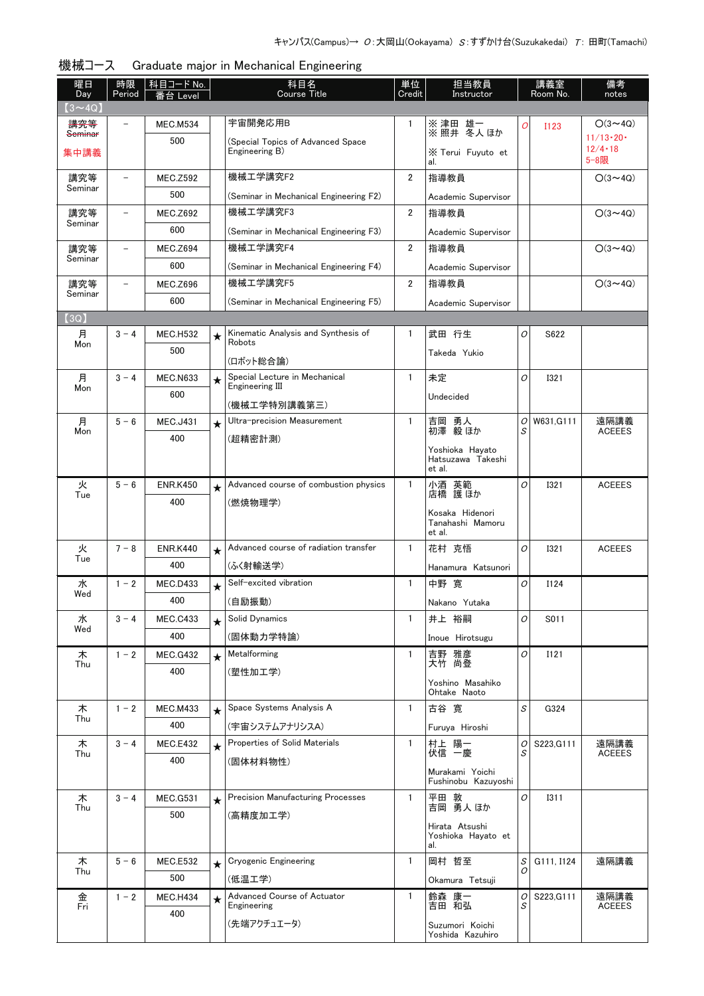| 曜日<br>Day                 | 時限<br>Period             | 科目コード No.<br>番台 Level |         | 科目名<br><b>Course Title</b>                           | 単位<br>Credit   | 担当教員<br>Instructor                     |        | 講義室<br>Room No. | 備考<br>notes                       |
|---------------------------|--------------------------|-----------------------|---------|------------------------------------------------------|----------------|----------------------------------------|--------|-----------------|-----------------------------------|
| $(3 \sim 4Q)$             |                          |                       |         |                                                      |                |                                        |        |                 |                                   |
| 講究等<br><del>Seminar</del> |                          | <b>MEC.M534</b>       |         | 宇宙開発応用B                                              | 1              | ※津田 雄一<br>※照井 冬人ほか                     | O      | <b>I123</b>     | $O(3 \sim 4Q)$                    |
|                           |                          | 500                   |         | (Special Topics of Advanced Space)<br>Engineering B) |                |                                        |        |                 | $11/13 \cdot 20 \cdot$<br>12/4.18 |
| 集中講義                      |                          |                       |         |                                                      |                | X Terui Fuyuto et<br>al.               |        |                 | 5-8限                              |
| 講究等                       | $\overline{\phantom{a}}$ | <b>MEC.Z592</b>       |         | 機械工学講究F2                                             | $\overline{2}$ | 指導教員                                   |        |                 | $O(3 \sim 4Q)$                    |
| Seminar                   |                          | 500                   |         | (Seminar in Mechanical Engineering F2)               |                | Academic Supervisor                    |        |                 |                                   |
| 講究等                       | $\qquad \qquad -$        | <b>MEC.Z692</b>       |         | 機械工学講究F3                                             | $\overline{2}$ | 指導教員                                   |        |                 | $O(3 \sim 4Q)$                    |
| Seminar                   |                          | 600                   |         | (Seminar in Mechanical Engineering F3)               |                | Academic Supervisor                    |        |                 |                                   |
| 講究等                       | $\overline{\phantom{a}}$ | <b>MEC.Z694</b>       |         | 機械工学講究F4                                             | $\overline{2}$ | 指導教員                                   |        |                 | $O(3 \sim 4Q)$                    |
| Seminar                   |                          | 600                   |         | (Seminar in Mechanical Engineering F4)               |                | Academic Supervisor                    |        |                 |                                   |
| 講究等                       | $\overline{\phantom{a}}$ | <b>MEC.Z696</b>       |         | 機械工学講究F5                                             | $\overline{2}$ | 指導教員                                   |        |                 | $O(3 \sim 4Q)$                    |
| Seminar                   |                          | 600                   |         | (Seminar in Mechanical Engineering F5)               |                | Academic Supervisor                    |        |                 |                                   |
| (3Q)                      |                          |                       |         |                                                      |                |                                        |        |                 |                                   |
| 月<br>Mon                  | $3 - 4$                  | <b>MEC.H532</b>       | $\star$ | Kinematic Analysis and Synthesis of<br>Robots        | 1              | 武田 行生                                  | 0      | S622            |                                   |
|                           |                          | 500                   |         | (ロボット総合論)                                            |                | Takeda Yukio                           |        |                 |                                   |
| 月                         | $3 - 4$                  | <b>MEC.N633</b>       |         | Special Lecture in Mechanical                        | 1              | 未定                                     | 0      | <b>I321</b>     |                                   |
| Mon                       |                          | 600                   | $\star$ | Engineering III                                      |                | Undecided                              |        |                 |                                   |
|                           |                          |                       |         | (機械工学特別講義第三)                                         |                |                                        |        |                 |                                   |
| 月<br>Mon                  | $5 - 6$                  | <b>MEC.J431</b>       | $\star$ | Ultra-precision Measurement                          | 1              | 吉岡 勇人<br>初澤 毅ほか                        | 0<br>S | W631, G111      | 遠隔講義<br><b>ACEEES</b>             |
|                           |                          | 400                   |         | (超精密計測)                                              |                | Yoshioka Hayato                        |        |                 |                                   |
|                           |                          |                       |         |                                                      |                | Hatsuzawa Takeshi                      |        |                 |                                   |
| 火                         | $5 - 6$                  | <b>ENR.K450</b>       |         | Advanced course of combustion physics                | 1              | et al.<br>小酒 英範                        | O      | <b>I321</b>     | <b>ACEEES</b>                     |
| Tue                       |                          | 400                   | $\star$ | (燃焼物理学)                                              |                | 店橋 護ほか                                 |        |                 |                                   |
|                           |                          |                       |         |                                                      |                | Kosaka Hidenori                        |        |                 |                                   |
|                           |                          |                       |         |                                                      |                | Tanahashi Mamoru<br>et al.             |        |                 |                                   |
| 火                         | $7 - 8$                  | <b>ENR.K440</b>       | $\star$ | Advanced course of radiation transfer                | $\mathbf{1}$   | 花村 克悟                                  | O      | <b>I321</b>     | <b>ACEEES</b>                     |
| Tue                       |                          | 400                   |         | (ふく射輸送学)                                             |                | Hanamura Katsunori                     |        |                 |                                   |
| 水                         | $1 - 2$                  | MEC.D433              | $\star$ | Self-excited vibration                               | $\mathbf{1}$   | 中野 寛                                   | O      | I124            |                                   |
| Wed                       |                          | 400                   |         | (自励振動)                                               |                | Nakano Yutaka                          |        |                 |                                   |
| 水                         | $3 - 4$                  | <b>MEC.C433</b>       | $\star$ | Solid Dynamics                                       | 1              | 井上 裕嗣                                  | 0      | S011            |                                   |
| Wed                       |                          | 400                   |         | (固体動力学特論)                                            |                | Inoue Hirotsugu                        |        |                 |                                   |
| 木                         | $1 - 2$                  | <b>MEC.G432</b>       | $\star$ | Metalforming                                         | 1              | 吉野 雅彦                                  | 0      | I121            |                                   |
| Thu                       |                          | 400                   |         | (塑性加工学)                                              |                | 大竹 尚登                                  |        |                 |                                   |
|                           |                          |                       |         |                                                      |                | Yoshino Masahiko<br>Ohtake Naoto       |        |                 |                                   |
| 木                         | $1 - 2$                  | <b>MEC.M433</b>       | $\star$ | Space Systems Analysis A                             | $\mathbf{1}$   | 古谷 寛                                   | S      | G324            |                                   |
| Thu                       |                          | 400                   |         | (宇宙システムアナリシスA)                                       |                | Furuya Hiroshi                         |        |                 |                                   |
| 木                         | $3 - 4$                  | <b>MEC.E432</b>       | $\star$ | Properties of Solid Materials                        | 1              | 村上 陽一                                  | 0      | S223, G111      | 遠隔講義                              |
| Thu                       |                          | 400                   |         | (固体材料物性)                                             |                | 伏信 一慶                                  | S      |                 | <b>ACEEES</b>                     |
|                           |                          |                       |         |                                                      |                | Murakami Yoichi<br>Fushinobu Kazuyoshi |        |                 |                                   |
| 木                         | $3 - 4$                  | <b>MEC.G531</b>       | $\star$ | <b>Precision Manufacturing Processes</b>             | 1              | 平田 敦<br>吉岡 勇人 ほか                       | 0      | <b>I311</b>     |                                   |
| Thu                       |                          | 500                   |         | (高精度加工学)                                             |                |                                        |        |                 |                                   |
|                           |                          |                       |         |                                                      |                | Hirata Atsushi<br>Yoshioka Hayato et   |        |                 |                                   |
|                           |                          |                       |         |                                                      |                | al.                                    |        |                 |                                   |
| 木<br>Thu                  | $5 - 6$                  | <b>MEC.E532</b>       | $\star$ | <b>Cryogenic Engineering</b>                         | $\mathbf{1}$   | 岡村 哲至                                  | S<br>Ο | G111, I124      | 遠隔講義                              |
|                           |                          | 500                   |         | (低温工学)                                               |                | Okamura Tetsuji                        |        |                 |                                   |
| 金<br>Fri                  | $1 - 2$                  | <b>MEC.H434</b>       | $\star$ | Advanced Course of Actuator<br>Engineering           | 1              | 鈴森 康一<br>吉田 和弘                         | 0<br>S | S223, G111      | 遠隔講義<br><b>ACEEES</b>             |
|                           |                          | 400                   |         | (先端アクチュエータ)                                          |                | Suzumori Koichi                        |        |                 |                                   |
|                           |                          |                       |         |                                                      |                | Yoshida Kazuhiro                       |        |                 |                                   |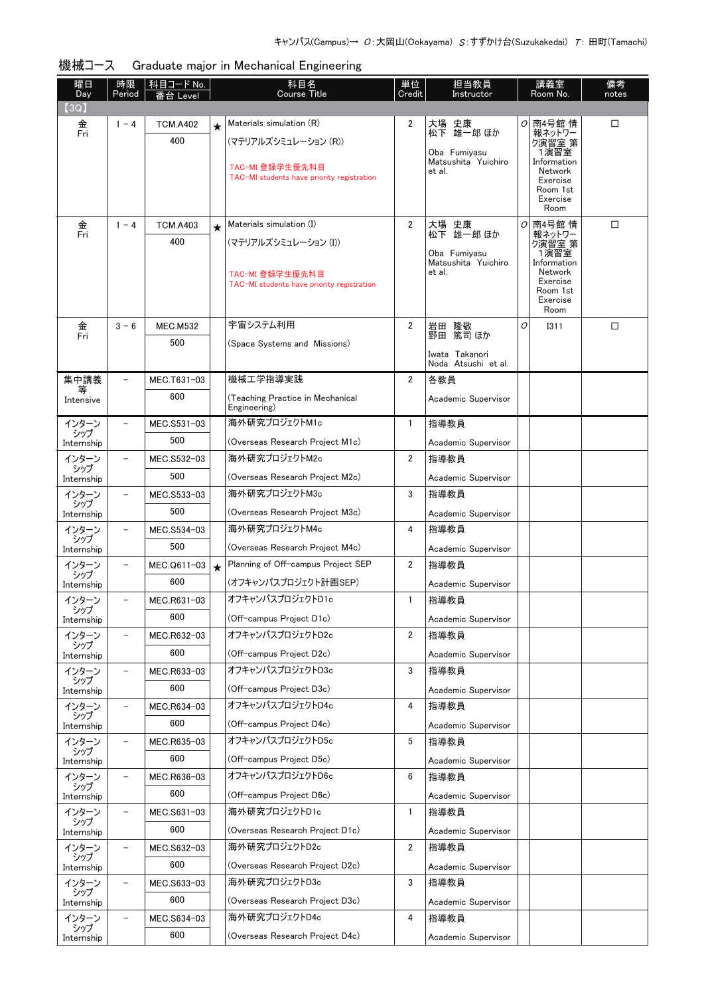| − ראיו איו          |                          |                        |         | araaaaco major in moonamoar Enginooring                       |                |                               |   |                        |             |
|---------------------|--------------------------|------------------------|---------|---------------------------------------------------------------|----------------|-------------------------------|---|------------------------|-------------|
| 曜日<br>Day           | 時限<br>Period             | │科目コード No.<br>番台 Level |         | 科目名<br>Course Title                                           | 単位<br>Credit   | 担当教員<br>Instructor            |   | 講義室<br>Room No.        | 備考<br>notes |
| (3Q)                |                          |                        |         |                                                               |                |                               |   |                        |             |
| 金                   | $1 - 4$                  | <b>TCM.A402</b>        | $\star$ | Materials simulation (R)                                      | 2              | 大場 史康<br>松下 雄一郎 ほか            | ο | 南4号館 情                 | □           |
| Fri                 |                          | 400                    |         | (マテリアルズシミュレーション (R))                                          |                |                               |   | 報ネットワー<br>ク演習室 第       |             |
|                     |                          |                        |         |                                                               |                | Oba Fumivasu                  |   | 1演習室                   |             |
|                     |                          |                        |         | TAC-MI 登録学生優先科目                                               |                | Matsushita Yuichiro<br>et al. |   | Information<br>Network |             |
|                     |                          |                        |         | TAC-MI students have priority registration                    |                |                               |   | Exercise<br>Room 1st   |             |
|                     |                          |                        |         |                                                               |                |                               |   | Exercise               |             |
|                     |                          |                        |         |                                                               |                |                               |   | Room                   |             |
| 金<br>Fri            | $1 - 4$                  | <b>TCM.A403</b>        | $\star$ | Materials simulation (I)                                      | $\overline{2}$ | 大場<br>史康<br>松下 雄一郎 ほか         | 0 | 南4号館 情<br>報ネットワー       | $\Box$      |
|                     |                          | 400                    |         | (マテリアルズシミュレーション (I))                                          |                | Oba Fumiyasu                  |   | ク演習室 第<br>1演習室         |             |
|                     |                          |                        |         |                                                               |                | Matsushita Yuichiro           |   | Information            |             |
|                     |                          |                        |         | TAC-MI 登録学生優先科目<br>TAC-MI students have priority registration |                | et al.                        |   | Network<br>Exercise    |             |
|                     |                          |                        |         |                                                               |                |                               |   | Room 1st<br>Exercise   |             |
|                     |                          |                        |         |                                                               |                |                               |   | Room                   |             |
| 金<br>Fri            | $3 - 6$                  | <b>MEC.M532</b>        |         | 宇宙システム利用                                                      | $\overline{2}$ | 岩田 隆敬                         | O | <b>I311</b>            | □           |
|                     |                          | 500                    |         | (Space Systems and Missions)                                  |                | 野田 篤司 ほか                      |   |                        |             |
|                     |                          |                        |         |                                                               |                | Iwata Takanori                |   |                        |             |
|                     |                          |                        |         |                                                               |                | Noda Atsushi et al.           |   |                        |             |
| 集中講義                |                          | MEC.T631-03            |         | 機械工学指導実践                                                      | $\overline{2}$ | 各教員                           |   |                        |             |
| Intensive           |                          | 600                    |         | (Teaching Practice in Mechanical<br>Engineering)              |                | Academic Supervisor           |   |                        |             |
| インターン               |                          | MEC.S531-03            |         | 海外研究プロジェクトM1c                                                 | $\mathbf{1}$   | 指導教員                          |   |                        |             |
| シップ                 |                          | 500                    |         |                                                               |                |                               |   |                        |             |
| Internship          |                          |                        |         | (Overseas Research Project M1c)                               |                | Academic Supervisor           |   |                        |             |
| インターン<br>シップ        |                          | MEC.S532-03            |         | 海外研究プロジェクトM2c                                                 | $\overline{2}$ | 指導教員                          |   |                        |             |
| Internship          |                          | 500                    |         | (Overseas Research Project M2c)                               |                | Academic Supervisor           |   |                        |             |
| インターン               |                          | MEC.S533-03            |         | 海外研究プロジェクトM3c                                                 | 3              | 指導教員                          |   |                        |             |
| シップ<br>Internship   |                          | 500                    |         | (Overseas Research Project M3c)                               |                | Academic Supervisor           |   |                        |             |
| インターン               |                          | MEC.S534-03            |         | 海外研究プロジェクトM4c                                                 | 4              | 指導教員                          |   |                        |             |
| シップ<br>Internship   |                          | 500                    |         | (Overseas Research Project M4c)                               |                | Academic Supervisor           |   |                        |             |
| インターン               |                          | MEC.Q611-03            | $\star$ | Planning of Off-campus Project SEP                            | $\overline{2}$ | 指導教員                          |   |                        |             |
| シップ                 |                          | 600                    |         | (オフキャンパスプロジェクト計画SEP)                                          |                |                               |   |                        |             |
| Internship          |                          |                        |         |                                                               |                | Academic Supervisor           |   |                        |             |
| インターン<br>シップ        |                          | MEC.R631-03            |         | オフキャンパスプロジェクトD1c                                              | 1              | 指導教員                          |   |                        |             |
| Internship          |                          | 600                    |         | (Off-campus Project D1c)                                      |                | Academic Supervisor           |   |                        |             |
| インターン<br>シップ        | $\overline{\phantom{a}}$ | MEC.R632-03            |         | オフキャンパスプロジェクトD2c                                              | $\overline{2}$ | 指導教員                          |   |                        |             |
| Internship          |                          | 600                    |         | (Off-campus Project D2c)                                      |                | Academic Supervisor           |   |                        |             |
| インターン               | $\overline{\phantom{0}}$ | MEC.R633-03            |         | オフキャンパスプロジェクトD3c                                              | 3              | 指導教員                          |   |                        |             |
| シップ<br>Internship   |                          | 600                    |         | (Off-campus Project D3c)                                      |                | Academic Supervisor           |   |                        |             |
| インターン               | $\overline{\phantom{0}}$ | MEC.R634-03            |         | オフキャンパスプロジェクトD4c                                              | 4              | 指導教員                          |   |                        |             |
| シップ                 |                          | 600                    |         | (Off-campus Project D4c)                                      |                |                               |   |                        |             |
| Internship          |                          |                        |         |                                                               |                | Academic Supervisor           |   |                        |             |
| インターン<br>シップ        | -                        | MEC.R635-03            |         | オフキャンパスプロジェクトD5c                                              | 5              | 指導教員                          |   |                        |             |
| Internship          |                          | 600                    |         | (Off-campus Project D5c)                                      |                | Academic Supervisor           |   |                        |             |
| インターン<br>シップ        | $\overline{\phantom{a}}$ | MEC.R636-03            |         | オフキャンパスプロジェクトD6c                                              | 6              | 指導教員                          |   |                        |             |
| Internship          |                          | 600                    |         | (Off-campus Project D6c)                                      |                | Academic Supervisor           |   |                        |             |
| インターン               | $\qquad \qquad -$        | MEC.S631-03            |         | 海外研究プロジェクトD1c                                                 | 1              | 指導教員                          |   |                        |             |
| シップ<br>Internship   |                          | 600                    |         | (Overseas Research Project D1c)                               |                | Academic Supervisor           |   |                        |             |
| インターン               | $\overline{\phantom{a}}$ | MEC.S632-03            |         | 海外研究プロジェクトD2c                                                 | $\overline{2}$ | 指導教員                          |   |                        |             |
| シップ                 |                          | 600                    |         | (Overseas Research Project D2c)                               |                |                               |   |                        |             |
| Internship<br>インターン | $\overline{\phantom{a}}$ |                        |         | 海外研究プロジェクトD3c                                                 | 3              | Academic Supervisor           |   |                        |             |
| シップ                 |                          | MEC.S633-03            |         |                                                               |                | 指導教員                          |   |                        |             |
| Internship          |                          | 600                    |         | (Overseas Research Project D3c)                               |                | Academic Supervisor           |   |                        |             |
| インターン<br>シップ        | $\overline{\phantom{0}}$ | MEC.S634-03            |         | 海外研究プロジェクトD4c                                                 | 4              | 指導教員                          |   |                        |             |
|                     |                          |                        |         |                                                               |                |                               |   |                        |             |

(Overseas Research Project D4c)

Academic Supervisor

Internship

600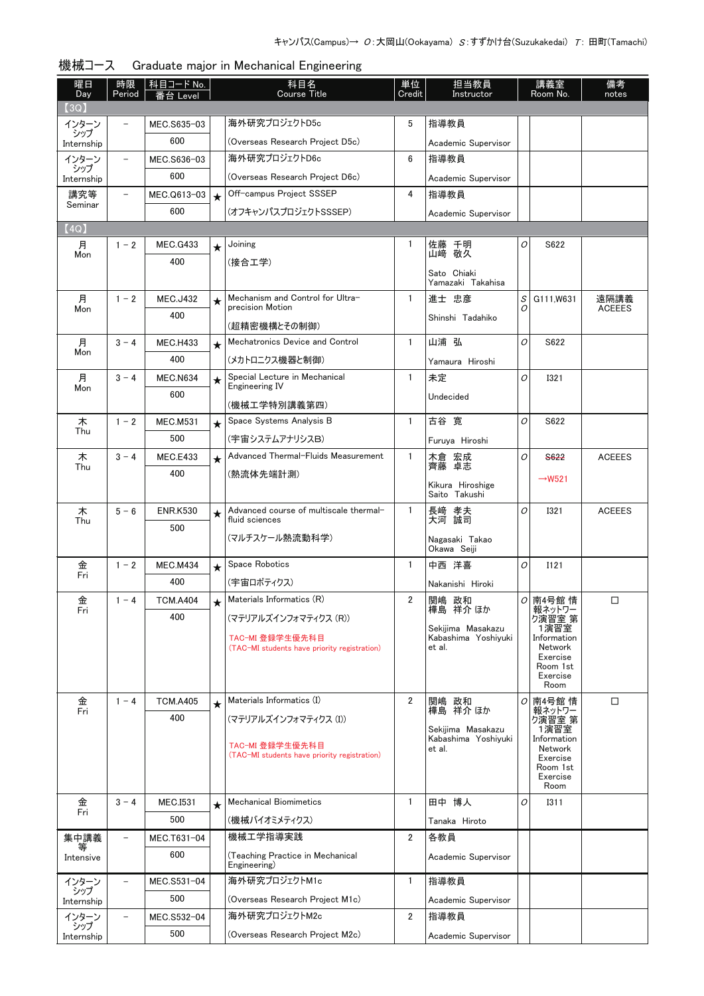| 曜日<br>Day         | 時限<br>Period             | │科目コード No.<br>番台 Level |         | 科目名<br><b>Course Title</b>                                      | 単位<br>Credit   | 担当教員<br>Instructor                |                | 講義室<br>Room No.        | 備考<br>notes   |
|-------------------|--------------------------|------------------------|---------|-----------------------------------------------------------------|----------------|-----------------------------------|----------------|------------------------|---------------|
| 3Q)               |                          |                        |         |                                                                 |                |                                   |                |                        |               |
| インターン             |                          | MEC.S635-03            |         | 海外研究プロジェクトD5c                                                   | 5              | 指導教員                              |                |                        |               |
| シップ<br>Internship |                          | 600                    |         | (Overseas Research Project D5c)                                 |                | Academic Supervisor               |                |                        |               |
| インターン             | $\overline{\phantom{0}}$ | MEC.S636-03            |         | 海外研究プロジェクトD6c                                                   | 6              | 指導教員                              |                |                        |               |
| シップ<br>Internship |                          | 600                    |         | (Overseas Research Project D6c)                                 |                | Academic Supervisor               |                |                        |               |
| 講究等               |                          | MEC.Q613-03            | $\star$ | Off-campus Project SSSEP                                        | 4              | 指導教員                              |                |                        |               |
| Seminar           |                          | 600                    |         | (オフキャンパスプロジェクトSSSEP)                                            |                | Academic Supervisor               |                |                        |               |
| (4Q)              |                          |                        |         |                                                                 |                |                                   |                |                        |               |
| 月                 | $1 - 2$                  | <b>MEC.G433</b>        | $\star$ | Joining                                                         | 1              | 佐藤 千明                             | 0              | S622                   |               |
| Mon               |                          | 400                    |         | (接合工学)                                                          |                | 山崎 敬久                             |                |                        |               |
|                   |                          |                        |         |                                                                 |                | Sato Chiaki<br>Yamazaki Takahisa  |                |                        |               |
| 月                 | $1 - 2$                  | <b>MEC.J432</b>        | $\star$ | Mechanism and Control for Ultra-<br>precision Motion            | $\mathbf{1}$   | 進士 忠彦                             | S<br>0         | G111.W631              | 遠隔講義          |
| Mon               |                          | 400                    |         |                                                                 |                | Shinshi Tadahiko                  |                |                        | <b>ACEEES</b> |
|                   |                          |                        |         | (超精密機構とその制御)<br>Mechatronics Device and Control                 |                |                                   | O              |                        |               |
| 月<br>Mon          | $3 - 4$                  | <b>MEC.H433</b>        | $\star$ |                                                                 | 1              | 山浦 弘                              |                | S622                   |               |
|                   |                          | 400                    |         | (メカトロニクス機器と制御)                                                  |                | Yamaura Hiroshi                   |                |                        |               |
| 月<br>Mon          | $3 - 4$                  | <b>MEC.N634</b>        | $\star$ | Special Lecture in Mechanical<br>Engineering IV                 | $\mathbf{1}$   | 未定                                | O              | <b>I321</b>            |               |
|                   |                          | 600                    |         | (機械工学特別講義第四)                                                    |                | Undecided                         |                |                        |               |
| 木                 | $1 - 2$                  | <b>MEC.M531</b>        | $\star$ | Space Systems Analysis B                                        | 1              | 古谷 寛                              | $\overline{O}$ | S622                   |               |
| Thu               |                          | 500                    |         | (宇宙システムアナリシスB)                                                  |                | Furuya Hiroshi                    |                |                        |               |
| 木                 | $3 - 4$                  | <b>MEC.E433</b>        | $\star$ | Advanced Thermal-Fluids Measurement                             | 1              |                                   | O              | <b>S622</b>            | <b>ACEEES</b> |
| Thu               |                          | 400                    |         | (熱流体先端計測)                                                       |                | 木倉 宏成<br>齊藤 卓志                    |                |                        |               |
|                   |                          |                        |         |                                                                 |                | Kikura Hiroshige<br>Saito Takushi |                | $\rightarrow$ W521     |               |
| 木                 | $5 - 6$                  | <b>ENR.K530</b>        |         | Advanced course of multiscale thermal-                          | $\mathbf{1}$   |                                   | O              | <b>I321</b>            | <b>ACEEES</b> |
| Thu               |                          | 500                    | $\star$ | fluid sciences                                                  |                | 長﨑 孝夫<br>大河 誠司                    |                |                        |               |
|                   |                          |                        |         | (マルチスケール熱流動科学)                                                  |                | Nagasaki Takao                    |                |                        |               |
|                   |                          |                        |         |                                                                 |                | Okawa Seiji                       |                |                        |               |
| 金<br>Fri          | $1 - 2$                  | <b>MEC.M434</b>        | $\star$ | Space Robotics                                                  | 1              | 中西 洋喜                             | O              | I121                   |               |
|                   |                          | 400                    |         | (宇宙ロボティクス)                                                      |                | Nakanishi Hiroki                  |                |                        |               |
| 金<br>Fri          | $1 - 4$                  | <b>TCM.A404</b>        |         | Materials Informatics (R)                                       | 2              | 関嶋 政和<br>樺島 祥介 ほか                 |                | $O$ 南4号館 情<br>報ネットワー   | □             |
|                   |                          | 400                    |         | (マテリアルズインフォマティクス (R))                                           |                | Sekijima Masakazu                 |                | り演習室 第<br>1演習室         |               |
|                   |                          |                        |         | TAC-MI 登録学生優先科目<br>(TAC-MI students have priority registration) |                | Kabashima Yoshivuki<br>et al.     |                | Information<br>Network |               |
|                   |                          |                        |         |                                                                 |                |                                   |                | Exercise               |               |
|                   |                          |                        |         |                                                                 |                |                                   |                | Room 1st<br>Exercise   |               |
|                   |                          |                        |         |                                                                 |                |                                   |                | Room                   |               |
| 金<br>Fri          | $1 - 4$                  | <b>TCM.A405</b>        | $\star$ | Materials Informatics (I)                                       | $\overline{2}$ | 関嶋 政和<br>樺島 祥介 ほか                 | 0              | 南4号館情<br>報ネットワー        | □             |
|                   |                          | 400                    |         | (マテリアルズインフォマティクス (I))                                           |                | Sekijima Masakazu                 |                | り演習室 第<br>1演習室         |               |
|                   |                          |                        |         | TAC-MI 登録学生優先科目                                                 |                | Kabashima Yoshiyuki<br>et al.     |                | Information<br>Network |               |
|                   |                          |                        |         | (TAC-MI students have priority registration)                    |                |                                   |                | Exercise<br>Room 1st   |               |
|                   |                          |                        |         |                                                                 |                |                                   |                | Exercise               |               |
| 金                 | $3 - 4$                  |                        |         | <b>Mechanical Biomimetics</b>                                   | $\mathbf{1}$   | 田中 博人                             | O              | Room<br><b>I311</b>    |               |
| Fri               |                          | <b>MEC.I531</b><br>500 | $\star$ | (機械バイオミメティクス)                                                   |                |                                   |                |                        |               |
|                   | $\overline{\phantom{0}}$ |                        |         | 機械工学指導実践                                                        | $\overline{2}$ | Tanaka Hiroto<br>各教員              |                |                        |               |
| 集中講義<br>等         |                          | MEC.T631-04<br>600     |         |                                                                 |                |                                   |                |                        |               |
| Intensive         |                          |                        |         | (Teaching Practice in Mechanical<br>Engineering)                |                | Academic Supervisor               |                |                        |               |
| インターン<br>シップ      |                          | MEC.S531-04            |         | 海外研究プロジェクトM1c                                                   | $\mathbf{1}$   | 指導教員                              |                |                        |               |
| Internship        |                          | 500                    |         | (Overseas Research Project M1c)                                 |                | Academic Supervisor               |                |                        |               |
| インターン<br>シップ      |                          | MEC.S532-04            |         | 海外研究プロジェクトM2c                                                   | $\overline{2}$ | 指導教員                              |                |                        |               |
| Internship        |                          | 500                    |         | (Overseas Research Project M2c)                                 |                | Academic Supervisor               |                |                        |               |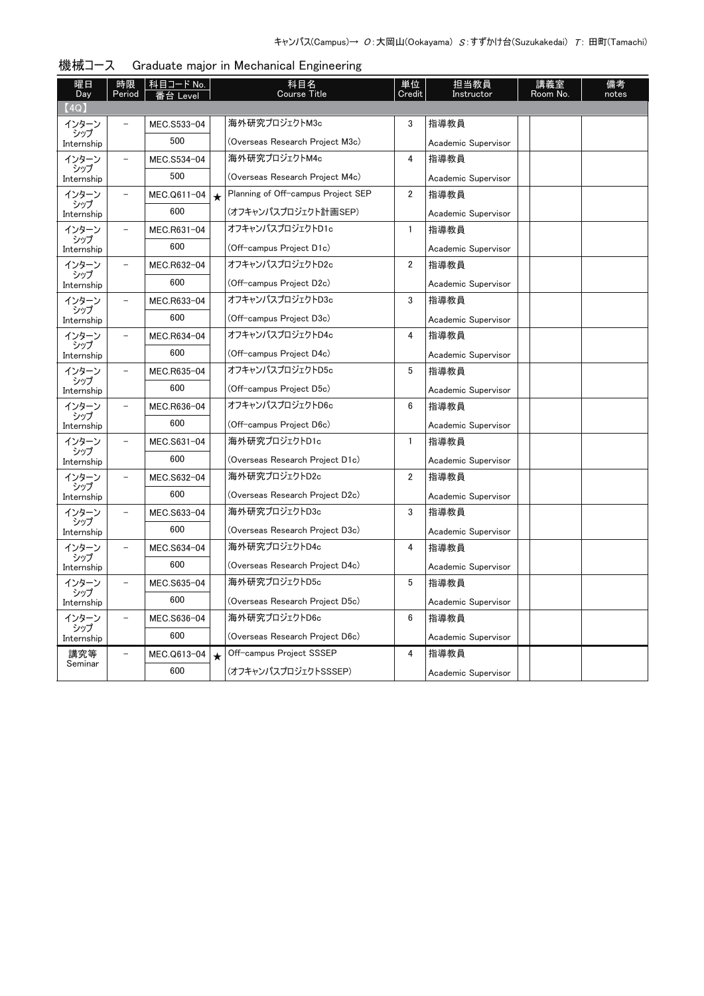| 曜日<br>Day         | 時限<br>Period             | 科目コード No.   |         | 科目名<br><b>Course Title</b>         | 単位<br>Credit   | 担当教員<br>Instructor  | 講義室<br>Room No. | 備考<br>notes |
|-------------------|--------------------------|-------------|---------|------------------------------------|----------------|---------------------|-----------------|-------------|
| (4Q)              |                          | 番台 Level    |         |                                    |                |                     |                 |             |
| インターン             |                          | MEC.S533-04 |         | 海外研究プロジェクトM3c                      | 3              | 指導教員                |                 |             |
| シップ<br>Internship |                          | 500         |         | (Overseas Research Project M3c)    |                | Academic Supervisor |                 |             |
| インターン             | $\overline{\phantom{0}}$ | MEC.S534-04 |         | 海外研究プロジェクトM4c                      | 4              | 指導教員                |                 |             |
| シップ<br>Internship |                          | 500         |         | (Overseas Research Project M4c)    |                | Academic Supervisor |                 |             |
| インターン             |                          | MEC.Q611-04 | $\star$ | Planning of Off-campus Project SEP | $\overline{2}$ | 指導教員                |                 |             |
| シップ<br>Internship |                          | 600         |         | (オフキャンパスプロジェクト計画SEP)               |                | Academic Supervisor |                 |             |
| インターン             | $\overline{\phantom{0}}$ | MEC.R631-04 |         | オフキャンパスプロジェクトD1c                   | $\mathbf{1}$   | 指導教員                |                 |             |
| シップ<br>Internship |                          | 600         |         | (Off-campus Project D1c)           |                | Academic Supervisor |                 |             |
| インターン             | $\overline{\phantom{0}}$ | MEC.R632-04 |         | オフキャンパスプロジェクトD2c                   | 2              | 指導教員                |                 |             |
| シップ<br>Internship |                          | 600         |         | (Off-campus Project D2c)           |                | Academic Supervisor |                 |             |
| インターン             | $\overline{\phantom{0}}$ | MEC.R633-04 |         | オフキャンパスプロジェクトD3c                   | 3              | 指導教員                |                 |             |
| シップ<br>Internship |                          | 600         |         | (Off-campus Project D3c)           |                | Academic Supervisor |                 |             |
| インターン             |                          | MEC.R634-04 |         | オフキャンパスプロジェクトD4c                   | 4              | 指導教員                |                 |             |
| シップ<br>Internship |                          | 600         |         | (Off-campus Project D4c)           |                | Academic Supervisor |                 |             |
| インターン             | $\overline{\phantom{0}}$ | MEC.R635-04 |         | オフキャンパスプロジェクトD5c                   | 5              | 指導教員                |                 |             |
| シップ<br>Internship |                          | 600         |         | (Off-campus Project D5c)           |                | Academic Supervisor |                 |             |
| インターン             | $\overline{\phantom{0}}$ | MEC.R636-04 |         | オフキャンパスプロジェクトD6c                   | 6              | 指導教員                |                 |             |
| シップ<br>Internship |                          | 600         |         | (Off-campus Project D6c)           |                | Academic Supervisor |                 |             |
| インターン             | $\overline{\phantom{0}}$ | MEC.S631-04 |         | 海外研究プロジェクトD1c                      | $\mathbf{1}$   | 指導教員                |                 |             |
| シップ<br>Internship |                          | 600         |         | (Overseas Research Project D1c)    |                | Academic Supervisor |                 |             |
| インターン             | $\overline{\phantom{0}}$ | MEC.S632-04 |         | 海外研究プロジェクトD2c                      | 2              | 指導教員                |                 |             |
| シップ<br>Internship |                          | 600         |         | (Overseas Research Project D2c)    |                | Academic Supervisor |                 |             |
| インターン             | $\overline{\phantom{0}}$ | MEC.S633-04 |         | 海外研究プロジェクトD3c                      | 3              | 指導教員                |                 |             |
| シップ<br>Internship |                          | 600         |         | (Overseas Research Project D3c)    |                | Academic Supervisor |                 |             |
| インターン             | $-$                      | MEC.S634-04 |         | 海外研究プロジェクトD4c                      | 4              | 指導教員                |                 |             |
| シップ<br>Internship |                          | 600         |         | (Overseas Research Project D4c)    |                | Academic Supervisor |                 |             |
| インターン             | -                        | MEC.S635-04 |         | 海外研究プロジェクトD5c                      | 5              | 指導教員                |                 |             |
| シップ<br>Internship |                          | 600         |         | (Overseas Research Project D5c)    |                | Academic Supervisor |                 |             |
| インターン             | $\overline{a}$           | MEC.S636-04 |         | 海外研究プロジェクトD6c                      | 6              | 指導教員                |                 |             |
| シップ<br>Internship |                          | 600         |         | (Overseas Research Project D6c)    |                | Academic Supervisor |                 |             |
| 講究等               |                          | MEC.Q613-04 | $\star$ | Off-campus Project SSSEP           | 4              | 指導教員                |                 |             |
| Seminar           |                          | 600         |         | (オフキャンパスプロジェクトSSSEP)               |                | Academic Supervisor |                 |             |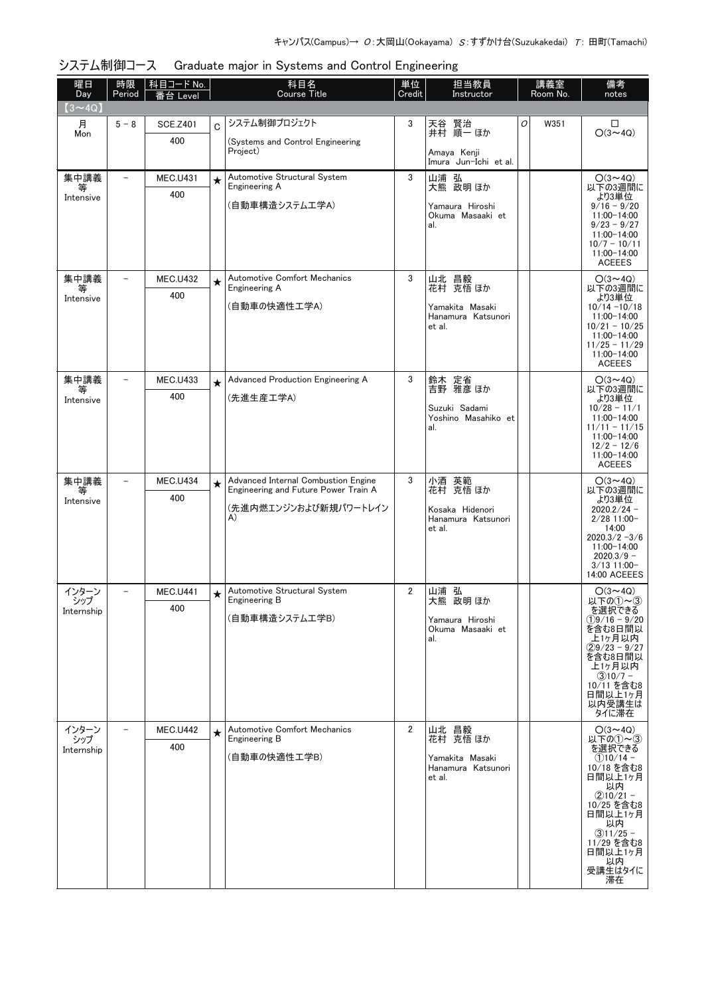| 曜日<br>Day         | 時限<br>Period      | 科目コード No.<br>番台 Level  |             | 科目名<br><b>Course Title</b>                                                  | 単位<br>Credit   | 担当教員<br>Instructor                    |   | 講義室<br>Room No. | 備考<br>notes                        |
|-------------------|-------------------|------------------------|-------------|-----------------------------------------------------------------------------|----------------|---------------------------------------|---|-----------------|------------------------------------|
| $(3 \sim 4Q)$     |                   |                        |             |                                                                             |                |                                       |   |                 |                                    |
| 月                 | $5 - 8$           | <b>SCE.Z401</b>        | $\mathbf C$ | システム制御プロジェクト                                                                | 3              | 天谷 賢治<br>井村 順一 ほか                     | 0 | W351            | □<br>$O(3 - 4Q)$                   |
| Mon               |                   | 400                    |             | (Systems and Control Engineering<br>Project)                                |                |                                       |   |                 |                                    |
|                   |                   |                        |             |                                                                             |                | Amaya Kenji<br>Imura Jun-Ichi et al.  |   |                 |                                    |
| 集中講義<br>等         |                   | <b>MEC.U431</b>        | $\star$     | Automotive Structural System<br>Engineering A                               | 3              | 山浦 弘<br>大熊 政明ほか                       |   |                 | $O(3 \sim 4Q)$<br>以下の3週間に          |
| Intensive         |                   | 400                    |             | (自動車構造システム工学A)                                                              |                | Yamaura Hiroshi                       |   |                 | より3単位<br>$9/16 - 9/20$             |
|                   |                   |                        |             |                                                                             |                | Okuma Masaaki et<br>al.               |   |                 | 11:00-14:00<br>$9/23 - 9/27$       |
|                   |                   |                        |             |                                                                             |                |                                       |   |                 | 11:00-14:00<br>$10/7 - 10/11$      |
|                   |                   |                        |             |                                                                             |                |                                       |   |                 | 11:00-14:00<br><b>ACEEES</b>       |
| 集中講義              | $\qquad \qquad -$ | <b>MEC.U432</b>        | $\star$     | <b>Automotive Comfort Mechanics</b>                                         | 3              | 山北 昌毅<br>花村 克悟ほか                      |   |                 | $O(3 \sim 4Q)$                     |
| Intensive         |                   | 400                    |             | Engineering A                                                               |                |                                       |   |                 | 以下の3週間に<br>より3単位                   |
|                   |                   |                        |             | (自動車の快適性工学A)                                                                |                | Yamakita Masaki<br>Hanamura Katsunori |   |                 | $10/14 - 10/18$<br>11:00-14:00     |
|                   |                   |                        |             |                                                                             |                | et al.                                |   |                 | $10/21 - 10/25$<br>11:00-14:00     |
|                   |                   |                        |             |                                                                             |                |                                       |   |                 | $11/25 - 11/29$<br>11:00-14:00     |
|                   | $\qquad \qquad -$ |                        |             | Advanced Production Engineering A                                           | 3              |                                       |   |                 | <b>ACEEES</b>                      |
| 集中講義<br>等         |                   | <b>MEC.U433</b><br>400 | $\star$     | (先進生産工学A)                                                                   |                | 鈴木 定省<br>吉野 雅彦ほか                      |   |                 | $O(3 \sim 4Q)$<br>以下の3週間に<br>より3単位 |
| Intensive         |                   |                        |             |                                                                             |                | Suzuki Sadami<br>Yoshino Masahiko et  |   |                 | $10/28 - 11/1$<br>11:00-14:00      |
|                   |                   |                        |             |                                                                             |                | al.                                   |   |                 | $11/11 - 11/15$<br>11:00-14:00     |
|                   |                   |                        |             |                                                                             |                |                                       |   |                 | $12/2 - 12/6$<br>11:00-14:00       |
|                   |                   |                        |             |                                                                             |                |                                       |   |                 | <b>ACEEES</b>                      |
| 集中講義<br>等         |                   | <b>MEC.U434</b>        | $\star$     | Advanced Internal Combustion Engine<br>Engineering and Future Power Train A | 3              | 小酒 英範<br>花村 克悟 ほか                     |   |                 | $O(3 \sim 4Q)$<br>以下の3週間に          |
| Intensive         |                   | 400                    |             | (先進内燃エンジンおよび新規パワートレイン                                                       |                | Kosaka Hidenori                       |   |                 | より3単位<br>$2020.2/24 -$             |
|                   |                   |                        |             | A)                                                                          |                | Hanamura Katsunori<br>et al.          |   |                 | $2/28$ 11:00-<br>14:00             |
|                   |                   |                        |             |                                                                             |                |                                       |   |                 | $2020.3/2 - 3/6$<br>11:00-14:00    |
|                   |                   |                        |             |                                                                             |                |                                       |   |                 | $2020.3/9 -$<br>$3/13$ 11:00-      |
| インターン             |                   | <b>MEC.U441</b>        | $\star$     | Automotive Structural System                                                | $\overline{2}$ | 山浦 弘                                  |   |                 | 14:00 ACEEES<br>$O(3{\sim}4Q)$     |
| シップ<br>Internship |                   | 400                    |             | Engineering B                                                               |                | 大熊 政明 ほか                              |   |                 | 以下の①~3<br>を選択できる                   |
|                   |                   |                        |             | (自動車構造システム工学B)                                                              |                | Yamaura Hiroshi<br>Okuma Masaaki et   |   |                 | $(1)9/16 - 9/20$<br>を含む8日間以        |
|                   |                   |                        |             |                                                                             |                | al.                                   |   |                 | 上1ヶ月以内<br>$(29/23 - 9/27)$         |
|                   |                   |                        |             |                                                                             |                |                                       |   |                 | を含む8日間以<br>上1ヶ月以内                  |
|                   |                   |                        |             |                                                                             |                |                                       |   |                 | $(3)10/7 -$<br>10/11 を含む8          |
|                   |                   |                        |             |                                                                             |                |                                       |   |                 | 日間以上1ヶ月<br>以内受講生は                  |
|                   |                   |                        |             |                                                                             |                |                                       |   |                 | タイに滞在                              |
| インターン<br>シップ      |                   | <b>MEC.U442</b><br>400 | $\star$     | <b>Automotive Comfort Mechanics</b><br>Engineering B                        | $\overline{2}$ | 山北 昌毅<br>花村 克悟 ほか                     |   |                 | $O(3 \sim 4Q)$<br>以下の①~3           |
| Internship        |                   |                        |             | (自動車の快適性工学B)                                                                |                | Yamakita Masaki                       |   |                 | を選択できる<br>$(1)10/14 -$             |
|                   |                   |                        |             |                                                                             |                | Hanamura Katsunori<br>et al.          |   |                 | 10/18 を含む8<br>日間以上1ヶ月              |
|                   |                   |                        |             |                                                                             |                |                                       |   |                 | 以内<br>$(2)10/21 -$                 |
|                   |                   |                        |             |                                                                             |                |                                       |   |                 | 10/25 を含む8<br>日間以上1ヶ月              |
|                   |                   |                        |             |                                                                             |                |                                       |   |                 | 以内<br>$(3)11/25 -$                 |
|                   |                   |                        |             |                                                                             |                |                                       |   |                 | 11/29 を含む8<br>日間以上1ヶ月              |
|                   |                   |                        |             |                                                                             |                |                                       |   |                 | 以内<br>受講生はタイに<br>滞在                |
|                   |                   |                        |             |                                                                             |                |                                       |   |                 |                                    |

システム制御コース Graduate major in Systems and Control Engineering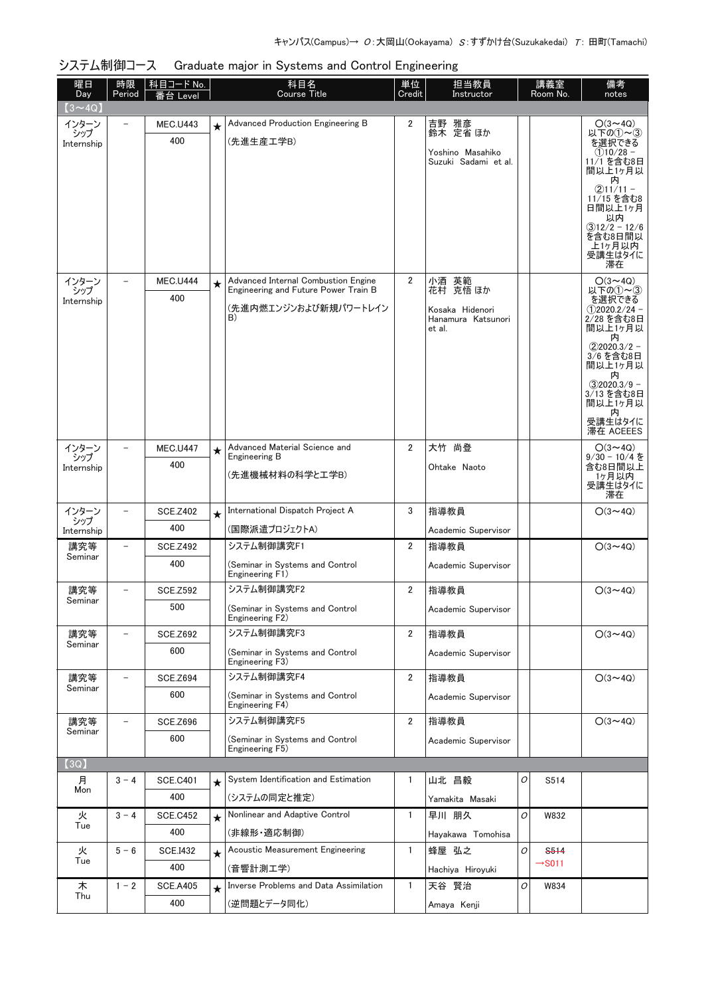| 曜日<br>Day         | 時限<br>Period             | │科目コード No.<br>番台 Level |         | 科目名<br><b>Course Title</b>                                                  | 単位<br>Credit   | 担当教員<br>Instructor                       |   | 講義室<br>Room No.    | 備考<br>notes                   |
|-------------------|--------------------------|------------------------|---------|-----------------------------------------------------------------------------|----------------|------------------------------------------|---|--------------------|-------------------------------|
| $(3 \sim 4Q)$     |                          |                        |         |                                                                             |                |                                          |   |                    |                               |
| インターン<br>シップ      |                          | <b>MEC.U443</b>        | $\star$ | Advanced Production Engineering B                                           | 2              | 吉野 雅彦<br>鈴木 定省ほか                         |   |                    | $O(3 \sim 4Q)$<br>以下の(1)~(3)  |
| Internship        |                          | 400                    |         | (先進生産工学B)                                                                   |                |                                          |   |                    | を選択できる                        |
|                   |                          |                        |         |                                                                             |                | Yoshino Masahiko<br>Suzuki Sadami et al. |   |                    | $(1)10/28 -$<br>11/1 を含む8日    |
|                   |                          |                        |         |                                                                             |                |                                          |   |                    | 間以上1ヶ月以<br>内                  |
|                   |                          |                        |         |                                                                             |                |                                          |   |                    | $(2)11/11 -$<br>11/15 を含む8    |
|                   |                          |                        |         |                                                                             |                |                                          |   |                    | 日間以上1ヶ月<br>以内                 |
|                   |                          |                        |         |                                                                             |                |                                          |   |                    | $(3)12/2 - 12/6$<br>を含む8日間以   |
|                   |                          |                        |         |                                                                             |                |                                          |   |                    | 上1ヶ月以内<br>受講生はタイに             |
|                   |                          |                        |         |                                                                             |                |                                          |   |                    | 滞在                            |
| インターン<br>シップ      |                          | <b>MEC.U444</b>        | $\star$ | Advanced Internal Combustion Engine<br>Engineering and Future Power Train B | 2              | 小酒 英範<br>花村 克悟 ほか                        |   |                    | $O(3 \sim 4Q)$<br>以下の①~③      |
| Internship        |                          | 400                    |         | (先進内燃エンジンおよび新規パワートレイン                                                       |                | Kosaka Hidenori                          |   |                    | を選択できる<br>$(1)$ 2020.2/24 -   |
|                   |                          |                        |         | B)                                                                          |                | Hanamura Katsunori<br>et al.             |   |                    | 2/28 を含む8日<br>間以上1ヶ月以         |
|                   |                          |                        |         |                                                                             |                |                                          |   |                    | 内                             |
|                   |                          |                        |         |                                                                             |                |                                          |   |                    | $(2)2020.3/2 -$<br>3/6 を含む8日  |
|                   |                          |                        |         |                                                                             |                |                                          |   |                    | 間以上1ヶ月以<br>内                  |
|                   |                          |                        |         |                                                                             |                |                                          |   |                    | $(3)2020.3/9 -$<br>3/13 を含む8日 |
|                   |                          |                        |         |                                                                             |                |                                          |   |                    | 間以上1ヶ月以<br>内                  |
|                   |                          |                        |         |                                                                             |                |                                          |   |                    | 受講生はタイに<br>滞在 ACEEES          |
| インターン             |                          | <b>MEC.U447</b>        | $\star$ | Advanced Material Science and                                               | $\overline{2}$ | 大竹 尚登                                    |   |                    | $O(3 \sim 4Q)$                |
| シップ<br>Internship |                          | 400                    |         | Engineering B                                                               |                | Ohtake Naoto                             |   |                    | $9/30 - 10/4$ を<br>含む8日間以上    |
|                   |                          |                        |         | (先進機械材料の科学と工学B)                                                             |                |                                          |   |                    | 1ヶ月以内<br>受講生はタイに              |
|                   |                          |                        |         | International Dispatch Project A                                            |                |                                          |   |                    | 滞在                            |
| インターン<br>シップ      |                          | <b>SCE.Z402</b><br>400 | $\star$ | (国際派遣プロジェクトA)                                                               | 3              | 指導教員                                     |   |                    | $O(3 \sim 4Q)$                |
| Internship<br>講究等 |                          | <b>SCE.Z492</b>        |         | システム制御講究F1                                                                  | $\overline{2}$ | Academic Supervisor<br>指導教員              |   |                    | $O(3 \sim 4Q)$                |
| Seminar           |                          | 400                    |         | (Seminar in Systems and Control                                             |                |                                          |   |                    |                               |
|                   |                          |                        |         | Engineering F1)                                                             |                | Academic Supervisor                      |   |                    |                               |
| 講究等<br>Seminar    |                          | <b>SCE.Z592</b>        |         | システム制御講究F2                                                                  | $\overline{2}$ | 指導教員                                     |   |                    | $O(3 \sim 4Q)$                |
|                   |                          | 500                    |         | (Seminar in Systems and Control<br>Engineering F2)                          |                | Academic Supervisor                      |   |                    |                               |
| 講究等               | $\overline{\phantom{0}}$ | <b>SCE.Z692</b>        |         | システム制御講究F3                                                                  | $\overline{2}$ | 指導教員                                     |   |                    | $O(3 \sim 4Q)$                |
| Seminar           |                          | 600                    |         | (Seminar in Systems and Control                                             |                | Academic Supervisor                      |   |                    |                               |
|                   |                          |                        |         | Engineering F3)                                                             |                |                                          |   |                    |                               |
| 講究等<br>Seminar    | $\overline{\phantom{0}}$ | <b>SCE.Z694</b>        |         | システム制御講究F4                                                                  | $\overline{2}$ | 指導教員                                     |   |                    | $O(3 \sim 4Q)$                |
|                   |                          | 600                    |         | (Seminar in Systems and Control<br>Engineering F4)                          |                | Academic Supervisor                      |   |                    |                               |
| 講究等               | -                        | <b>SCE.Z696</b>        |         | システム制御講究F5                                                                  | $\overline{2}$ | 指導教員                                     |   |                    | $O(3 \sim 4Q)$                |
| Seminar           |                          | 600                    |         | (Seminar in Systems and Control<br>Engineering F5)                          |                | Academic Supervisor                      |   |                    |                               |
| (3Q)              |                          |                        |         |                                                                             |                |                                          |   |                    |                               |
| 月                 | $3 - 4$                  | <b>SCE.C401</b>        | $\star$ | System Identification and Estimation                                        | 1              | 山北 昌毅                                    | 0 | S514               |                               |
| Mon               |                          | 400                    |         | (システムの同定と推定)                                                                |                | Yamakita Masaki                          |   |                    |                               |
| 火                 | $3 - 4$                  | <b>SCE.C452</b>        | $\star$ | Nonlinear and Adaptive Control                                              | $\mathbf{1}$   | 早川 朋久                                    | 0 | W832               |                               |
| Tue               |                          | 400                    |         | (非線形・適応制御)                                                                  |                | Hayakawa Tomohisa                        |   |                    |                               |
| 火                 | $5 - 6$                  | <b>SCE.I432</b>        | $\star$ | Acoustic Measurement Engineering                                            | $\mathbf{1}$   | 蜂屋 弘之                                    | 0 | <b>S514</b>        |                               |
| Tue               |                          | 400                    |         | (音響計測工学)                                                                    |                | Hachiya Hiroyuki                         |   | $\rightarrow$ S011 |                               |
| 木                 | $1 - 2$                  | <b>SCE.A405</b>        | $\star$ | Inverse Problems and Data Assimilation                                      | 1              | 天谷 賢治                                    | 0 | W834               |                               |
| Thu               |                          | 400                    |         | (逆問題とデータ同化)                                                                 |                | Amaya Kenji                              |   |                    |                               |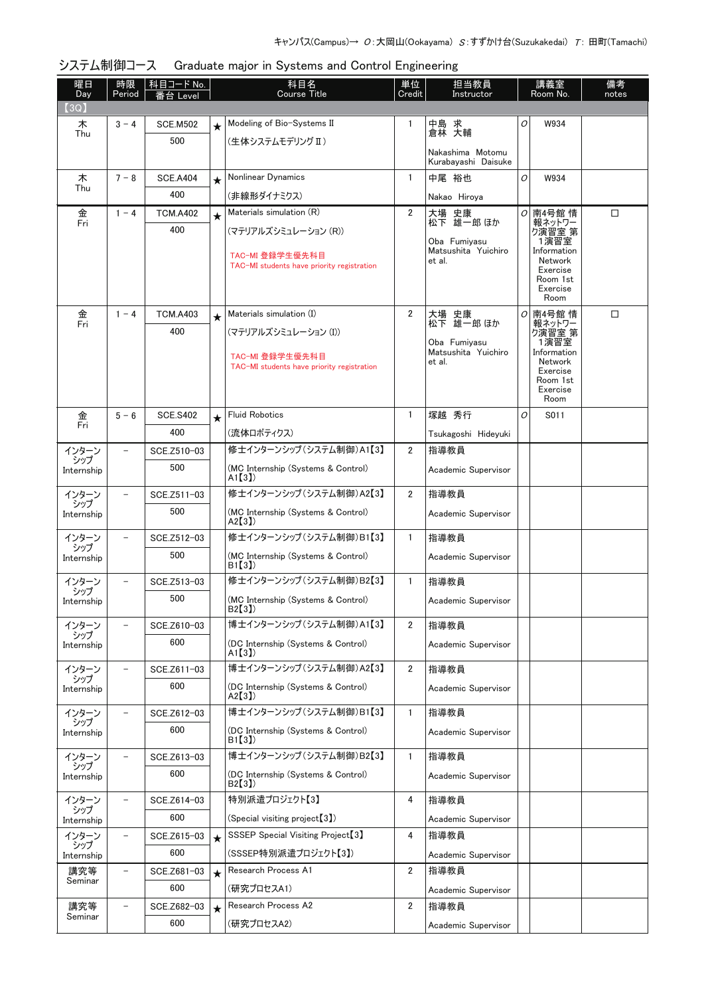| 曜日<br>Day         | 時限<br>Period             | │科目コード No.         |         | 科目名<br><b>Course Title</b>                                    | 単位<br>Credit   | 担当教員<br>Instructor                            |   | 講義室<br>Room No.                            | 備考<br>notes |
|-------------------|--------------------------|--------------------|---------|---------------------------------------------------------------|----------------|-----------------------------------------------|---|--------------------------------------------|-------------|
| (3Q)              |                          | Level              |         |                                                               |                |                                               |   |                                            |             |
| 木                 | $3 - 4$                  | <b>SCE.M502</b>    | $\star$ | Modeling of Bio-Systems II                                    | 1              | 中島 求                                          | 0 | W934                                       |             |
| Thu               |                          | 500                |         | (生体システムモデリング Ⅱ)                                               |                | 倉林 大輔                                         |   |                                            |             |
|                   |                          |                    |         |                                                               |                | Nakashima Motomu<br>Kurabayashi Daisuke       |   |                                            |             |
| 木                 | $7 - 8$                  | <b>SCE.A404</b>    | $\star$ | Nonlinear Dynamics                                            | $\mathbf{1}$   | 中尾 裕也                                         | O | W934                                       |             |
| Thu               |                          | 400                |         | (非線形ダイナミクス)                                                   |                | Nakao Hiroya                                  |   |                                            |             |
| 金<br>Fri          | $1 - 4$                  | <b>TCM.A402</b>    | $\star$ | Materials simulation (R)                                      | $\overline{2}$ | 大場 史康<br>松下 雄一郎 ほか                            | 0 | 南4号館 情                                     | □           |
|                   |                          | 400                |         | (マテリアルズシミュレーション (R))                                          |                |                                               |   | 報ネットワー<br>ク演習室 第                           |             |
|                   |                          |                    |         | TAC-MI 登録学生優先科目<br>TAC-MI students have priority registration |                | Oba Fumivasu<br>Matsushita Yuichiro<br>et al. |   | 1演習室<br>Information<br>Network<br>Exercise |             |
|                   |                          |                    |         |                                                               |                |                                               |   | Room 1st<br>Exercise<br>Room               |             |
| 金                 | $1 - 4$                  | <b>TCM.A403</b>    | $\star$ | Materials simulation (I)                                      | $\overline{2}$ | 大場<br>史康                                      | 0 | 南4号館 情                                     | □           |
| Fri               |                          | 400                |         | (マテリアルズシミュレーション (I))                                          |                | 松下 雄一郎 ほか                                     |   | 報ネットワー<br>- ベロック<br>1演習室<br>1演習室           |             |
|                   |                          |                    |         |                                                               |                | Oba Fumiyasu<br>Matsushita Yuichiro           |   | Information                                |             |
|                   |                          |                    |         | TAC-MI 登録学生優先科目<br>TAC-MI students have priority registration |                | et al.                                        |   | Network<br>Exercise                        |             |
|                   |                          |                    |         |                                                               |                |                                               |   | Room 1st<br>Exercise                       |             |
|                   |                          |                    |         |                                                               |                |                                               |   | Room                                       |             |
| 金<br>Fri          | $5 - 6$                  | <b>SCE.S402</b>    | $\star$ | <b>Fluid Robotics</b>                                         | $\mathbf{1}$   | 塚越 秀行                                         | 0 | S011                                       |             |
|                   |                          | 400                |         | (流体ロボティクス)<br>修士インターンシップ (システム制御)A1【3】                        |                | Tsukagoshi Hideyuki                           |   |                                            |             |
| インターン<br>シップ      | $\overline{\phantom{0}}$ | SCE.Z510-03<br>500 |         |                                                               | $\overline{2}$ | 指導教員                                          |   |                                            |             |
| Internship        |                          |                    |         | (MC Internship (Systems & Control)<br>A1[3]                   |                | Academic Supervisor                           |   |                                            |             |
| インターン<br>シップ      |                          | SCE.Z511-03        |         | 修士インターンシップ (システム制御)A2【3】                                      | $\overline{2}$ | 指導教員                                          |   |                                            |             |
| Internship        |                          | 500                |         | (MC Internship (Systems & Control)<br>A2[3]                   |                | Academic Supervisor                           |   |                                            |             |
| インターン<br>シップ      |                          | SCE.Z512-03        |         | 修士インターンシップ (システム制御)B1【3】                                      | $\mathbf{1}$   | 指導教員                                          |   |                                            |             |
| Internship        |                          | 500                |         | (MC Internship (Systems & Control)<br>B1(3)                   |                | Academic Supervisor                           |   |                                            |             |
| インターン<br>シップ      |                          | SCE.Z513-03        |         | 修士インターンシップ (システム制御)B2【3】                                      | $\mathbf{1}$   | 指導教員                                          |   |                                            |             |
| Internship        |                          | 500                |         | (MC Internship (Systems & Control)<br>BZ 31)                  |                | Academic Supervisor                           |   |                                            |             |
| インターン             |                          | SCE.Z610-03        |         | 博士インターンシップ (システム制御)A1【3】                                      | $\overline{2}$ | 指導教員                                          |   |                                            |             |
| シップ<br>Internship |                          | 600                |         | (DC Internship (Systems & Control)<br>A1[3]                   |                | Academic Supervisor                           |   |                                            |             |
| インターン             |                          | SCE.Z611-03        |         | 博士インターンシップ (システム制御)A2【3】                                      | $\overline{2}$ | 指導教員                                          |   |                                            |             |
| シップ<br>Internship |                          | 600                |         | (DC Internship (Systems & Control)<br>A2[3]                   |                | Academic Supervisor                           |   |                                            |             |
| インターン<br>シップ      | $\overline{\phantom{0}}$ | SCE.Z612-03        |         | 博士インターンシップ (システム制御)B1【3】                                      | $\mathbf{1}$   | 指導教員                                          |   |                                            |             |
| Internship        |                          | 600                |         | (DC Internship (Systems & Control)<br>B1(3)                   |                | Academic Supervisor                           |   |                                            |             |
| インターン<br>シップ      | $\overline{\phantom{0}}$ | SCE.Z613-03        |         | 博士インターンシップ (システム制御)B2【3】                                      | $\mathbf{1}$   | 指導教員                                          |   |                                            |             |
| Internship        |                          | 600                |         | (DC Internship (Systems & Control)<br>B2[3]                   |                | Academic Supervisor                           |   |                                            |             |
| インターン             | $\qquad \qquad -$        | SCE.Z614-03        |         | 特別派遣プロジェクト【3】                                                 | 4              | 指導教員                                          |   |                                            |             |
| シップ<br>Internship |                          | 600                |         | (Special visiting project <sup>[3]</sup> )                    |                | Academic Supervisor                           |   |                                            |             |
| インターン<br>シップ      |                          | SCE.Z615-03        | $\star$ | SSSEP Special Visiting Project <sup>[3]</sup>                 | 4              | 指導教員                                          |   |                                            |             |
| Internship        |                          | 600                |         | (SSSEP特別派遣プロジェクト【3】)                                          |                | Academic Supervisor                           |   |                                            |             |
| 講究等<br>Seminar    | $\overline{\phantom{0}}$ | SCE.Z681-03        | $\star$ | Research Process A1                                           | $\overline{2}$ | 指導教員                                          |   |                                            |             |
|                   |                          | 600                |         | (研究プロセスA1)                                                    |                | Academic Supervisor                           |   |                                            |             |
| 講究等<br>Seminar    | $\overline{a}$           | SCE.Z682-03        | $\star$ | Research Process A2                                           | $\overline{2}$ | 指導教員                                          |   |                                            |             |
|                   |                          | 600                |         | (研究プロセスA2)                                                    |                | Academic Supervisor                           |   |                                            |             |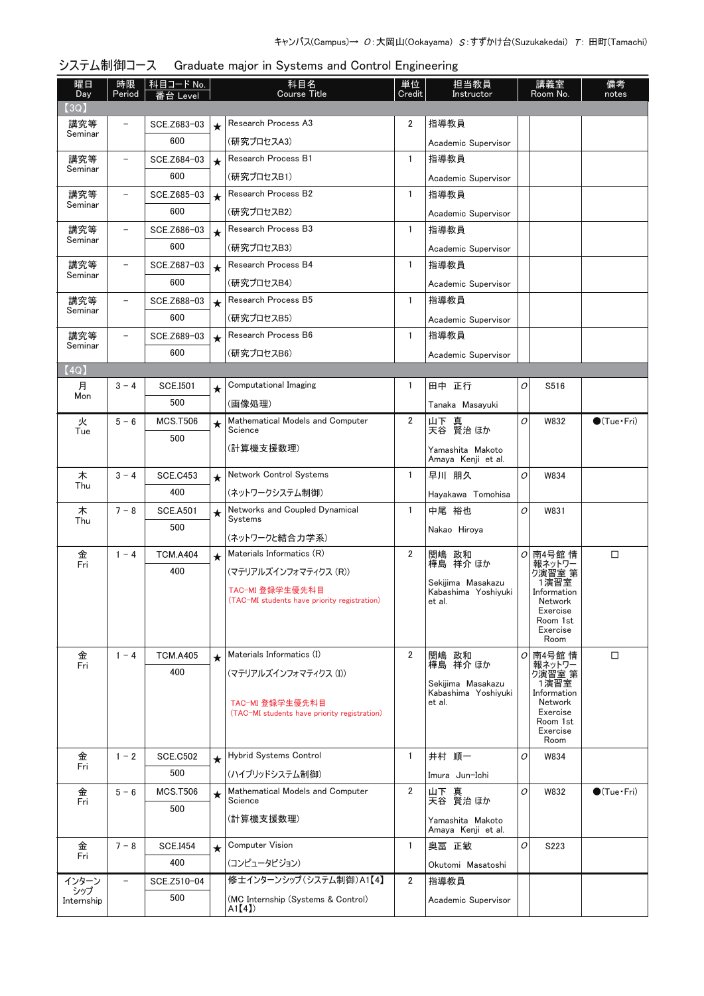| 曜日<br>Day         | 時限<br>Period             | │ 科目コード No.<br>Level |         | 科目名<br><b>Course Title</b>                                      | 単位<br>Credit   | 担当教員<br>Instructor                       |   | 講義室<br>Room No.           | 備考<br>notes           |
|-------------------|--------------------------|----------------------|---------|-----------------------------------------------------------------|----------------|------------------------------------------|---|---------------------------|-----------------------|
| (3Q)              |                          |                      |         |                                                                 |                |                                          |   |                           |                       |
| 講究等               | $\overline{\phantom{0}}$ | SCE.Z683-03          | $\star$ | Research Process A3                                             | $\overline{2}$ | 指導教員                                     |   |                           |                       |
| Seminar           |                          | 600                  |         | (研究プロセスA3)                                                      |                | Academic Supervisor                      |   |                           |                       |
| 講究等               | $\qquad \qquad -$        | SCE.Z684-03          | $\star$ | Research Process B1                                             | $\mathbf{1}$   | 指導教員                                     |   |                           |                       |
| Seminar           |                          | 600                  |         | (研究プロセスB1)                                                      |                | Academic Supervisor                      |   |                           |                       |
| 講究等               | $\overline{\phantom{0}}$ | SCE.Z685-03          | $\star$ | Research Process B2                                             | $\mathbf{1}$   | 指導教員                                     |   |                           |                       |
| Seminar           |                          | 600                  |         | (研究プロセスB2)                                                      |                | Academic Supervisor                      |   |                           |                       |
| 講究等               | $\overline{\phantom{0}}$ | SCE.Z686-03          | $\star$ | Research Process B3                                             | $\mathbf{1}$   | 指導教員                                     |   |                           |                       |
| Seminar           |                          | 600                  |         | (研究プロセスB3)                                                      |                | Academic Supervisor                      |   |                           |                       |
| 講究等               | $\overline{a}$           | SCE.Z687-03          | $\star$ | Research Process B4                                             | $\mathbf{1}$   | 指導教員                                     |   |                           |                       |
| Seminar           |                          | 600                  |         | (研究プロセスB4)                                                      |                | Academic Supervisor                      |   |                           |                       |
| 講究等               | -                        | SCE.Z688-03          | $\star$ | Research Process B5                                             | $\mathbf{1}$   | 指導教員                                     |   |                           |                       |
| Seminar           |                          | 600                  |         | (研究プロセスB5)                                                      |                | Academic Supervisor                      |   |                           |                       |
| 講究等               | $\overline{a}$           | SCE.Z689-03          | $\star$ | Research Process B6                                             | $\mathbf{1}$   | 指導教員                                     |   |                           |                       |
| Seminar           |                          | 600                  |         | (研究プロセスB6)                                                      |                | Academic Supervisor                      |   |                           |                       |
| (4Q)              |                          |                      |         |                                                                 |                |                                          |   |                           |                       |
| 月                 | $3 - 4$                  | <b>SCE.I501</b>      | ★       | Computational Imaging                                           | 1              | 田中 正行                                    | O | S516                      |                       |
| Mon               |                          | 500                  |         | (画像処理)                                                          |                | Tanaka Masayuki                          |   |                           |                       |
| 火                 | $5 - 6$                  | <b>MCS.T506</b>      | $\star$ | Mathematical Models and Computer                                | $\overline{2}$ | 山下 真<br>天谷 賢治 ほか                         | O | W832                      | $\bullet$ (Tue · Fri) |
| Tue               |                          | 500                  |         | Science                                                         |                |                                          |   |                           |                       |
|                   |                          |                      |         | (計算機支援数理)                                                       |                | Yamashita Makoto<br>Amaya Kenji et al.   |   |                           |                       |
| 木                 | $3 - 4$                  | <b>SCE.C453</b>      | $\star$ | Network Control Systems                                         | $\mathbf{1}$   | 早川 朋久                                    | O | W834                      |                       |
| Thu               |                          | 400                  |         | (ネットワークシステム制御)                                                  |                | Hayakawa Tomohisa                        |   |                           |                       |
| 木                 | $7 - 8$                  | <b>SCE.A501</b>      | $\star$ | Networks and Coupled Dynamical                                  | $\mathbf{1}$   | 中尾 裕也                                    | 0 | W831                      |                       |
| Thu               |                          | 500                  |         | Systems                                                         |                | Nakao Hiroya                             |   |                           |                       |
|                   |                          |                      |         | (ネットワークと結合力学系)                                                  |                |                                          |   |                           |                       |
| 金<br>Fri          | $1 - 4$                  | <b>TCM.A404</b>      | $\star$ | Materials Informatics (R)                                       | $\overline{2}$ | 関嶋 政和<br>樺島 祥介 ほか                        |   | <i>O</i> 南4号館 情<br>報ネットワー | $\Box$                |
|                   |                          | 400                  |         | (マテリアルズインフォマティクス (R))                                           |                | Sekijima Masakazu                        |   | ク演習室 第<br>1演習室            |                       |
|                   |                          |                      |         | TAC-MI 登録学生優先科目<br>(TAC-MI students have priority registration) |                | Kabashima Yoshiyuki<br>et al.            |   | Information<br>Network    |                       |
|                   |                          |                      |         |                                                                 |                |                                          |   | Exercise<br>Room 1st      |                       |
|                   |                          |                      |         |                                                                 |                |                                          |   | Exercise<br>Room          |                       |
| 金                 | $1 - 4$                  | <b>TCM.A405</b>      |         | Materials Informatics (I)                                       | $\overline{2}$ | 関嶋 政和                                    | 0 | 南4号館 情                    | □                     |
| Fri               |                          | 400                  | $\star$ | (マテリアルズインフォマティクス (I))                                           |                | 樺島 祥介 ほか                                 |   | 報ネットワー<br>り演習室 第          |                       |
|                   |                          |                      |         |                                                                 |                | Sekiiima Masakazu<br>Kabashima Yoshivuki |   | 1演習室<br>Information       |                       |
|                   |                          |                      |         | TAC-MI 登録学生優先科目                                                 |                | et al.                                   |   | Network                   |                       |
|                   |                          |                      |         | (TAC-MI students have priority registration)                    |                |                                          |   | Exercise<br>Room 1st      |                       |
|                   |                          |                      |         |                                                                 |                |                                          |   | Exercise<br>Room          |                       |
| 金                 | $1 - 2$                  | <b>SCE.C502</b>      | $\star$ | Hybrid Systems Control                                          | $\mathbf{1}$   | 井村 順一                                    | O | W834                      |                       |
| Fri               |                          | 500                  |         | (ハイブリッドシステム制御)                                                  |                | Imura Jun-Ichi                           |   |                           |                       |
| 金                 | $5 - 6$                  | <b>MCS.T506</b>      | $\star$ | Mathematical Models and Computer                                | $\overline{2}$ | 山下 真                                     | O | W832                      | $\bullet$ (Tue · Fri) |
| Fri               |                          | 500                  |         | Science                                                         |                | 天谷 賢治 ほか                                 |   |                           |                       |
|                   |                          |                      |         | (計算機支援数理)                                                       |                | Yamashita Makoto<br>Amaya Kenji et al.   |   |                           |                       |
| 金                 | $7 - 8$                  | <b>SCE.I454</b>      | $\star$ | <b>Computer Vision</b>                                          | $\mathbf{1}$   | 奥冨 正敏                                    | O | S223                      |                       |
| Fri               |                          | 400                  |         | (コンピュータビジョン)                                                    |                | Okutomi Masatoshi                        |   |                           |                       |
| インターン             | $\qquad \qquad -$        | SCE.Z510-04          |         | 修士インターンシップ(システム制御)A1【4】                                         | $\overline{2}$ | 指導教員                                     |   |                           |                       |
| シップ<br>Internship |                          | 500                  |         | (MC Internship (Systems & Control)                              |                | Academic Supervisor                      |   |                           |                       |
|                   |                          |                      |         | A1[4]                                                           |                |                                          |   |                           |                       |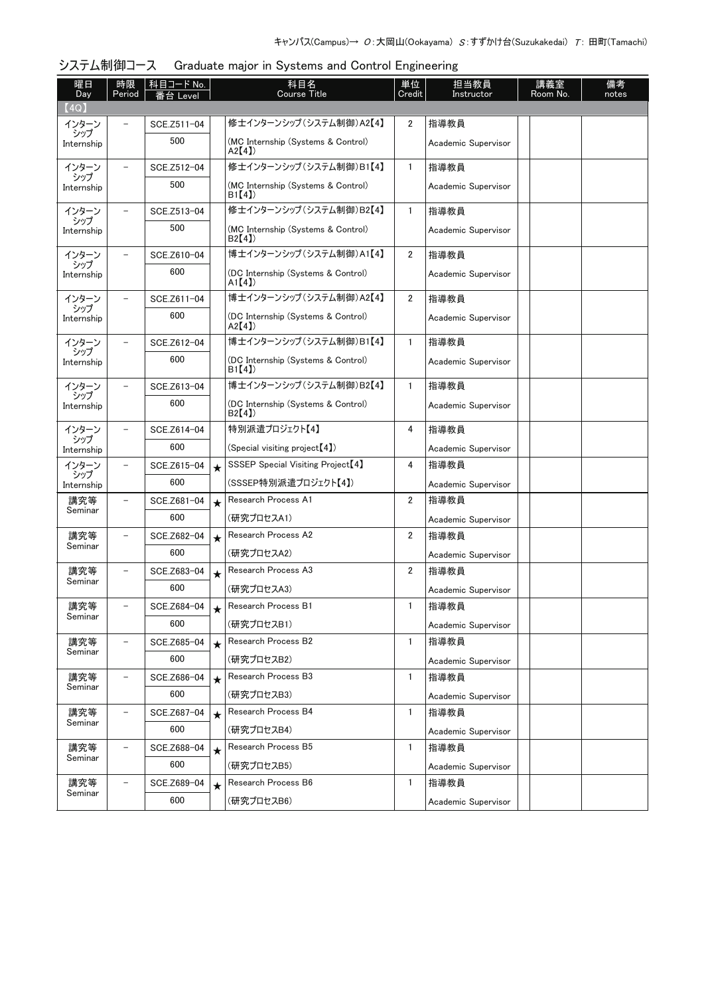| 曜日<br>Day<br>(4Q) | 時限<br>Period             | 科目コード No.<br>i台 Level |         | 科目名<br><b>Course Title</b>                    | 単位<br>Credit   | 担当教員<br>Instructor  | 講義室<br>Room No. | 備考<br>notes |
|-------------------|--------------------------|-----------------------|---------|-----------------------------------------------|----------------|---------------------|-----------------|-------------|
| インターン             |                          | SCE.Z511-04           |         | 修士インターンシップ(システム制御)A2【4】                       | 2              | 指導教員                |                 |             |
| シップ<br>Internship |                          | 500                   |         | (MC Internship (Systems & Control)<br>A2[4]   |                | Academic Supervisor |                 |             |
| インターン             |                          | SCE.Z512-04           |         | 修士インターンシップ (システム制御)B1【4】                      | $\mathbf{1}$   | 指導教員                |                 |             |
| シップ<br>Internship |                          | 500                   |         | (MC Internship (Systems & Control)<br>B1(4)   |                | Academic Supervisor |                 |             |
| インターン             |                          | SCE.Z513-04           |         | 修士インターンシップ (システム制御)B2【4】                      | $\mathbf{1}$   | 指導教員                |                 |             |
| シップ<br>Internship |                          | 500                   |         | (MC Internship (Systems & Control)<br>B2[4]   |                | Academic Supervisor |                 |             |
| インターン             |                          | SCE.Z610-04           |         | 博士インターンシップ (システム制御)A1【4】                      | $\overline{2}$ | 指導教員                |                 |             |
| シップ<br>Internship |                          | 600                   |         | (DC Internship (Systems & Control)<br>A1[4]   |                | Academic Supervisor |                 |             |
| インターン             |                          | SCE.Z611-04           |         | 博士インターンシップ (システム制御)A2【4】                      | 2              | 指導教員                |                 |             |
| シップ<br>Internship |                          | 600                   |         | (DC Internship (Systems & Control)<br>A2[4]   |                | Academic Supervisor |                 |             |
| インターン             |                          | SCE.Z612-04           |         | 博士インターンシップ (システム制御)B1【4】                      | 1              | 指導教員                |                 |             |
| シップ<br>Internship |                          | 600                   |         | (DC Internship (Systems & Control)<br>B1(4)   |                | Academic Supervisor |                 |             |
| インターン<br>シップ      |                          | SCE.Z613-04           |         | 博士インターンシップ (システム制御)B2【4】                      | $\mathbf{1}$   | 指導教員                |                 |             |
| Internship        |                          | 600                   |         | (DC Internship (Systems & Control)<br>B2[4]   |                | Academic Supervisor |                 |             |
| インターン             | $\overline{\phantom{0}}$ | SCE.Z614-04           |         | 特別派遣プロジェクト【4】                                 | 4              | 指導教員                |                 |             |
| シップ<br>Internship |                          | 600                   |         | (Special visiting project [4])                |                | Academic Supervisor |                 |             |
| インターン             | $\overline{\phantom{0}}$ | SCE.Z615-04           | $\star$ | SSSEP Special Visiting Project <sup>[4]</sup> | 4              | 指導教員                |                 |             |
| シップ<br>Internship |                          | 600                   |         | (SSSEP特別派遣プロジェクト【4】)                          |                | Academic Supervisor |                 |             |
| 講究等               | $\qquad \qquad -$        | SCE.Z681-04           | $\star$ | Research Process A1                           | $\overline{2}$ | 指導教員                |                 |             |
| Seminar           |                          | 600                   |         | (研究プロセスA1)                                    |                | Academic Supervisor |                 |             |
| 講究等               | $\overline{\phantom{0}}$ | SCE.Z682-04           | $\star$ | Research Process A2                           | $\overline{2}$ | 指導教員                |                 |             |
| Seminar           |                          | 600                   |         | (研究プロセスA2)                                    |                | Academic Supervisor |                 |             |
| 講究等<br>Seminar    |                          | SCE.Z683-04           | $\star$ | Research Process A3                           | 2              | 指導教員                |                 |             |
|                   |                          | 600                   |         | (研究プロセスA3)                                    |                | Academic Supervisor |                 |             |
| 講究等<br>Seminar    | $\qquad \qquad -$        | SCE.Z684-04           | $\star$ | Research Process B1                           | 1              | 指導教員                |                 |             |
|                   |                          | 600                   |         | (研究プロセスB1)                                    |                | Academic Supervisor |                 |             |
| 講究等<br>Seminar    |                          | SCE.Z685-04           | $\star$ | Research Process B2                           | $\mathbf{1}$   | 指導教員                |                 |             |
|                   |                          | 600                   |         | (研究プロセスB2)                                    |                | Academic Supervisor |                 |             |
| 講究等<br>Seminar    | $\qquad \qquad -$        | SCE.Z686-04           | $\star$ | Research Process B3                           | $\mathbf{1}$   | 指導教員                |                 |             |
|                   |                          | 600                   |         | (研究プロセスB3)                                    |                | Academic Supervisor |                 |             |
| 講究等<br>Seminar    | $\qquad \qquad -$        | SCE.Z687-04           | $\star$ | Research Process B4                           | $\mathbf{1}$   | 指導教員                |                 |             |
|                   |                          | 600                   |         | (研究プロセスB4)                                    |                | Academic Supervisor |                 |             |
| 講究等<br>Seminar    |                          | SCE.Z688-04           | $\star$ | Research Process B5                           | $\mathbf{1}$   | 指導教員                |                 |             |
|                   |                          | 600                   |         | (研究プロセスB5)                                    |                | Academic Supervisor |                 |             |
| 講究等<br>Seminar    |                          | SCE.Z689-04           | $\star$ | Research Process B6                           | 1              | 指導教員                |                 |             |
|                   |                          | 600                   |         | (研究プロセスB6)                                    |                | Academic Supervisor |                 |             |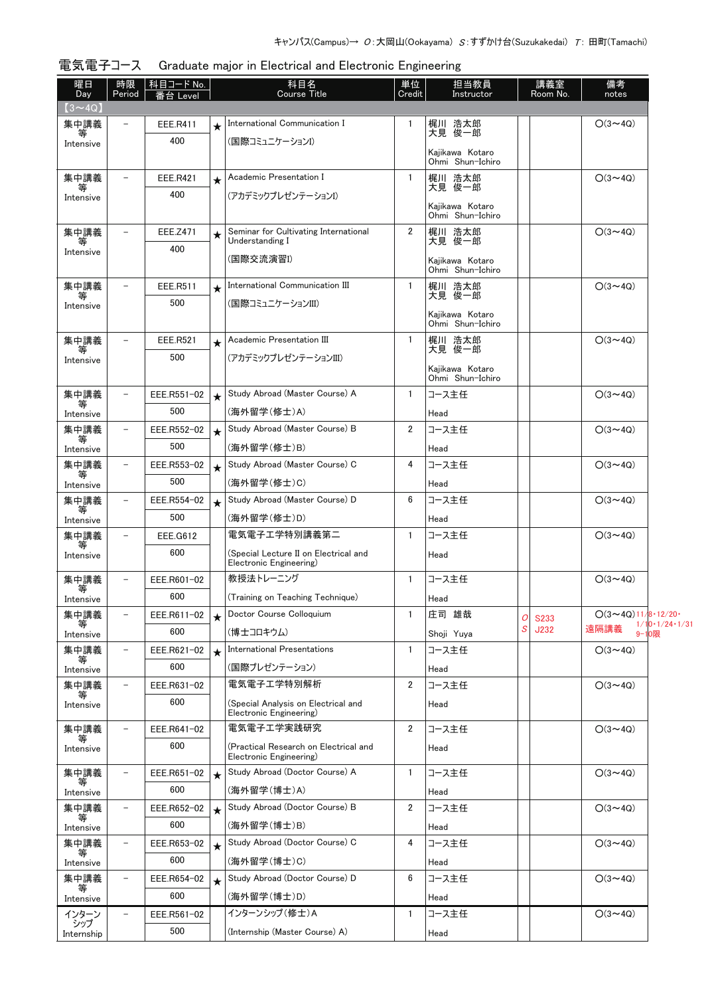| 曜日<br>Day      | 時限<br>Period             | │科目コード No.<br>番台 Level |         | 科目名<br><b>Course Title</b>                                       | 単位<br>Credit   | 担当教員<br>Instructor                  |   | 講義室<br>Room No.     | 備考<br>notes                    |                                       |
|----------------|--------------------------|------------------------|---------|------------------------------------------------------------------|----------------|-------------------------------------|---|---------------------|--------------------------------|---------------------------------------|
| $(3 \sim 4Q)$  |                          |                        |         |                                                                  |                |                                     |   |                     |                                |                                       |
| 集中講義           | $\overline{\phantom{a}}$ | EEE.R411               | $\star$ | International Communication I                                    | 1              | 梶川 浩太郎                              |   |                     | $O(3 \sim 4Q)$                 |                                       |
| 等<br>Intensive |                          | 400                    |         | (国際コミュニケーションI)                                                   |                | 大見 俊一郎                              |   |                     |                                |                                       |
|                |                          |                        |         |                                                                  |                | Kaiikawa Kotaro<br>Ohmi Shun-Ichiro |   |                     |                                |                                       |
| 集中講義           | $\qquad \qquad -$        | <b>EEE.R421</b>        | $\star$ | Academic Presentation I                                          | 1              | 梶川 浩太郎                              |   |                     | $O(3 \sim 4Q)$                 |                                       |
| Intensive      |                          | 400                    |         | (アカデミックプレゼンテーションI)                                               |                | 大見 俊一郎                              |   |                     |                                |                                       |
|                |                          |                        |         |                                                                  |                | Kajikawa Kotaro<br>Ohmi Shun-Ichiro |   |                     |                                |                                       |
| 集中講義           | $\overline{\phantom{a}}$ | EEE.Z471               |         | Seminar for Cultivating International                            | $\overline{2}$ | 梶川 浩太郎                              |   |                     | $O(3 \sim 4Q)$                 |                                       |
| Intensive      |                          | 400                    |         | Understanding I                                                  |                | 大見 俊一郎                              |   |                     |                                |                                       |
|                |                          |                        |         | (国際交流演習I)                                                        |                | Kajikawa Kotaro<br>Ohmi Shun-Ichiro |   |                     |                                |                                       |
| 集中講義           | $\overline{\phantom{a}}$ | EEE.R511               | $\star$ | International Communication III                                  | $\mathbf{1}$   | 梶川 浩太郎                              |   |                     | $O(3 \sim 4Q)$                 |                                       |
| 等<br>Intensive |                          | 500                    |         | (国際コミュニケーションIII)                                                 |                | 大見 俊一郎                              |   |                     |                                |                                       |
|                |                          |                        |         |                                                                  |                | Kajikawa Kotaro<br>Ohmi Shun-Ichiro |   |                     |                                |                                       |
| 集中講義           | $\overline{\phantom{a}}$ | EEE.R521               | $\star$ | Academic Presentation III                                        | 1              | 梶川 浩太郎                              |   |                     | $O(3 \sim 4Q)$                 |                                       |
| Intensive      |                          | 500                    |         | (アカデミックプレゼンテーションIII)                                             |                | 大見 俊一郎                              |   |                     |                                |                                       |
|                |                          |                        |         |                                                                  |                | Kajikawa Kotaro<br>Ohmi Shun-Ichiro |   |                     |                                |                                       |
| 集中講義           | $\qquad \qquad -$        | EEE.R551-02            | $\star$ | Study Abroad (Master Course) A                                   | 1              | コース主任                               |   |                     | $O(3 \sim 40)$                 |                                       |
| Intensive      |                          | 500                    |         | (海外留学(修士)A)                                                      |                | Head                                |   |                     |                                |                                       |
| 集中講義           | $\qquad \qquad -$        | EEE.R552-02            | $\star$ | Study Abroad (Master Course) B                                   | 2              | コース主任                               |   |                     | $O(3{\sim}4Q)$                 |                                       |
| Intensive      |                          | 500                    |         | (海外留学(修士)B)                                                      |                | Head                                |   |                     |                                |                                       |
| 集中講義           | $\overline{\phantom{a}}$ | EEE.R553-02            | $\star$ | Study Abroad (Master Course) C                                   | 4              | コース主任                               |   |                     | $O(3 \sim 4Q)$                 |                                       |
| 等<br>Intensive |                          | 500                    |         | (海外留学(修士)C)                                                      |                | Head                                |   |                     |                                |                                       |
| 集中講義           | $\overline{\phantom{a}}$ | EEE.R554-02            | $\star$ | Study Abroad (Master Course) D                                   | 6              | コース主任                               |   |                     | $O(3 \sim 4Q)$                 |                                       |
| Intensive      |                          | 500                    |         | (海外留学(修士)D)                                                      |                | Head                                |   |                     |                                |                                       |
| 集中講義<br>等      | $\equiv$                 | EEE.G612               |         | 電気電子工学特別講義第二                                                     | 1              | コース主任                               |   |                     | $O(3 \sim 4Q)$                 |                                       |
| Intensive      |                          | 600                    |         | (Special Lecture II on Electrical and<br>Electronic Engineering) |                | Head                                |   |                     |                                |                                       |
| 集中講義           | $\qquad \qquad -$        | EEE.R601-02            |         | 教授法トレーニング                                                        | 1              | コース主任                               |   |                     | $O(3 \sim 4Q)$                 |                                       |
| Intensive      |                          | 600                    |         | (Training on Teaching Technique)                                 |                | Head                                |   |                     |                                |                                       |
| 集中講義           | $\overline{\phantom{a}}$ | EEE.R611-02            |         | Doctor Course Colloquium                                         | 1              | 庄司 雄哉                               | 0 |                     | $O(3 \sim 4Q)11/8 \cdot 12/20$ |                                       |
| Intensive      |                          | 600                    |         | (博士コロキウム)                                                        |                | Shoji Yuya                          | S | <b>S233</b><br>J232 | 遠隔講義                           | $1/10 \cdot 1/24 \cdot 1/31$<br>9-10限 |
| 集中講義           | $\overline{\phantom{a}}$ | EEE.R621-02            | $\star$ | <b>International Presentations</b>                               | 1              | コース主任                               |   |                     | $O(3 \sim 4Q)$                 |                                       |
| Intensive      |                          | 600                    |         | (国際プレゼンテーション)                                                    |                | Head                                |   |                     |                                |                                       |
| 集中講義           | $\overline{\phantom{a}}$ | EEE.R631-02            |         | 電気電子工学特別解析                                                       | 2              | コース主任                               |   |                     | $O(3 \sim 4Q)$                 |                                       |
| Intensive      |                          | 600                    |         | (Special Analysis on Electrical and                              |                | Head                                |   |                     |                                |                                       |
|                |                          |                        |         | Electronic Engineering)                                          |                |                                     |   |                     |                                |                                       |
| 集中講義           | $\overline{\phantom{a}}$ | EEE.R641-02            |         | 電気電子エ学実践研究                                                       | $\overline{2}$ | コース主任                               |   |                     | $O(3 \sim 4Q)$                 |                                       |
| Intensive      |                          | 600                    |         | (Practical Research on Electrical and<br>Electronic Engineering) |                | Head                                |   |                     |                                |                                       |
| 集中講義           | $\overline{\phantom{a}}$ | EEE.R651-02            | $\star$ | Study Abroad (Doctor Course) A                                   | 1              | コース主任                               |   |                     | $O(3 \sim 4Q)$                 |                                       |
| ₩<br>Intensive |                          | 600                    |         | (海外留学(博士)A)                                                      |                | Head                                |   |                     |                                |                                       |
| 集中講義           | $\qquad \qquad -$        | EEE.R652-02            | $\star$ | Study Abroad (Doctor Course) B                                   | 2              | コース主任                               |   |                     | $O(3 \sim 4Q)$                 |                                       |
| Intensive      |                          | 600                    |         | (海外留学(博士)B)                                                      |                | Head                                |   |                     |                                |                                       |
| 集中講義           | $\qquad \qquad -$        | EEE.R653-02            | $\star$ | Study Abroad (Doctor Course) C                                   | 4              | コース主任                               |   |                     | $O(3 \sim 4Q)$                 |                                       |
| ₩<br>Intensive |                          | 600                    |         | (海外留学(博士)C)                                                      |                | Head                                |   |                     |                                |                                       |
| 集中講義           | $\qquad \qquad -$        | EEE.R654-02            | $\star$ | Study Abroad (Doctor Course) D                                   | 6              | コース主任                               |   |                     | $O(3 \sim 4Q)$                 |                                       |
| Intensive      |                          | 600                    |         | (海外留学(博士)D)                                                      |                | Head                                |   |                     |                                |                                       |
| インターン<br>シップ   | $\overline{\phantom{a}}$ | EEE.R561-02            |         | インターンシップ (修士)A                                                   | 1              | コース主任                               |   |                     | $O(3 \sim 4Q)$                 |                                       |
| Internship     |                          | 500                    |         | (Internship (Master Course) A)                                   |                | Head                                |   |                     |                                |                                       |

## 電気電子コース Graduate major in Electrical and Electronic Engineering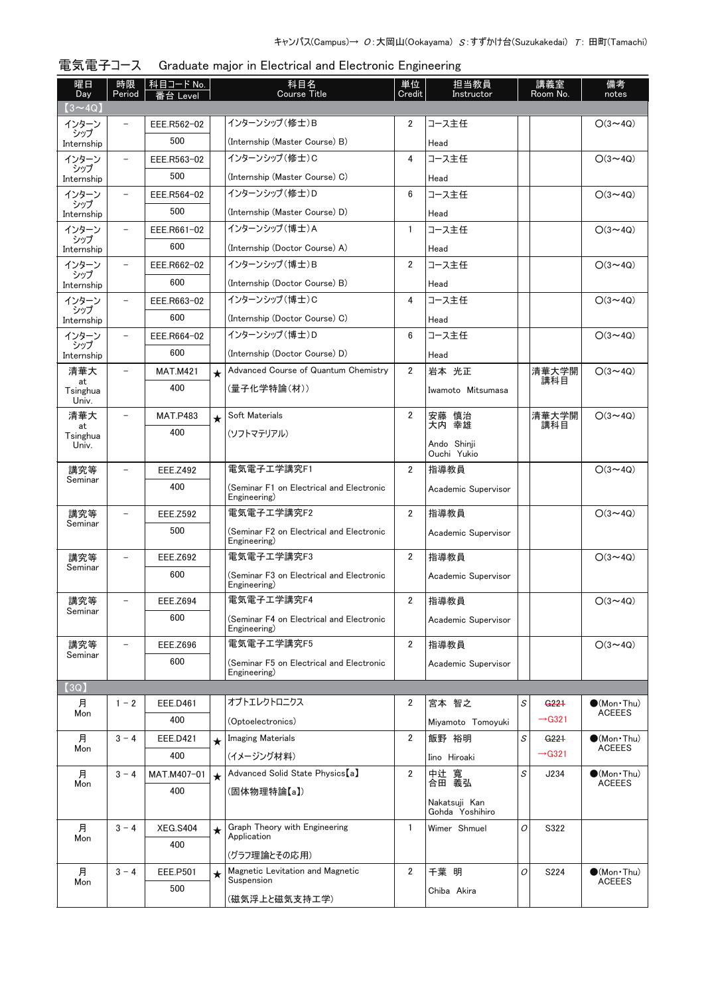| 曜日<br>Day         | 時限<br>Period             | │ 科目コード No.<br>番台 Level | 科目名<br><b>Course Title</b> |                                                          | 単位<br>Credit   | 担当教員                             | 講義室<br>Room No.<br>Instructor |                                        | 備考<br>notes                                  |
|-------------------|--------------------------|-------------------------|----------------------------|----------------------------------------------------------|----------------|----------------------------------|-------------------------------|----------------------------------------|----------------------------------------------|
| $(3 \sim 4Q)$     |                          |                         |                            |                                                          |                |                                  |                               |                                        |                                              |
| インターン             |                          | EEE.R562-02             |                            | インターンシップ (修士)B                                           | 2              | コース主任                            |                               |                                        | $O(3 \sim 4Q)$                               |
| シップ<br>Internship |                          | 500                     |                            | (Internship (Master Course) B)                           |                | Head                             |                               |                                        |                                              |
| インターン             |                          | EEE.R563-02             |                            | インターンシップ (修士)C                                           | 4              | コース主任                            |                               |                                        | $O(3 \sim 4Q)$                               |
| シップ<br>Internship |                          | 500                     |                            | (Internship (Master Course) C)                           |                | Head                             |                               |                                        |                                              |
| インターン             |                          | EEE.R564-02             |                            | インターンシップ(修士)D                                            | 6              | コース主任                            |                               |                                        | $O(3 \sim 4Q)$                               |
| シップ<br>Internship |                          | 500                     |                            | (Internship (Master Course) D)                           |                | Head                             |                               |                                        |                                              |
| インターン             |                          | EEE.R661-02             |                            | インターンシップ (博士)A                                           | $\mathbf{1}$   | コース主任                            |                               |                                        | $O(3 \sim 4Q)$                               |
| シップ<br>Internship |                          | 600                     |                            | (Internship (Doctor Course) A)                           |                | Head                             |                               |                                        |                                              |
| インターン             | $\qquad \qquad -$        | EEE.R662-02             |                            | インターンシップ (博士)B                                           | $\overline{2}$ | コース主任                            |                               |                                        | $O(3 \sim 4Q)$                               |
| シップ<br>Internship |                          | 600                     |                            | (Internship (Doctor Course) B)                           |                | Head                             |                               |                                        |                                              |
| インターン             |                          | EEE.R663-02             |                            | インターンシップ (博士)C                                           | 4              | コース主任                            |                               |                                        | $O(3 \sim 4Q)$                               |
| シップ<br>Internship |                          | 600                     |                            | (Internship (Doctor Course) C)                           |                | Head                             |                               |                                        |                                              |
| インターン             | $\qquad \qquad -$        | EEE.R664-02             |                            | インターンシップ (博士)D                                           | 6              | コース主任                            |                               |                                        | $O(3 \sim 4Q)$                               |
| シップ<br>Internship |                          | 600                     |                            | (Internship (Doctor Course) D)                           |                | Head                             |                               |                                        |                                              |
| 清華大               | $\overline{\phantom{0}}$ | <b>MAT.M421</b>         | $\star$                    | Advanced Course of Quantum Chemistry                     | $\overline{2}$ | 岩本 光正                            |                               | 清華大学開                                  | $O(3 \sim 4Q)$                               |
| at<br>Tsinghua    |                          | 400                     |                            | (量子化学特論(材))                                              |                | Iwamoto Mitsumasa                |                               | 講科目                                    |                                              |
| Univ.<br>清華大      |                          |                         |                            | Soft Materials                                           | $\overline{2}$ |                                  |                               | 清華大学開                                  | $O(3 \sim 4Q)$                               |
| at                |                          | <b>MAT.P483</b><br>400  | $\star$                    |                                                          |                | 安藤 慎治<br>大内 幸雄                   |                               | 講科目                                    |                                              |
| Tsinghua<br>Univ. |                          |                         |                            | (ソフトマテリアル)                                               |                | Ando Shinji<br>Ouchi Yukio       |                               |                                        |                                              |
| 講究等               | $\overline{\phantom{0}}$ | <b>EEE.Z492</b>         |                            | 電気電子工学講究F1                                               | 2              | 指導教員                             |                               |                                        | $O(3 \sim 4Q)$                               |
| Seminar           |                          | 400                     |                            | (Seminar F1 on Electrical and Electronic<br>Engineering) |                | Academic Supervisor              |                               |                                        |                                              |
| 講究等               |                          | EEE.Z592                |                            | 電気電子エ学講究F2                                               | 2              | 指導教員                             |                               |                                        | $O(3 \sim 4Q)$                               |
| Seminar           |                          | 500                     |                            | (Seminar F2 on Electrical and Electronic<br>Engineering) |                | Academic Supervisor              |                               |                                        |                                              |
| 講究等               |                          | <b>EEE.Z692</b>         |                            | 電気電子工学講究F3                                               | 2              | 指導教員                             |                               |                                        | $O(3 \sim 4Q)$                               |
| Seminar           |                          | 600                     |                            | (Seminar F3 on Electrical and Electronic<br>Engineering) |                | Academic Supervisor              |                               |                                        |                                              |
| 講究等<br>Seminar    | $\overline{\phantom{0}}$ | EEE.Z694                |                            | 電気電子工学講究F4                                               | 2              | 指導教員                             |                               |                                        | $O(3 \sim 4Q)$                               |
|                   |                          | 600                     |                            | (Seminar F4 on Electrical and Electronic<br>Engineering) |                | Academic Supervisor              |                               |                                        |                                              |
| 講究等<br>Seminar    | $\overline{\phantom{a}}$ | <b>EEE.Z696</b>         |                            | 電気電子工学講究F5                                               | $\overline{2}$ | 指導教員                             |                               |                                        | $O(3 \sim 4Q)$                               |
|                   |                          | 600                     |                            | (Seminar F5 on Electrical and Electronic<br>Engineering) |                | Academic Supervisor              |                               |                                        |                                              |
| (3Q)              |                          |                         |                            |                                                          |                |                                  |                               |                                        |                                              |
| 月<br>Mon          | $1 - 2$                  | EEE.D461                |                            | オプトエレクトロニクス                                              | 2              | 宮本 智之                            | S                             | G <sub>221</sub><br>$\rightarrow$ G321 | $\bullet$ (Mon•Thu)<br><b>ACEEES</b>         |
|                   |                          | 400                     |                            | (Optoelectronics)                                        |                | Mivamoto Tomovuki                |                               |                                        |                                              |
| 月<br>Mon          | $3 - 4$                  | EEE.D421                | $\star$                    | <b>Imaging Materials</b>                                 | 2              | 飯野 裕明                            | S                             | G <sub>221</sub><br>$\rightarrow$ G321 | $\bullet$ (Mon Thu)<br><b>ACEEES</b>         |
|                   |                          | 400                     |                            | (イメージング材料)                                               |                | Iino Hiroaki                     |                               |                                        |                                              |
| 月<br>Mon          | $3 - 4$                  | MAT.M407-01<br>400      | $\star$                    | Advanced Solid State Physics [a]                         | 2              | 中辻<br>寬<br>合田 義弘                 | S                             | J234                                   | $\bullet$ (Mon $\cdot$ Thu)<br><b>ACEEES</b> |
|                   |                          |                         |                            | (固体物理特論【a】)                                              |                | Nakatsuji Kan<br>Gohda Yoshihiro |                               |                                        |                                              |
| 月<br>Mon          | $3 - 4$                  | <b>XEG.S404</b>         | $\star$                    | Graph Theory with Engineering<br>Application             | 1              | Wimer Shmuel                     | 0                             | S322                                   |                                              |
|                   |                          | 400                     |                            | (グラフ理論とその応用)                                             |                |                                  |                               |                                        |                                              |
| 月                 | $3 - 4$                  | <b>EEE.P501</b>         | $\star$                    | Magnetic Levitation and Magnetic                         | $\overline{2}$ | 千葉 明                             | 0                             | S224                                   | $\bullet$ (Mon•Thu)                          |
| Mon               |                          | 500                     |                            | Suspension<br>(磁気浮上と磁気支持工学)                              |                | Chiba Akira                      |                               |                                        | <b>ACEEES</b>                                |

電気電子コース Graduate major in Electrical and Electronic Engineering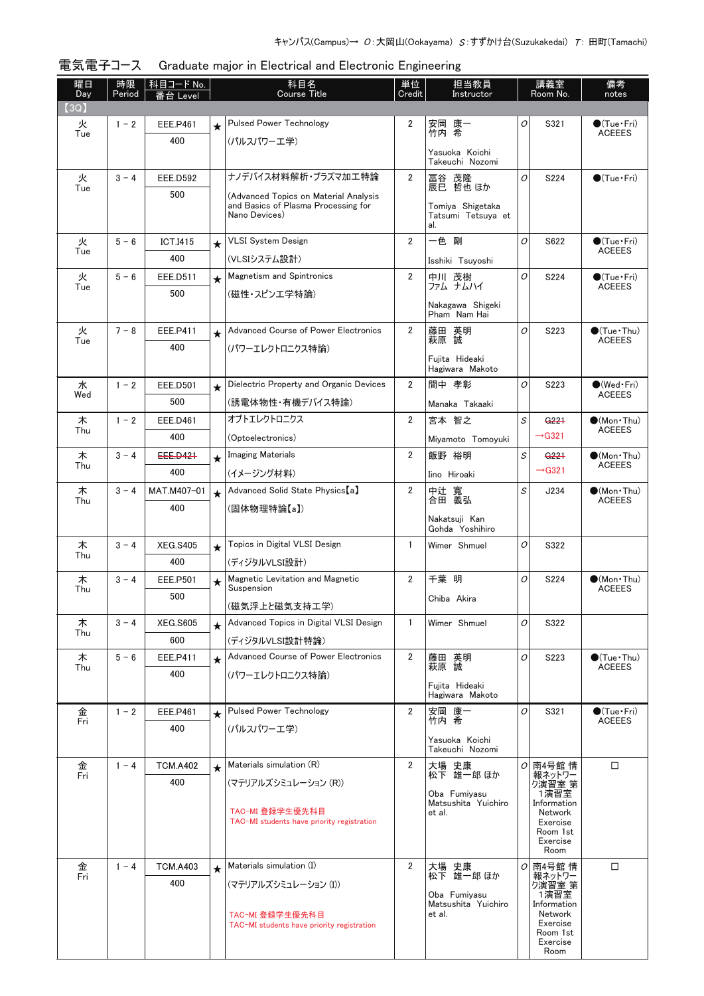| 曜日<br>Day | 時限<br>Period | │科目コード No.<br>番台 Level |          | 科目名<br><b>Course Title</b>                                    | 単位<br>Credit   | 担当教員<br>Instructor                            |   | 講義室<br>Room No.           | 備考<br>notes                             |
|-----------|--------------|------------------------|----------|---------------------------------------------------------------|----------------|-----------------------------------------------|---|---------------------------|-----------------------------------------|
| (3Q)      |              |                        |          |                                                               |                |                                               |   |                           |                                         |
| 火         | $1 - 2$      | <b>EEE.P461</b>        | $\star$  | <b>Pulsed Power Technology</b>                                | 2              | 安岡 康一                                         | O | S321                      | $\bullet$ (Tue•Fri)                     |
| Tue       |              | 400                    |          | (パルスパワーエ学)                                                    |                | 竹内 希                                          |   |                           | <b>ACEEES</b>                           |
|           |              |                        |          |                                                               |                | Yasuoka Koichi<br>Takeuchi Nozomi             |   |                           |                                         |
| 火         | $3 - 4$      | <b>EEE.D592</b>        |          | ナノデバイス材料解析・プラズマ加工特論                                           | $\overline{2}$ | 冨谷 茂隆                                         | O | S224                      | $\bigcirc$ (Tue · Fri)                  |
| Tue       |              | 500                    |          | (Advanced Topics on Material Analysis                         |                | 辰巳 哲也 ほか                                      |   |                           |                                         |
|           |              |                        |          | and Basics of Plasma Processing for<br>Nano Devices)          |                | Tomiya Shigetaka<br>Tatsumi Tetsuva et<br>al. |   |                           |                                         |
| 火         | $5 - 6$      | <b>ICT.I415</b>        | $\star$  | <b>VLSI System Design</b>                                     | $\overline{2}$ | 一色 剛                                          | O | S622                      | $\bigcirc$ (Tue · Fri)                  |
| Tue       |              | 400                    |          | (VLSIシステム設計)                                                  |                | Isshiki Tsuyoshi                              |   |                           | <b>ACEEES</b>                           |
| 火         | $5 - 6$      | EEE.D511               | $\star$  | <b>Magnetism and Spintronics</b>                              | $\overline{2}$ | 中川 茂樹<br>ファム ナムハイ                             | 0 | S224                      | $\bullet$ (Tue · Fri)                   |
| Tue       |              | 500                    |          | (磁性・スピンエ学特論)                                                  |                |                                               |   |                           | <b>ACEEES</b>                           |
|           |              |                        |          |                                                               |                | Nakagawa Shigeki<br>Pham Nam Hai              |   |                           |                                         |
| 火         | $7 - 8$      | EEE.P411               | $\star$  | Advanced Course of Power Electronics                          | $\overline{2}$ | 藤田 英明<br>萩原 誠                                 | O | S223                      | $\bigcirc$ (Tue · Thu)<br><b>ACEEES</b> |
| Tue       |              | 400                    |          | (パワーエレクトロニクス特論)                                               |                |                                               |   |                           |                                         |
|           |              |                        |          |                                                               |                | Fuiita Hideaki<br>Hagiwara Makoto             |   |                           |                                         |
| 水         | $1 - 2$      | <b>EEE.D501</b>        | $\star$  | Dielectric Property and Organic Devices                       | $\overline{2}$ | 間中 孝彰                                         | O | S223                      | $\bullet$ (Wed Fri)                     |
| Wed       |              | 500                    |          | (誘電体物性・有機デバイス特論)                                              |                | Manaka Takaaki                                |   |                           | <b>ACEEES</b>                           |
| 木         | $1 - 2$      | EEE.D461               |          | オプトエレクトロニクス                                                   | $\overline{2}$ | 宮本 智之                                         | S | G <sub>221</sub>          | $\bullet$ (Mon Thu)                     |
| Thu       |              | 400                    |          | (Optoelectronics)                                             |                | Miyamoto Tomoyuki                             |   | $\rightarrow$ G321        | <b>ACEEES</b>                           |
| 木         | $3 - 4$      | EEE.D421               | $\star$  | <b>Imaging Materials</b>                                      | $\overline{2}$ | 飯野 裕明                                         | S | G <sub>221</sub>          | $\bullet$ (Mon•Thu)                     |
| Thu       |              | 400                    |          | (イメージング材料)                                                    |                | Iino Hiroaki                                  |   | $\rightarrow$ G321        | <b>ACEEES</b>                           |
| 木         | $3 - 4$      | MAT.M407-01            | $\star$  | Advanced Solid State Physics [a]                              | $\overline{2}$ | 中辻 寬<br>合田 義弘                                 | S | J234                      | $\bullet$ (Mon $\cdot$ Thu)             |
| Thu       |              | 400                    |          | (固体物理特論【a】)                                                   |                |                                               |   |                           | <b>ACEEES</b>                           |
|           |              |                        |          |                                                               |                | Nakatsuji Kan<br>Gohda Yoshihiro              |   |                           |                                         |
| 木         | $3 - 4$      | <b>XEG.S405</b>        | $\star$  | Topics in Digital VLSI Design                                 | $\mathbf{1}$   | Wimer Shmuel                                  | O | S322                      |                                         |
| Thu       |              | 400                    |          | (ディジタルVLSI設計)                                                 |                |                                               |   |                           |                                         |
| 木<br>Thu  | $3 - 4$      | <b>EEE.P501</b>        | $\star$  | Magnetic Levitation and Magnetic<br>Suspension                | $\overline{2}$ | 千葉 明                                          | 0 | S224                      | $\bullet$ (Mon · Thu)<br><b>ACEEES</b>  |
|           |              | 500                    |          | (磁気浮上と磁気支持工学)                                                 |                | Chiba Akira                                   |   |                           |                                         |
| 木         | $3 - 4$      | <b>XEG.S605</b>        | $^\star$ | Advanced Topics in Digital VLSI Design                        | $\mathbf{1}$   | Wimer Shmuel                                  | 0 | S322                      |                                         |
| Thu       |              | 600                    |          | (ディジタルVLSI設計特論)                                               |                |                                               |   |                           |                                         |
| 木         | $5 - 6$      | EEE.P411               | $\star$  | Advanced Course of Power Electronics                          | $\overline{2}$ | 藤田 英明                                         | 0 | S223                      | $\bullet$ (Tue · Thu)                   |
| Thu       |              | 400                    |          | (パワーエレクトロニクス特論)                                               |                | 萩原 誠                                          |   |                           | <b>ACEEES</b>                           |
|           |              |                        |          |                                                               |                | Fuiita Hideaki<br>Hagiwara Makoto             |   |                           |                                         |
| 金         | $1 - 2$      | <b>EEE.P461</b>        |          | <b>Pulsed Power Technology</b>                                | $\overline{2}$ | 安岡 康一                                         | 0 | S321                      | $\bullet$ (Tue · Fri)                   |
| Fri       |              | 400                    |          | (パルスパワーエ学)                                                    |                | 竹内 希                                          |   |                           | <b>ACEEES</b>                           |
|           |              |                        |          |                                                               |                | Yasuoka Koichi<br>Takeuchi Nozomi             |   |                           |                                         |
| 金         | $1 - 4$      | <b>TCM.A402</b>        | $\star$  | Materials simulation (R)                                      | $\overline{2}$ | 大場 史康                                         |   | ○ 南4号館 情                  | □                                       |
| Fri       |              | 400                    |          | (マテリアルズシミュレーション (R))                                          |                | 松下 雄一郎 ほか                                     |   | 報ネットワー<br>ク演習室 第          |                                         |
|           |              |                        |          |                                                               |                | Oba Fumiyasu<br>Matsushita Yuichiro           |   | 1演習室<br>Information       |                                         |
|           |              |                        |          | TAC-MI 登録学生優先科目<br>TAC-MI students have priority registration |                | et al.                                        |   | Network<br>Exercise       |                                         |
|           |              |                        |          |                                                               |                |                                               |   | Room 1st<br>Exercise      |                                         |
|           |              |                        |          |                                                               |                |                                               |   | Room                      |                                         |
| 金<br>Fri  | $1 - 4$      | <b>TCM.A403</b>        | $\star$  | Materials simulation (I)                                      | $\overline{2}$ | 大場 史康<br>松下 雄一郎 ほか                            |   | <i>이</i> 南4号館 情<br>報ネットワー | $\Box$                                  |
|           |              | 400                    |          | (マテリアルズシミュレーション (I))                                          |                | Oba Fumiyasu                                  |   | ク演習室 第<br>1演習室            |                                         |
|           |              |                        |          | TAC-MI 登録学生優先科目                                               |                | Matsushita Yuichiro<br>et al.                 |   | Information<br>Network    |                                         |
|           |              |                        |          | TAC-MI students have priority registration                    |                |                                               |   | Exercise<br>Room 1st      |                                         |
|           |              |                        |          |                                                               |                |                                               |   | Exercise<br>Room          |                                         |
|           |              |                        |          |                                                               |                |                                               |   |                           |                                         |

電気電子コース Graduate major in Electrical and Electronic Engineering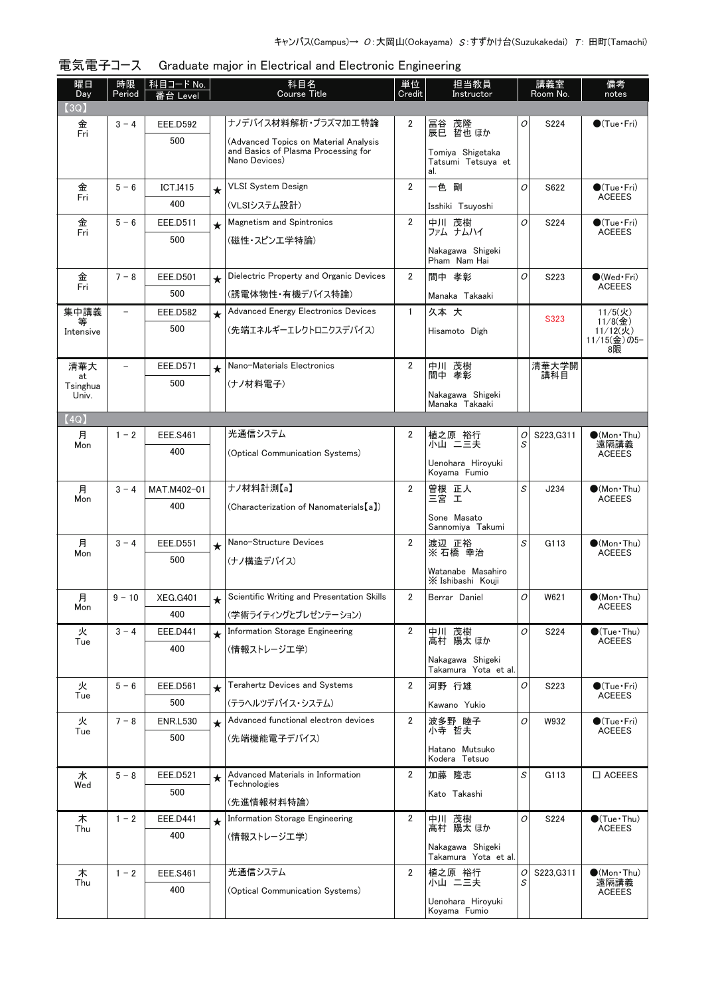| 曜日<br>Day      | 時限<br>Period             | 科目コード No.              | 科目名<br>Course Title |                                                      | 単位<br>Credit   | 担当教員<br>Instructor                            |        | 講義室<br>Room No. | 備考<br>notes                             |
|----------------|--------------------------|------------------------|---------------------|------------------------------------------------------|----------------|-----------------------------------------------|--------|-----------------|-----------------------------------------|
| (3Q)           |                          | 番台 Level               |                     |                                                      |                |                                               |        |                 |                                         |
| 金              | $3 - 4$                  | <b>EEE.D592</b>        |                     | ナノデバイス材料解析・プラズマ加工特論                                  | 2              | 冨谷 茂隆<br>辰巳 哲也 ほか                             | 0      | S224            | $\bigcirc$ (Tue · Fri)                  |
| Fri            |                          | 500                    |                     | (Advanced Topics on Material Analysis                |                |                                               |        |                 |                                         |
|                |                          |                        |                     | and Basics of Plasma Processing for<br>Nano Devices) |                | Tomiya Shigetaka<br>Tatsumi Tetsuya et<br>al. |        |                 |                                         |
| 金<br>Fri       | $5 - 6$                  | <b>ICT.I415</b>        | $\star$             | <b>VLSI System Design</b>                            | $\overline{2}$ | 一色 剛                                          | 0      | S622            | $\bigcirc$ (Tue · Fri)<br><b>ACEEES</b> |
|                |                          | 400                    |                     | (VLSIシステム設計)                                         |                | Isshiki Tsuyoshi                              |        |                 |                                         |
| 金<br>Fri       | $5 - 6$                  | EEE.D511               | $\star$             | <b>Magnetism and Spintronics</b>                     | $\overline{2}$ | 中川 茂樹<br>ファム ナムハイ                             | 0      | S224            | $\bullet$ (Tue · Fri)<br><b>ACEEES</b>  |
|                |                          | 500                    |                     | (磁性・スピンエ学特論)                                         |                | Nakagawa Shigeki<br>Pham Nam Hai              |        |                 |                                         |
| 金<br>Fri       | $7 - 8$                  | <b>EEE.D501</b>        | $\star$             | Dielectric Property and Organic Devices              | 2              | 間中 孝彰                                         | 0      | S223            | $\bullet$ (Wed Fri)                     |
|                |                          | 500                    |                     | (誘電体物性・有機デバイス特論)                                     |                | Manaka Takaaki                                |        |                 | <b>ACEEES</b>                           |
| 集中講義           |                          | <b>EEE.D582</b>        | $\star$             | <b>Advanced Energy Electronics Devices</b>           | $\mathbf{1}$   | 久本 大                                          |        |                 | $11/5($ 火)                              |
| Intensive      |                          | 500                    |                     | (先端エネルギーエレクトロニクスデバイス)                                |                | Hisamoto Digh                                 |        | S323            | $11/8($ 金)<br>11/12(火)                  |
|                |                          |                        |                     |                                                      |                |                                               |        |                 | 11/15(金)の5-<br>8限                       |
| 清華大            | $\overline{\phantom{a}}$ | <b>EEE.D571</b>        | $\star$             | Nano-Materials Electronics                           | $\overline{2}$ | 中川 茂樹                                         |        | 清華大学開           |                                         |
| at<br>Tsinghua |                          | 500                    |                     | (ナノ材料電子)                                             |                | 間中 孝彰                                         |        | 講科目             |                                         |
| Univ.          |                          |                        |                     |                                                      |                | Nakagawa Shigeki<br>Manaka Takaaki            |        |                 |                                         |
| (4Q)           |                          |                        |                     |                                                      |                |                                               |        |                 |                                         |
| 月              | $1 - 2$                  | <b>EEE.S461</b>        |                     | 光通信システム                                              | 2              | 植之原 裕行                                        | О      | S223.G311       | $\bullet$ (Mon $\cdot$ Thu)             |
| Mon            |                          | 400                    |                     | (Optical Communication Systems)                      |                | 小山 二三夫                                        | S      |                 | 遠隔講義<br><b>ACEEES</b>                   |
|                |                          |                        |                     |                                                      |                | Uenohara Hiroyuki<br>Koyama Fumio             |        |                 |                                         |
| 月              | $3 - 4$                  | MAT.M402-01            |                     | ナノ材料計測【a】                                            | $\overline{2}$ | 曽根 正人<br>三宮 工                                 | S      | J234            | $\bullet$ (Mon $\cdot$ Thu)             |
| Mon            |                          | 400                    |                     | (Characterization of Nanomaterials [a])              |                |                                               |        |                 | <b>ACEEES</b>                           |
|                |                          |                        |                     |                                                      |                | Sone Masato<br>Sannomiya Takumi               |        |                 |                                         |
| 月              | $3 - 4$                  | EEE.D551               | $\star$             | Nano-Structure Devices                               | $\overline{2}$ | 渡辺 正裕                                         | S      | G113            | $\bullet$ (Mon Thu)                     |
| Mon            |                          | 500                    |                     | (ナノ構造デバイス)                                           |                | ※石橋 幸治                                        |        |                 | <b>ACEEES</b>                           |
|                |                          |                        |                     |                                                      |                | Watanabe Masahiro<br>X Ishibashi Kouji        |        |                 |                                         |
| 月              | $9 - 10$                 | <b>XEG.G401</b>        | $\star$             | Scientific Writing and Presentation Skills           | $\overline{2}$ | Berrar Daniel                                 | O      | W621            | $\bullet$ (Mon · Thu)                   |
| Mon            |                          | 400                    |                     | (学術ライティングとプレゼンテーション)                                 |                |                                               |        |                 | <b>ACEEES</b>                           |
| 火              | $3 - 4$                  | EEE.D441               | $\star$             | Information Storage Engineering                      | 2              | 中川 茂樹<br>髙村 陽太 ほか                             | O      | S224            | $\bullet$ (Tue · Thu)<br><b>ACEEES</b>  |
| Tue            |                          | 400                    |                     | (情報ストレージエ学)                                          |                |                                               |        |                 |                                         |
|                |                          |                        |                     |                                                      |                | Nakagawa Shigeki<br>Takamura Yota et al.      |        |                 |                                         |
| 火              | $5 - 6$                  | EEE.D561               | $\star$             | <b>Terahertz Devices and Systems</b>                 | $\overline{2}$ | 河野 行雄                                         | 0      | S223            | $\bullet$ (Tue · Fri)                   |
| Tue            |                          | 500                    |                     | (テラヘルツデバイス・システム)                                     |                | Kawano Yukio                                  |        |                 | <b>ACEEES</b>                           |
| 火              | $7 - 8$                  | <b>ENR.L530</b>        | $\star$             | Advanced functional electron devices                 | $\overline{2}$ | 波多野 睦子<br>小寺 哲夫                               | 0      | W932            | $\bigcirc$ (Tue · Fri)<br><b>ACEEES</b> |
| Tue            |                          | 500                    |                     | (先端機能電子デバイス)                                         |                |                                               |        |                 |                                         |
|                |                          |                        |                     |                                                      |                | Hatano Mutsuko<br>Kodera Tetsuo               |        |                 |                                         |
| 水              | $5 - 8$                  | <b>EEE.D521</b>        | $\star$             | Advanced Materials in Information<br>Technologies    | $\overline{2}$ | 加藤 隆志                                         | S      | G113            | $\square$ ACEEES                        |
| Wed            |                          | 500                    |                     |                                                      |                | Kato Takashi                                  |        |                 |                                         |
| 木              | $1 - 2$                  | EEE.D441               |                     | (先進情報材料特論)<br>Information Storage Engineering        | $\overline{2}$ | 中川 茂樹                                         | 0      | S224            | $\bullet$ (Tue · Thu)                   |
| Thu            |                          | 400                    | $\star$             | (情報ストレージエ学)                                          |                | 髙村 陽太 ほか                                      |        |                 | <b>ACEEES</b>                           |
|                |                          |                        |                     |                                                      |                | Nakagawa Shigeki                              |        |                 |                                         |
|                |                          |                        |                     | 光通信システム                                              | $\overline{2}$ | Takamura Yota et al.                          |        |                 |                                         |
| 木<br>Thu       | $1 - 2$                  | <b>EEE.S461</b><br>400 |                     |                                                      |                | 植之原 裕行<br>小山 二三夫                              | 0<br>S | S223, G311      | $\bullet$ (Mon $\cdot$ Thu)<br>遠隔講義     |
|                |                          |                        |                     | (Optical Communication Systems)                      |                | Uenohara Hiroyuki                             |        |                 | <b>ACEEES</b>                           |
|                |                          |                        |                     |                                                      |                | Koyama Fumio                                  |        |                 |                                         |

電気電子コース Graduate major in Electrical and Electronic Engineering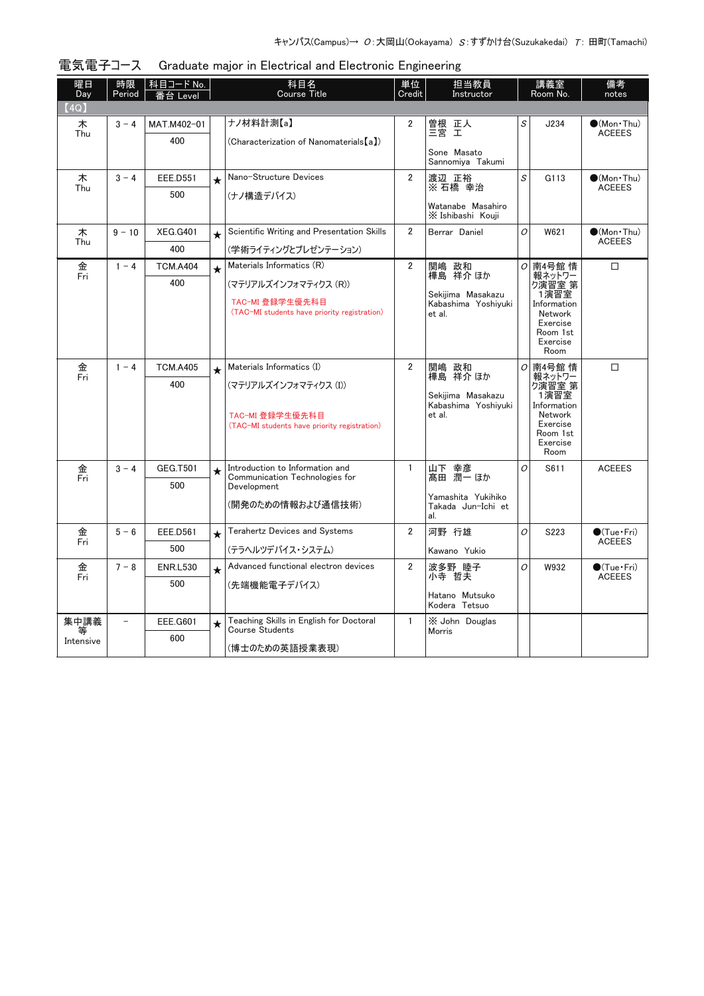| 曜日<br>Day              | 時限<br>Period             | │科目コード No.<br>台 Level |         | 科目名<br>Course Title                                                                     | 単位<br>Credit   | 担当教員<br>Instructor                                             | 講義室<br>Room No. |                                                                                                | 備考<br>notes                          |
|------------------------|--------------------------|-----------------------|---------|-----------------------------------------------------------------------------------------|----------------|----------------------------------------------------------------|-----------------|------------------------------------------------------------------------------------------------|--------------------------------------|
| (4Q)                   |                          |                       |         |                                                                                         |                |                                                                |                 |                                                                                                |                                      |
| 木<br>Thu               | $3 - 4$                  | MAT.M402-01<br>400    |         | ナノ材料計測【a】<br>(Characterization of Nanomaterials [a])                                    | 2              | 曽根 正人<br>三宮 エ<br>Sone Masato<br>Sannomiya Takumi               | S               | J234                                                                                           | $\bullet$ (Mon•Thu)<br><b>ACEEES</b> |
| 木                      | $3 - 4$                  | <b>EEE.D551</b>       | $\star$ | Nano-Structure Devices                                                                  | $\overline{2}$ | 渡辺 正裕                                                          | S               | G113                                                                                           | $\bullet$ (Mon · Thu)                |
| Thu                    |                          | 500                   |         | (ナノ構造デバイス)                                                                              |                | ※ 石橋 幸治                                                        |                 |                                                                                                | <b>ACEEES</b>                        |
|                        |                          |                       |         |                                                                                         |                | Watanabe Masahiro<br>X Ishibashi Kouji                         |                 |                                                                                                |                                      |
| 木                      | $9 - 10$                 | <b>XEG.G401</b>       | $\star$ | Scientific Writing and Presentation Skills                                              | $\overline{2}$ | Berrar Daniel                                                  | O               | W621                                                                                           | $\bullet$ (Mon•Thu)                  |
| Thu                    |                          | 400                   |         | (学術ライティングとプレゼンテーション)                                                                    |                |                                                                |                 |                                                                                                | <b>ACEEES</b>                        |
| 金                      | $1 - 4$                  | <b>TCM.A404</b>       | $\star$ | Materials Informatics (R)                                                               | $\overline{2}$ | 関嶋 政和                                                          | 0               | 南4号館 情                                                                                         | $\Box$                               |
| Fri                    |                          | 400                   |         | (マテリアルズインフォマティクス (R))                                                                   |                | 樺島 祥介 ほか                                                       |                 | 報ネットワー<br>ク演習室 第                                                                               |                                      |
|                        |                          |                       |         | TAC-MI 登録学生優先科目<br>(TAC-MI students have priority registration)                         |                | Sekijima Masakazu<br>Kabashima Yoshivuki<br>et al.             |                 | 1演習室<br>Information<br>Network<br>Exercise<br>Room 1st<br>Exercise<br>Room                     |                                      |
| 金                      | $1 - 4$                  | <b>TCM.A405</b>       | $\star$ | Materials Informatics (I)                                                               | $\overline{2}$ | 関嶋 政和                                                          | 0               | 南4号館 情                                                                                         | $\Box$                               |
| Fri                    |                          | 400                   |         | (マテリアルズインフォマティクス(I))<br>TAC-MI 登録学生優先科目<br>(TAC-MI students have priority registration) |                | 樺島 祥介 ほか<br>Sekijima Masakazu<br>Kabashima Yoshivuki<br>et al. |                 | 報ネットワー<br>り演習室 第<br>1演習室<br>Information<br>Network<br>Exercise<br>Room 1st<br>Exercise<br>Room |                                      |
| 金                      | $3 - 4$                  | <b>GEG.T501</b>       | $\star$ | Introduction to Information and<br>Communication Technologies for                       | $\mathbf{1}$   | 山下 幸彦                                                          | O               | S611                                                                                           | <b>ACEEES</b>                        |
| Fri                    |                          | 500                   |         | Development                                                                             |                | 髙田 潤一 ほか                                                       |                 |                                                                                                |                                      |
|                        |                          |                       |         | (開発のための情報および通信技術)                                                                       |                | Yamashita Yukihiko<br>Takada Jun-Ichi et<br>al.                |                 |                                                                                                |                                      |
| 金                      | $5 - 6$                  | <b>EEE.D561</b>       | $\star$ | <b>Terahertz Devices and Systems</b>                                                    | $\overline{2}$ | 河野 行雄                                                          | O               | S223                                                                                           | $\bigcirc$ (Tue · Fri)               |
| Fri                    |                          | 500                   |         | (テラヘルツデバイス・システム)                                                                        |                | Kawano Yukio                                                   |                 |                                                                                                | <b>ACEEES</b>                        |
| 金                      | $7 - 8$                  | <b>ENR.L530</b>       | $\star$ | Advanced functional electron devices                                                    | $\overline{2}$ | 波多野 睦子                                                         | O               | W932                                                                                           | $\bullet$ (Tue · Fri)                |
| Fri                    |                          | 500                   |         | (先端機能電子デバイス)                                                                            |                | 小寺 哲夫                                                          |                 |                                                                                                | <b>ACEEES</b>                        |
|                        |                          |                       |         |                                                                                         |                | Hatano Mutsuko<br>Kodera Tetsuo                                |                 |                                                                                                |                                      |
| 集中講義<br>等<br>Intensive | $\overline{\phantom{a}}$ | EEE.G601<br>600       | $\star$ | Teaching Skills in English for Doctoral<br><b>Course Students</b>                       | $\mathbf{1}$   | X John Douglas<br>Morris                                       |                 |                                                                                                |                                      |
|                        |                          |                       |         | (博士のための英語授業表現)                                                                          |                |                                                                |                 |                                                                                                |                                      |

| 電気電子コース Graduate major in Electrical and Electronic Engineering |  |  |  |
|-----------------------------------------------------------------|--|--|--|
|                                                                 |  |  |  |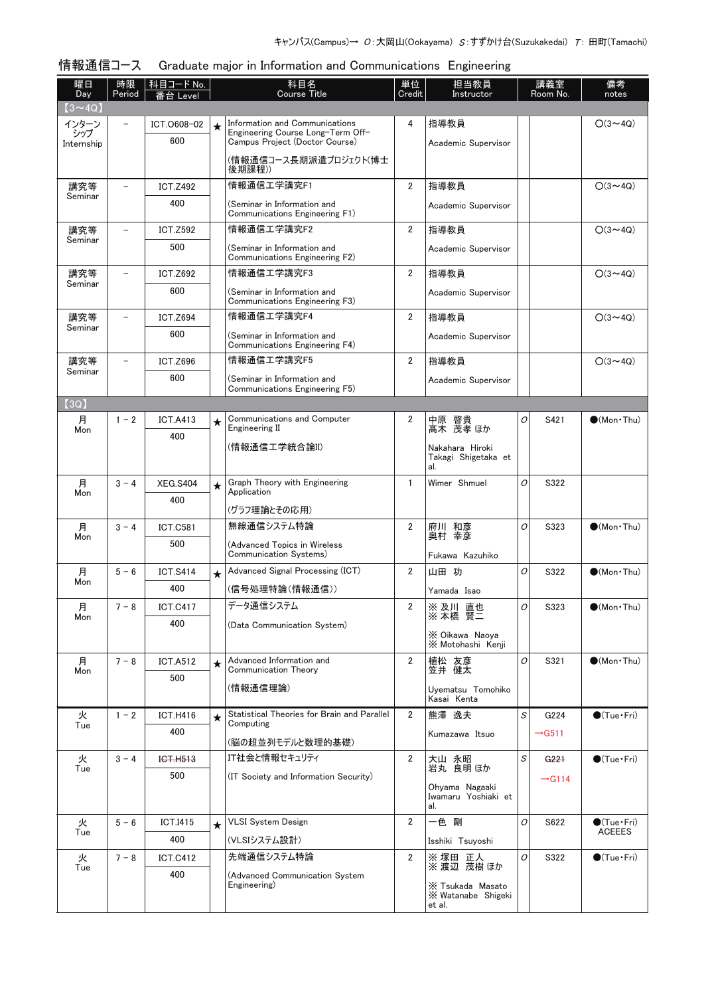#### 情報通信コース Graduate major in Information and Communications Engineering

| 曜日<br>Day     | 時限<br>Period             | 科目コード No.<br>番台 Level |         | 科目名<br><b>Course Title</b>                                          | 単位<br>Credit   | 担当教員<br>Instructor                               |   | 講義室<br>Room No.    | 備考<br>notes                 |
|---------------|--------------------------|-----------------------|---------|---------------------------------------------------------------------|----------------|--------------------------------------------------|---|--------------------|-----------------------------|
| $(3 \sim 4Q)$ |                          |                       |         |                                                                     |                |                                                  |   |                    |                             |
| インターン<br>シップ  |                          | ICT.0608-02           | $\star$ | Information and Communications<br>Engineering Course Long-Term Off- | 4              | 指導教員                                             |   |                    | $O(3 \sim 4Q)$              |
| Internship    |                          | 600                   |         | Campus Project (Doctor Course)                                      |                | Academic Supervisor                              |   |                    |                             |
|               |                          |                       |         | (情報通信コース長期派遣プロジェクト(博士<br>後期課程))                                     |                |                                                  |   |                    |                             |
| 講究等           | $\overline{\phantom{0}}$ | <b>ICT.Z492</b>       |         | 情報通信工学講究F1                                                          | $\overline{2}$ | 指導教員                                             |   |                    | $O(3 \sim 4Q)$              |
| Seminar       |                          | 400                   |         | (Seminar in Information and<br>Communications Engineering F1)       |                | Academic Supervisor                              |   |                    |                             |
| 講究等           |                          | <b>ICT.Z592</b>       |         | 情報通信工学講究F2                                                          | $\overline{2}$ | 指導教員                                             |   |                    | $O(3 \sim 4Q)$              |
| Seminar       |                          | 500                   |         | (Seminar in Information and<br>Communications Engineering F2)       |                | Academic Supervisor                              |   |                    |                             |
| 講究等           | $\overline{\phantom{0}}$ | <b>ICT.Z692</b>       |         | 情報通信工学講究F3                                                          | $\overline{2}$ | 指導教員                                             |   |                    | $O(3 \sim 4Q)$              |
| Seminar       |                          | 600                   |         | (Seminar in Information and<br>Communications Engineering F3)       |                | Academic Supervisor                              |   |                    |                             |
| 講究等           |                          | <b>ICT.Z694</b>       |         | 情報通信工学講究F4                                                          | $\overline{2}$ | 指導教員                                             |   |                    | $O(3 \sim 4Q)$              |
| Seminar       |                          | 600                   |         | (Seminar in Information and<br>Communications Engineering F4)       |                | Academic Supervisor                              |   |                    |                             |
| 講究等           |                          | <b>ICT.Z696</b>       |         | 情報通信工学講究F5                                                          | $\overline{2}$ | 指導教員                                             |   |                    | $O(3 \sim 4Q)$              |
| Seminar       |                          | 600                   |         | (Seminar in Information and<br>Communications Engineering F5)       |                | Academic Supervisor                              |   |                    |                             |
| (3Q)          |                          |                       |         |                                                                     |                |                                                  |   |                    |                             |
| 月<br>Mon      | $1 - 2$                  | <b>ICT.A413</b>       | $\star$ | Communications and Computer<br>Engineering II                       | $\overline{2}$ | 中原 啓貴<br>髙木 茂孝ほか                                 | 0 | S421               | $\bullet$ (Mon Thu)         |
|               |                          | 400                   |         | (情報通信工学統合論II)                                                       |                |                                                  |   |                    |                             |
|               |                          |                       |         |                                                                     |                | Nakahara Hiroki<br>Takagi Shigetaka et<br>al.    |   |                    |                             |
| 月             | $3 - 4$                  | <b>XEG.S404</b>       | $\star$ | Graph Theory with Engineering<br>Application                        | 1              | Wimer Shmuel                                     | O | S322               |                             |
| Mon           |                          | 400                   |         |                                                                     |                |                                                  |   |                    |                             |
| 月             | $3 - 4$                  | <b>ICT.C581</b>       |         | (グラフ理論とその応用)<br>無線通信システム特論                                          | $\overline{2}$ | 府川 和彦                                            | O | S323               | $\bullet$ (Mon $\cdot$ Thu) |
| Mon           |                          | 500                   |         | (Advanced Topics in Wireless                                        |                | 奥村 幸彦                                            |   |                    |                             |
|               |                          |                       |         | Communication Systems)                                              |                | Fukawa Kazuhiko                                  |   |                    |                             |
| 月             | $5 - 6$                  | <b>ICT.S414</b>       | $\star$ | Advanced Signal Processing (ICT)                                    | $\overline{2}$ | 山田 功                                             | O | S322               | $\bullet$ (Mon · Thu)       |
| Mon           |                          | 400                   |         | (信号処理特論(情報通信))                                                      |                | Yamada Isao                                      |   |                    |                             |
| 月             | $7 - 8$                  | <b>ICT.C417</b>       |         | データ通信システム                                                           | 2              | ※ 及川 直也<br>賢二<br>※ 本橋                            | О | S323               | $\bullet$ (Mon•Thu)         |
| Mon           |                          | 400                   |         | (Data Communication System)                                         |                |                                                  |   |                    |                             |
|               |                          |                       |         |                                                                     |                | X Oikawa Naova<br>X Motohashi Kenji              |   |                    |                             |
| 月<br>Mon      | $7 - 8$                  | <b>ICT.A512</b>       | $\star$ | Advanced Information and<br>Communication Theory                    | $\overline{2}$ | 植松 友彦<br>笠井 健太                                   | 0 | S321               | $\bullet$ (Mon Thu)         |
|               |                          | 500                   |         | (情報通信理論)                                                            |                | Uyematsu Tomohiko<br>Kasai Kenta                 |   |                    |                             |
| 火             | $1 - 2$                  | <b>ICT.H416</b>       | $\star$ | Statistical Theories for Brain and Parallel                         | $\overline{2}$ | 熊澤 逸夫                                            | S | G224               | $\bullet$ (Tue · Fri)       |
| Tue           |                          | 400                   |         | Computing<br>(脳の超並列モデルと数理的基礎)                                       |                | Kumazawa Itsuo                                   |   | $\rightarrow$ G511 |                             |
| 火             | $3 - 4$                  | ICT.H513              |         | IT社会と情報セキュリティ                                                       | $\overline{2}$ | 大山 永昭                                            | S | G <sub>221</sub>   | $\bigcirc$ (Tue · Fri)      |
| Tue           |                          | 500                   |         | (IT Society and Information Security)                               |                | 岩丸 良明 ほか                                         |   | $\rightarrow$ G114 |                             |
|               |                          |                       |         |                                                                     |                | Ohyama Nagaaki<br>Iwamaru Yoshiaki et<br>al.     |   |                    |                             |
| 火             | $5 - 6$                  | <b>ICT.I415</b>       | $\star$ | <b>VLSI System Design</b>                                           | $\overline{2}$ | 一色 剛                                             | 0 | S622               | $\bullet$ (Tue · Fri)       |
| Tue           |                          | 400                   |         | (VLSIシステム設計)                                                        |                | Isshiki Tsuyoshi                                 |   |                    | <b>ACEEES</b>               |
| 火             | $7 - 8$                  | <b>ICT.C412</b>       |         | 先端通信システム特論                                                          | 2              | ※塚田 正人                                           | 0 | S322               | $\bullet$ (Tue · Fri)       |
| Tue           |                          | 400                   |         | (Advanced Communication System                                      |                | ※ 渡辺 茂樹 ほか                                       |   |                    |                             |
|               |                          |                       |         | Engineering)                                                        |                | X Tsukada Masato<br>X Watanabe Shigeki<br>et al. |   |                    |                             |
|               |                          |                       |         |                                                                     |                |                                                  |   |                    |                             |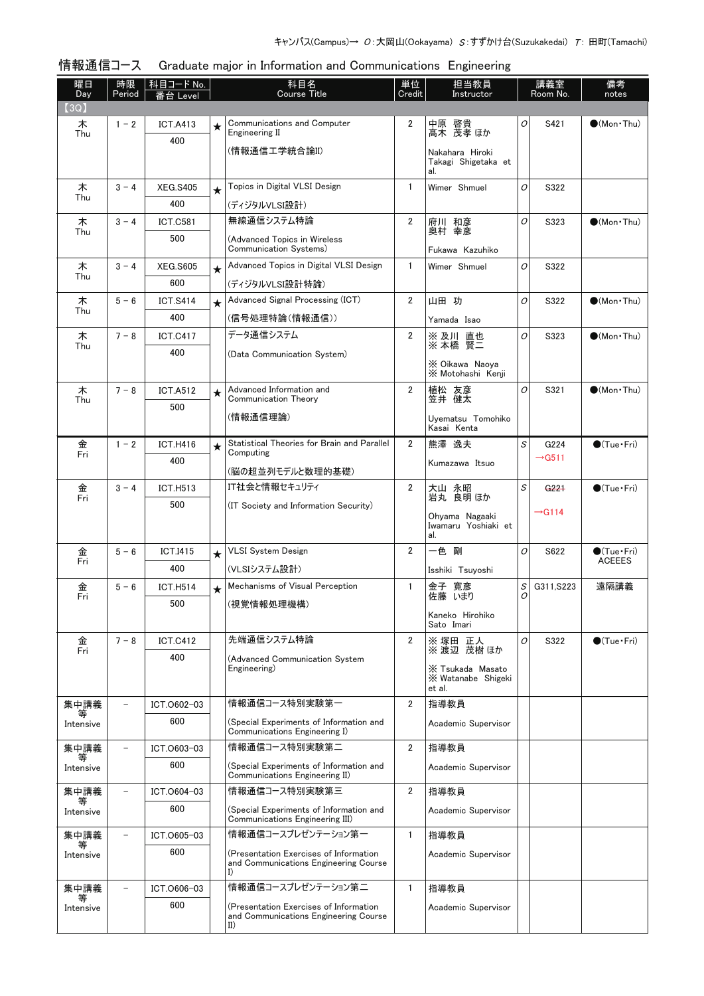| (3Q)<br>Communications and Computer<br>2<br>中原 啓貴<br>髙木 茂孝ほか<br>0<br>S421<br>$\bullet$ (Mon $\cdot$ Thu)<br>木<br>$1 - 2$<br><b>ICT.A413</b><br>$\star$<br>Engineering II<br>Thu<br>400<br>(情報通信工学統合論II)<br>Nakahara Hiroki<br>Takagi Shigetaka et<br>al.<br>Topics in Digital VLSI Design<br>$\mathbf{1}$<br>木<br>Wimer Shmuel<br>0<br>S322<br>$3 - 4$<br><b>XEG.S405</b><br>$\star$<br>Thu<br>400<br>(ディジタルVLSI設計)<br>無線通信システム特論<br>$3 - 4$<br>2<br>木<br><b>ICT.C581</b><br>府川 和彦<br>0<br>S323<br>$\bullet$ (Mon · Thu)<br>奥村 幸彦<br>Thu<br>500<br>(Advanced Topics in Wireless<br>Communication Systems)<br>Fukawa Kazuhiko<br>Advanced Topics in Digital VLSI Design<br>$\mathbf{1}$<br>木<br>0<br>$3 - 4$<br><b>XEG.S605</b><br>Wimer Shmuel<br>S322<br>$\star$<br>Thu<br>600<br>(ディジタルVLSI設計特論)<br>Advanced Signal Processing (ICT)<br>$\overline{2}$<br>山田 功<br><b>ICT.S414</b><br>0<br>S322<br>$\bullet$ (Mon Thu)<br>木<br>$5 - 6$<br>$\star$<br>Thu<br>400<br>(信号処理特論(情報通信))<br>Yamada Isao<br>データ通信システム<br>$7 - 8$<br>$\overline{2}$<br>※及川 直也<br>0<br>木<br><b>ICT.C417</b><br>S323<br>$\bullet$ (Mon Thu)<br>賢三<br>※ 本橋<br>Thu<br>400<br>(Data Communication System)<br>X Oikawa Naoya<br>X Motohashi Kenii<br>Advanced Information and<br>$\overline{2}$<br>植松 友彦<br>0<br>木<br>$7 - 8$<br><b>ICT.A512</b><br>S321<br>$\bullet$ (Mon · Thu)<br>$\star$<br>Communication Theory<br>笠井 健太<br>Thu<br>500<br>(情報通信理論)<br>Uvematsu Tomohiko<br>Kasai Kenta<br>Statistical Theories for Brain and Parallel<br>$\overline{2}$<br>S<br>金<br>$1 - 2$<br>熊澤 逸夫<br><b>ICT.H416</b><br>G224<br>$\bullet$ (Tue · Fri)<br>$\star$<br>Computing<br>Fri<br>$\rightarrow$ G511<br>400<br>Kumazawa Itsuo<br>(脳の超並列モデルと数理的基礎)<br>IT社会と情報セキュリティ<br>$\overline{2}$<br>S<br>$\bigcirc$ (Tue·Fri)<br>金<br>$3 - 4$<br><b>ICT.H513</b><br>大山 永昭<br>G221<br>岩丸 良明 ほか<br>Fri<br>500<br>(IT Society and Information Security)<br>$\rightarrow$ G114<br>Ohyama Nagaaki<br>Iwamaru Yoshiaki et<br>al.<br>$\overline{2}$<br><b>VLSI System Design</b><br>一色 剛<br>O<br>金<br>$5 - 6$<br>S622<br>$\bigcirc$ (Tue · Fri)<br><b>ICT.I415</b><br>$\star$<br><b>ACEEES</b><br>Fri<br>400<br>(VLSIシステム設計)<br>Isshiki Tsuyoshi<br>Mechanisms of Visual Perception<br>S<br>$5 - 6$<br><b>ICT.H514</b><br>1<br>寛彦<br>遠隔講義<br>金<br>金子<br>G311, S223<br>$\star$<br>佐藤 いまり<br>Fri<br>0<br>500<br>(視覚情報処理機構)<br>Kaneko Hirohiko<br>Sato Imari<br>先端通信システム特論<br>2<br>$7 - 8$<br><b>ICT.C412</b><br>※塚田 正人<br>0<br>S322<br>$\bigcirc$ (Tue · Fri) | 曜日<br>Day | 時限<br>Period | │ 科目コード No.<br>番台 Level | 科目名<br>Course Title |        | 担当教員<br>講義室<br>Room No.<br>Instructor |  | 備考<br>notes |
|-----------------------------------------------------------------------------------------------------------------------------------------------------------------------------------------------------------------------------------------------------------------------------------------------------------------------------------------------------------------------------------------------------------------------------------------------------------------------------------------------------------------------------------------------------------------------------------------------------------------------------------------------------------------------------------------------------------------------------------------------------------------------------------------------------------------------------------------------------------------------------------------------------------------------------------------------------------------------------------------------------------------------------------------------------------------------------------------------------------------------------------------------------------------------------------------------------------------------------------------------------------------------------------------------------------------------------------------------------------------------------------------------------------------------------------------------------------------------------------------------------------------------------------------------------------------------------------------------------------------------------------------------------------------------------------------------------------------------------------------------------------------------------------------------------------------------------------------------------------------------------------------------------------------------------------------------------------------------------------------------------------------------------------------------------------------------------------------------------------------------------------------------------------------------------------------------------------------------------------------------------------------------------------------------------------------------------------------------------------------------------------------------------------------------------------------------------------------------------------------------------------|-----------|--------------|-------------------------|---------------------|--------|---------------------------------------|--|-------------|
|                                                                                                                                                                                                                                                                                                                                                                                                                                                                                                                                                                                                                                                                                                                                                                                                                                                                                                                                                                                                                                                                                                                                                                                                                                                                                                                                                                                                                                                                                                                                                                                                                                                                                                                                                                                                                                                                                                                                                                                                                                                                                                                                                                                                                                                                                                                                                                                                                                                                                                           |           |              |                         |                     | Credit |                                       |  |             |
|                                                                                                                                                                                                                                                                                                                                                                                                                                                                                                                                                                                                                                                                                                                                                                                                                                                                                                                                                                                                                                                                                                                                                                                                                                                                                                                                                                                                                                                                                                                                                                                                                                                                                                                                                                                                                                                                                                                                                                                                                                                                                                                                                                                                                                                                                                                                                                                                                                                                                                           |           |              |                         |                     |        |                                       |  |             |
|                                                                                                                                                                                                                                                                                                                                                                                                                                                                                                                                                                                                                                                                                                                                                                                                                                                                                                                                                                                                                                                                                                                                                                                                                                                                                                                                                                                                                                                                                                                                                                                                                                                                                                                                                                                                                                                                                                                                                                                                                                                                                                                                                                                                                                                                                                                                                                                                                                                                                                           |           |              |                         |                     |        |                                       |  |             |
|                                                                                                                                                                                                                                                                                                                                                                                                                                                                                                                                                                                                                                                                                                                                                                                                                                                                                                                                                                                                                                                                                                                                                                                                                                                                                                                                                                                                                                                                                                                                                                                                                                                                                                                                                                                                                                                                                                                                                                                                                                                                                                                                                                                                                                                                                                                                                                                                                                                                                                           |           |              |                         |                     |        |                                       |  |             |
|                                                                                                                                                                                                                                                                                                                                                                                                                                                                                                                                                                                                                                                                                                                                                                                                                                                                                                                                                                                                                                                                                                                                                                                                                                                                                                                                                                                                                                                                                                                                                                                                                                                                                                                                                                                                                                                                                                                                                                                                                                                                                                                                                                                                                                                                                                                                                                                                                                                                                                           |           |              |                         |                     |        |                                       |  |             |
|                                                                                                                                                                                                                                                                                                                                                                                                                                                                                                                                                                                                                                                                                                                                                                                                                                                                                                                                                                                                                                                                                                                                                                                                                                                                                                                                                                                                                                                                                                                                                                                                                                                                                                                                                                                                                                                                                                                                                                                                                                                                                                                                                                                                                                                                                                                                                                                                                                                                                                           |           |              |                         |                     |        |                                       |  |             |
|                                                                                                                                                                                                                                                                                                                                                                                                                                                                                                                                                                                                                                                                                                                                                                                                                                                                                                                                                                                                                                                                                                                                                                                                                                                                                                                                                                                                                                                                                                                                                                                                                                                                                                                                                                                                                                                                                                                                                                                                                                                                                                                                                                                                                                                                                                                                                                                                                                                                                                           |           |              |                         |                     |        |                                       |  |             |
|                                                                                                                                                                                                                                                                                                                                                                                                                                                                                                                                                                                                                                                                                                                                                                                                                                                                                                                                                                                                                                                                                                                                                                                                                                                                                                                                                                                                                                                                                                                                                                                                                                                                                                                                                                                                                                                                                                                                                                                                                                                                                                                                                                                                                                                                                                                                                                                                                                                                                                           |           |              |                         |                     |        |                                       |  |             |
|                                                                                                                                                                                                                                                                                                                                                                                                                                                                                                                                                                                                                                                                                                                                                                                                                                                                                                                                                                                                                                                                                                                                                                                                                                                                                                                                                                                                                                                                                                                                                                                                                                                                                                                                                                                                                                                                                                                                                                                                                                                                                                                                                                                                                                                                                                                                                                                                                                                                                                           |           |              |                         |                     |        |                                       |  |             |
|                                                                                                                                                                                                                                                                                                                                                                                                                                                                                                                                                                                                                                                                                                                                                                                                                                                                                                                                                                                                                                                                                                                                                                                                                                                                                                                                                                                                                                                                                                                                                                                                                                                                                                                                                                                                                                                                                                                                                                                                                                                                                                                                                                                                                                                                                                                                                                                                                                                                                                           |           |              |                         |                     |        |                                       |  |             |
|                                                                                                                                                                                                                                                                                                                                                                                                                                                                                                                                                                                                                                                                                                                                                                                                                                                                                                                                                                                                                                                                                                                                                                                                                                                                                                                                                                                                                                                                                                                                                                                                                                                                                                                                                                                                                                                                                                                                                                                                                                                                                                                                                                                                                                                                                                                                                                                                                                                                                                           |           |              |                         |                     |        |                                       |  |             |
|                                                                                                                                                                                                                                                                                                                                                                                                                                                                                                                                                                                                                                                                                                                                                                                                                                                                                                                                                                                                                                                                                                                                                                                                                                                                                                                                                                                                                                                                                                                                                                                                                                                                                                                                                                                                                                                                                                                                                                                                                                                                                                                                                                                                                                                                                                                                                                                                                                                                                                           |           |              |                         |                     |        |                                       |  |             |
|                                                                                                                                                                                                                                                                                                                                                                                                                                                                                                                                                                                                                                                                                                                                                                                                                                                                                                                                                                                                                                                                                                                                                                                                                                                                                                                                                                                                                                                                                                                                                                                                                                                                                                                                                                                                                                                                                                                                                                                                                                                                                                                                                                                                                                                                                                                                                                                                                                                                                                           |           |              |                         |                     |        |                                       |  |             |
|                                                                                                                                                                                                                                                                                                                                                                                                                                                                                                                                                                                                                                                                                                                                                                                                                                                                                                                                                                                                                                                                                                                                                                                                                                                                                                                                                                                                                                                                                                                                                                                                                                                                                                                                                                                                                                                                                                                                                                                                                                                                                                                                                                                                                                                                                                                                                                                                                                                                                                           |           |              |                         |                     |        |                                       |  |             |
|                                                                                                                                                                                                                                                                                                                                                                                                                                                                                                                                                                                                                                                                                                                                                                                                                                                                                                                                                                                                                                                                                                                                                                                                                                                                                                                                                                                                                                                                                                                                                                                                                                                                                                                                                                                                                                                                                                                                                                                                                                                                                                                                                                                                                                                                                                                                                                                                                                                                                                           |           |              |                         |                     |        |                                       |  |             |
|                                                                                                                                                                                                                                                                                                                                                                                                                                                                                                                                                                                                                                                                                                                                                                                                                                                                                                                                                                                                                                                                                                                                                                                                                                                                                                                                                                                                                                                                                                                                                                                                                                                                                                                                                                                                                                                                                                                                                                                                                                                                                                                                                                                                                                                                                                                                                                                                                                                                                                           |           |              |                         |                     |        |                                       |  |             |
|                                                                                                                                                                                                                                                                                                                                                                                                                                                                                                                                                                                                                                                                                                                                                                                                                                                                                                                                                                                                                                                                                                                                                                                                                                                                                                                                                                                                                                                                                                                                                                                                                                                                                                                                                                                                                                                                                                                                                                                                                                                                                                                                                                                                                                                                                                                                                                                                                                                                                                           |           |              |                         |                     |        |                                       |  |             |
|                                                                                                                                                                                                                                                                                                                                                                                                                                                                                                                                                                                                                                                                                                                                                                                                                                                                                                                                                                                                                                                                                                                                                                                                                                                                                                                                                                                                                                                                                                                                                                                                                                                                                                                                                                                                                                                                                                                                                                                                                                                                                                                                                                                                                                                                                                                                                                                                                                                                                                           |           |              |                         |                     |        |                                       |  |             |
|                                                                                                                                                                                                                                                                                                                                                                                                                                                                                                                                                                                                                                                                                                                                                                                                                                                                                                                                                                                                                                                                                                                                                                                                                                                                                                                                                                                                                                                                                                                                                                                                                                                                                                                                                                                                                                                                                                                                                                                                                                                                                                                                                                                                                                                                                                                                                                                                                                                                                                           |           |              |                         |                     |        |                                       |  |             |
|                                                                                                                                                                                                                                                                                                                                                                                                                                                                                                                                                                                                                                                                                                                                                                                                                                                                                                                                                                                                                                                                                                                                                                                                                                                                                                                                                                                                                                                                                                                                                                                                                                                                                                                                                                                                                                                                                                                                                                                                                                                                                                                                                                                                                                                                                                                                                                                                                                                                                                           |           |              |                         |                     |        |                                       |  |             |
|                                                                                                                                                                                                                                                                                                                                                                                                                                                                                                                                                                                                                                                                                                                                                                                                                                                                                                                                                                                                                                                                                                                                                                                                                                                                                                                                                                                                                                                                                                                                                                                                                                                                                                                                                                                                                                                                                                                                                                                                                                                                                                                                                                                                                                                                                                                                                                                                                                                                                                           |           |              |                         |                     |        |                                       |  |             |
|                                                                                                                                                                                                                                                                                                                                                                                                                                                                                                                                                                                                                                                                                                                                                                                                                                                                                                                                                                                                                                                                                                                                                                                                                                                                                                                                                                                                                                                                                                                                                                                                                                                                                                                                                                                                                                                                                                                                                                                                                                                                                                                                                                                                                                                                                                                                                                                                                                                                                                           |           |              |                         |                     |        |                                       |  |             |
|                                                                                                                                                                                                                                                                                                                                                                                                                                                                                                                                                                                                                                                                                                                                                                                                                                                                                                                                                                                                                                                                                                                                                                                                                                                                                                                                                                                                                                                                                                                                                                                                                                                                                                                                                                                                                                                                                                                                                                                                                                                                                                                                                                                                                                                                                                                                                                                                                                                                                                           |           |              |                         |                     |        |                                       |  |             |
|                                                                                                                                                                                                                                                                                                                                                                                                                                                                                                                                                                                                                                                                                                                                                                                                                                                                                                                                                                                                                                                                                                                                                                                                                                                                                                                                                                                                                                                                                                                                                                                                                                                                                                                                                                                                                                                                                                                                                                                                                                                                                                                                                                                                                                                                                                                                                                                                                                                                                                           |           |              |                         |                     |        |                                       |  |             |
|                                                                                                                                                                                                                                                                                                                                                                                                                                                                                                                                                                                                                                                                                                                                                                                                                                                                                                                                                                                                                                                                                                                                                                                                                                                                                                                                                                                                                                                                                                                                                                                                                                                                                                                                                                                                                                                                                                                                                                                                                                                                                                                                                                                                                                                                                                                                                                                                                                                                                                           |           |              |                         |                     |        |                                       |  |             |
|                                                                                                                                                                                                                                                                                                                                                                                                                                                                                                                                                                                                                                                                                                                                                                                                                                                                                                                                                                                                                                                                                                                                                                                                                                                                                                                                                                                                                                                                                                                                                                                                                                                                                                                                                                                                                                                                                                                                                                                                                                                                                                                                                                                                                                                                                                                                                                                                                                                                                                           |           |              |                         |                     |        |                                       |  |             |
|                                                                                                                                                                                                                                                                                                                                                                                                                                                                                                                                                                                                                                                                                                                                                                                                                                                                                                                                                                                                                                                                                                                                                                                                                                                                                                                                                                                                                                                                                                                                                                                                                                                                                                                                                                                                                                                                                                                                                                                                                                                                                                                                                                                                                                                                                                                                                                                                                                                                                                           |           |              |                         |                     |        |                                       |  |             |
|                                                                                                                                                                                                                                                                                                                                                                                                                                                                                                                                                                                                                                                                                                                                                                                                                                                                                                                                                                                                                                                                                                                                                                                                                                                                                                                                                                                                                                                                                                                                                                                                                                                                                                                                                                                                                                                                                                                                                                                                                                                                                                                                                                                                                                                                                                                                                                                                                                                                                                           |           |              |                         |                     |        |                                       |  |             |
|                                                                                                                                                                                                                                                                                                                                                                                                                                                                                                                                                                                                                                                                                                                                                                                                                                                                                                                                                                                                                                                                                                                                                                                                                                                                                                                                                                                                                                                                                                                                                                                                                                                                                                                                                                                                                                                                                                                                                                                                                                                                                                                                                                                                                                                                                                                                                                                                                                                                                                           | 金<br>Fri  |              |                         |                     |        | ※渡辺 茂樹 ほか                             |  |             |
| 400<br>(Advanced Communication System<br>Engineering)<br>X Tsukada Masato                                                                                                                                                                                                                                                                                                                                                                                                                                                                                                                                                                                                                                                                                                                                                                                                                                                                                                                                                                                                                                                                                                                                                                                                                                                                                                                                                                                                                                                                                                                                                                                                                                                                                                                                                                                                                                                                                                                                                                                                                                                                                                                                                                                                                                                                                                                                                                                                                                 |           |              |                         |                     |        |                                       |  |             |
| X Watanabe Shigeki<br>et al.                                                                                                                                                                                                                                                                                                                                                                                                                                                                                                                                                                                                                                                                                                                                                                                                                                                                                                                                                                                                                                                                                                                                                                                                                                                                                                                                                                                                                                                                                                                                                                                                                                                                                                                                                                                                                                                                                                                                                                                                                                                                                                                                                                                                                                                                                                                                                                                                                                                                              |           |              |                         |                     |        |                                       |  |             |
| 情報通信コース特別実験第一<br>$\overline{2}$<br>指導教員<br>集中講義<br>ICT.0602-03                                                                                                                                                                                                                                                                                                                                                                                                                                                                                                                                                                                                                                                                                                                                                                                                                                                                                                                                                                                                                                                                                                                                                                                                                                                                                                                                                                                                                                                                                                                                                                                                                                                                                                                                                                                                                                                                                                                                                                                                                                                                                                                                                                                                                                                                                                                                                                                                                                            |           |              |                         |                     |        |                                       |  |             |
| 600<br>(Special Experiments of Information and<br>Academic Supervisor<br>Intensive<br>Communications Engineering I)                                                                                                                                                                                                                                                                                                                                                                                                                                                                                                                                                                                                                                                                                                                                                                                                                                                                                                                                                                                                                                                                                                                                                                                                                                                                                                                                                                                                                                                                                                                                                                                                                                                                                                                                                                                                                                                                                                                                                                                                                                                                                                                                                                                                                                                                                                                                                                                       |           |              |                         |                     |        |                                       |  |             |
| 情報通信コース特別実験第二<br>$\overline{\mathbf{2}}$<br>集中講義<br>ICT.0603-03<br>指導教員<br>$\qquad \qquad -$                                                                                                                                                                                                                                                                                                                                                                                                                                                                                                                                                                                                                                                                                                                                                                                                                                                                                                                                                                                                                                                                                                                                                                                                                                                                                                                                                                                                                                                                                                                                                                                                                                                                                                                                                                                                                                                                                                                                                                                                                                                                                                                                                                                                                                                                                                                                                                                                              |           |              |                         |                     |        |                                       |  |             |
| 等<br>600<br>(Special Experiments of Information and<br>Academic Supervisor<br>Intensive<br>Communications Engineering II)                                                                                                                                                                                                                                                                                                                                                                                                                                                                                                                                                                                                                                                                                                                                                                                                                                                                                                                                                                                                                                                                                                                                                                                                                                                                                                                                                                                                                                                                                                                                                                                                                                                                                                                                                                                                                                                                                                                                                                                                                                                                                                                                                                                                                                                                                                                                                                                 |           |              |                         |                     |        |                                       |  |             |
| 情報通信コース特別実験第三<br>2<br>集中講義<br>指導教員<br>ICT.0604-03<br>$\overline{a}$                                                                                                                                                                                                                                                                                                                                                                                                                                                                                                                                                                                                                                                                                                                                                                                                                                                                                                                                                                                                                                                                                                                                                                                                                                                                                                                                                                                                                                                                                                                                                                                                                                                                                                                                                                                                                                                                                                                                                                                                                                                                                                                                                                                                                                                                                                                                                                                                                                       |           |              |                         |                     |        |                                       |  |             |
| 等<br>600<br>(Special Experiments of Information and<br>Academic Supervisor<br>Intensive<br>Communications Engineering III)                                                                                                                                                                                                                                                                                                                                                                                                                                                                                                                                                                                                                                                                                                                                                                                                                                                                                                                                                                                                                                                                                                                                                                                                                                                                                                                                                                                                                                                                                                                                                                                                                                                                                                                                                                                                                                                                                                                                                                                                                                                                                                                                                                                                                                                                                                                                                                                |           |              |                         |                     |        |                                       |  |             |
| 情報通信コースプレゼンテーション第一<br>集中講義<br>$\mathbf{1}$<br>ICT.0605-03<br>指導教員                                                                                                                                                                                                                                                                                                                                                                                                                                                                                                                                                                                                                                                                                                                                                                                                                                                                                                                                                                                                                                                                                                                                                                                                                                                                                                                                                                                                                                                                                                                                                                                                                                                                                                                                                                                                                                                                                                                                                                                                                                                                                                                                                                                                                                                                                                                                                                                                                                         |           |              |                         |                     |        |                                       |  |             |
| 600<br>(Presentation Exercises of Information<br>Academic Supervisor<br>Intensive                                                                                                                                                                                                                                                                                                                                                                                                                                                                                                                                                                                                                                                                                                                                                                                                                                                                                                                                                                                                                                                                                                                                                                                                                                                                                                                                                                                                                                                                                                                                                                                                                                                                                                                                                                                                                                                                                                                                                                                                                                                                                                                                                                                                                                                                                                                                                                                                                         |           |              |                         |                     |        |                                       |  |             |
| and Communications Engineering Course<br>I)                                                                                                                                                                                                                                                                                                                                                                                                                                                                                                                                                                                                                                                                                                                                                                                                                                                                                                                                                                                                                                                                                                                                                                                                                                                                                                                                                                                                                                                                                                                                                                                                                                                                                                                                                                                                                                                                                                                                                                                                                                                                                                                                                                                                                                                                                                                                                                                                                                                               |           |              |                         |                     |        |                                       |  |             |
| 情報通信コースプレゼンテーション第二<br>1<br>集中講義<br>ICT.0606-03<br>指導教員<br>等                                                                                                                                                                                                                                                                                                                                                                                                                                                                                                                                                                                                                                                                                                                                                                                                                                                                                                                                                                                                                                                                                                                                                                                                                                                                                                                                                                                                                                                                                                                                                                                                                                                                                                                                                                                                                                                                                                                                                                                                                                                                                                                                                                                                                                                                                                                                                                                                                                               |           |              |                         |                     |        |                                       |  |             |
| 600<br>(Presentation Exercises of Information<br>Academic Supervisor<br>Intensive<br>and Communications Engineering Course<br>$_{\rm II}$                                                                                                                                                                                                                                                                                                                                                                                                                                                                                                                                                                                                                                                                                                                                                                                                                                                                                                                                                                                                                                                                                                                                                                                                                                                                                                                                                                                                                                                                                                                                                                                                                                                                                                                                                                                                                                                                                                                                                                                                                                                                                                                                                                                                                                                                                                                                                                 |           |              |                         |                     |        |                                       |  |             |

## 情報通信コース Graduate major in Information and Communications Engineering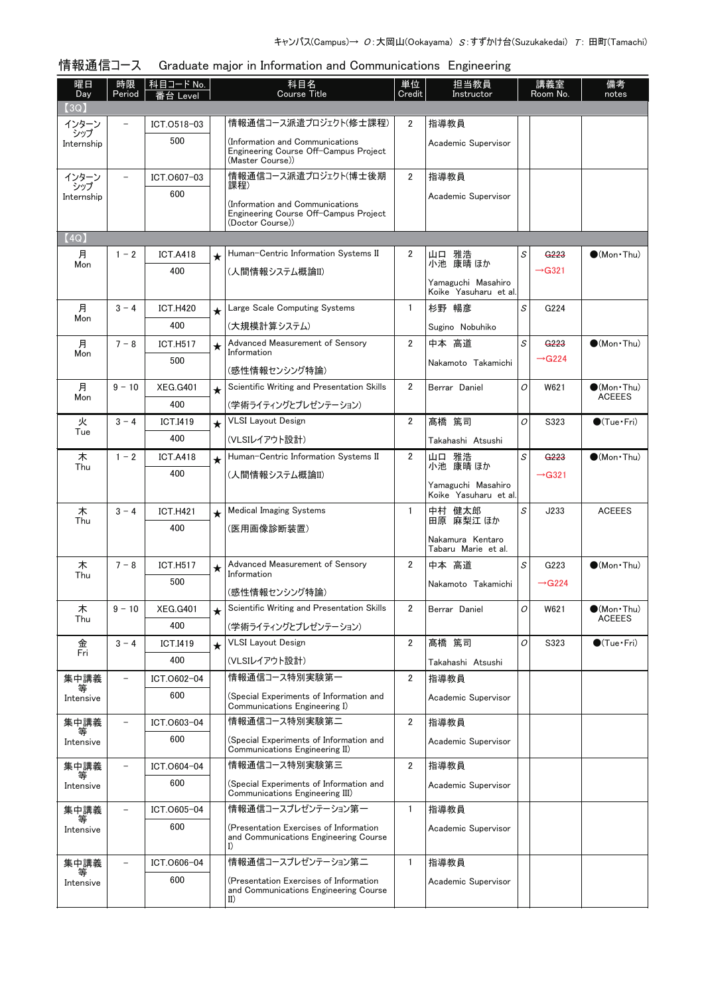#### 情報通信コース Graduate major in Information and Communications Engineering

| 曜日<br>Day<br>(3Q) | 時限<br>Period             | │科目コードNo.<br>番台 Level  |         | 科目名<br>Course Title                                                                                 | 単位<br>Credit   | 担当教員<br>Instructor                                               |   | 講義室<br>Room No.                        | 備考<br>notes                          |
|-------------------|--------------------------|------------------------|---------|-----------------------------------------------------------------------------------------------------|----------------|------------------------------------------------------------------|---|----------------------------------------|--------------------------------------|
| インターン             |                          | ICT.0518-03            |         | 情報通信コース派遣プロジェクト(修士課程)                                                                               | 2              | 指導教員                                                             |   |                                        |                                      |
| シップ<br>Internship |                          | 500                    |         | (Information and Communications<br>Engineering Course Off-Campus Project<br>(Master Course))        |                | Academic Supervisor                                              |   |                                        |                                      |
| インターン             |                          | ICT.0607-03            |         | 情報通信コース派遣プロジェクト(博士後期                                                                                | $\overline{2}$ | 指導教員                                                             |   |                                        |                                      |
| シップ<br>Internship |                          | 600                    |         | 課程)<br>(Information and Communications<br>Engineering Course Off-Campus Project<br>(Doctor Course)) |                | Academic Supervisor                                              |   |                                        |                                      |
| (4Q)              |                          |                        |         |                                                                                                     |                |                                                                  |   |                                        |                                      |
| 月<br>Mon          | $1 - 2$                  | <b>ICT.A418</b><br>400 | $\star$ | Human-Centric Information Systems II<br>(人間情報システム概論II)                                              | 2              | 山口 雅浩<br>小池 康晴 ほか<br>Yamaguchi Masahiro<br>Koike Yasuharu et al. | S | G <sub>223</sub><br>$\rightarrow$ G321 | $\bigcirc$ (Mon Thu)                 |
| 月                 | $3 - 4$                  | <b>ICT.H420</b>        | $\star$ | Large Scale Computing Systems                                                                       | 1              | 杉野 暢彦                                                            | S | G224                                   |                                      |
| Mon               |                          | 400                    |         | (大規模計算システム)                                                                                         |                | Sugino Nobuhiko                                                  |   |                                        |                                      |
| 月                 | $7 - 8$                  | <b>ICT.H517</b>        | $\star$ | Advanced Measurement of Sensory                                                                     | 2              | 中本 高道                                                            | S | G <sub>223</sub>                       | $\bigcirc$ (Mon · Thu)               |
| Mon               |                          | 500                    |         | Information                                                                                         |                | Nakamoto Takamichi                                               |   | $\rightarrow$ G224                     |                                      |
|                   |                          |                        |         | (感性情報センシング特論)                                                                                       |                |                                                                  |   |                                        |                                      |
| 月<br>Mon          | $9 - 10$                 | <b>XEG.G401</b>        | $\star$ | Scientific Writing and Presentation Skills                                                          | 2              | Berrar Daniel                                                    | 0 | W621                                   | $(Mon\cdot Thu)$<br><b>ACEEES</b>    |
|                   | $3 - 4$                  | 400                    |         | (学術ライティングとプレゼンテーション)<br><b>VLSI Layout Design</b>                                                   | 2              | 髙橋 篤司                                                            | O |                                        |                                      |
| 火<br>Tue          |                          | <b>ICT.I419</b><br>400 | $\star$ | (VLSIレイアウト設計)                                                                                       |                |                                                                  |   | S323                                   | $\bigcirc$ (Tue · Fri)               |
| 木                 | $1 - 2$                  | <b>ICT.A418</b>        | $\star$ | Human-Centric Information Systems II                                                                | 2              | Takahashi Atsushi<br>山口 雅浩                                       | S | G <sub>223</sub>                       | $\bullet$ (Mon $\cdot$ Thu)          |
| Thu               |                          | 400                    |         | (人間情報システム概論II)                                                                                      |                | 小池 康晴 ほか                                                         |   | $\rightarrow$ G321                     |                                      |
|                   |                          |                        |         |                                                                                                     |                | Yamaguchi Masahiro<br>Koike Yasuharu et al.                      |   |                                        |                                      |
| 木                 | $3 - 4$                  | <b>ICT.H421</b>        | $\star$ | <b>Medical Imaging Systems</b>                                                                      | 1              | 中村 健太郎                                                           | S | J233                                   | <b>ACEEES</b>                        |
| Thu               |                          | 400                    |         | (医用画像診断装置)                                                                                          |                | 田原 麻梨江 ほか                                                        |   |                                        |                                      |
|                   |                          |                        |         |                                                                                                     |                | Nakamura Kentaro<br>Tabaru Marie et al.                          |   |                                        |                                      |
| 木                 | $7 - 8$                  | <b>ICT.H517</b>        | $\star$ | Advanced Measurement of Sensory                                                                     | 2              | 中本 高道                                                            | S | G223                                   | $\bullet$ (Mon $\cdot$ Thu)          |
| Thu               |                          | 500                    |         | Information                                                                                         |                | Nakamoto Takamichi                                               |   | $\rightarrow$ G224                     |                                      |
|                   |                          |                        |         | (感性情報センシング特論)                                                                                       |                |                                                                  |   |                                        |                                      |
| 木<br>Thu          | $9 - 10$                 | <b>XEG.G401</b><br>400 |         | Scientific Writing and Presentation Skills                                                          | 2              | Berrar Daniel                                                    | 0 | W621                                   | $\bullet$ (Mon•Thu)<br><b>ACEEES</b> |
| 金                 | $3 - 4$                  | <b>ICT.I419</b>        | $\star$ | (学術ライティングとプレゼンテーション)<br><b>VLSI</b> Layout Design                                                   | 2              | 髙橋 篤司                                                            | 0 | S323                                   | $\bigcirc$ (Tue · Fri)               |
| Fri               |                          | 400                    |         | (VLSIレイアウト設計)                                                                                       |                | Takahashi Atsushi                                                |   |                                        |                                      |
| 集中講義              | $\qquad \qquad -$        | ICT.0602-04            |         | 情報通信コース特別実験第一                                                                                       | $\overline{2}$ | 指導教員                                                             |   |                                        |                                      |
| 等<br>Intensive    |                          | 600                    |         | (Special Experiments of Information and<br>Communications Engineering I)                            |                | Academic Supervisor                                              |   |                                        |                                      |
| 集中講義              | $\overline{\phantom{0}}$ | ICT.0603-04            |         | 情報通信コース特別実験第二                                                                                       | 2              | 指導教員                                                             |   |                                        |                                      |
| 等<br>Intensive    |                          | 600                    |         | (Special Experiments of Information and<br>Communications Engineering II)                           |                | Academic Supervisor                                              |   |                                        |                                      |
| 集中講義              |                          | ICT.0604-04            |         | 情報通信コース特別実験第三                                                                                       | 2              | 指導教員                                                             |   |                                        |                                      |
| Intensive         |                          | 600                    |         | (Special Experiments of Information and<br>Communications Engineering III)                          |                | Academic Supervisor                                              |   |                                        |                                      |
| 集中講義<br>等         |                          | ICT.0605-04            |         | 情報通信コースプレゼンテーション第一                                                                                  | 1              | 指導教員                                                             |   |                                        |                                      |
| Intensive         |                          | 600                    |         | (Presentation Exercises of Information<br>and Communications Engineering Course<br>I)               |                | Academic Supervisor                                              |   |                                        |                                      |
| 集中講義              | $\qquad \qquad -$        | ICT.0606-04            |         | 情報通信コースプレゼンテーション第二                                                                                  | 1              | 指導教員                                                             |   |                                        |                                      |
| 等<br>Intensive    |                          | 600                    |         | (Presentation Exercises of Information<br>and Communications Engineering Course<br>$_{II}$          |                | Academic Supervisor                                              |   |                                        |                                      |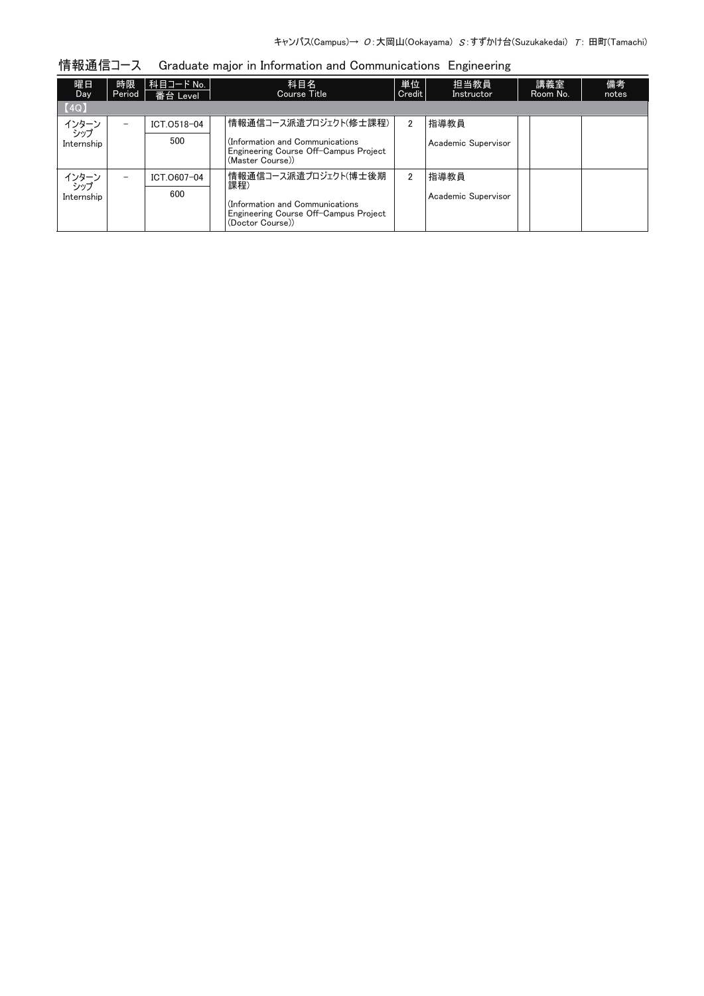| 情報通信コース |  |  | Graduate major in Information and Communications Engineering |  |
|---------|--|--|--------------------------------------------------------------|--|
|         |  |  |                                                              |  |

| 曜日<br><b>Day</b>  | 時限<br>Period | │科目コード No. │<br>番台 Level | 科目名<br>Course Title                                                                          | 単位<br>Credit | 担当教員<br>Instructor  | 講義室<br>Room No. | 備考<br>notes |
|-------------------|--------------|--------------------------|----------------------------------------------------------------------------------------------|--------------|---------------------|-----------------|-------------|
| [4Q]              |              |                          |                                                                                              |              |                     |                 |             |
| インターン<br>シップ      |              | ICT.0518-04              | 情報通信コース派遣プロジェクト(修士課程)                                                                        | 2            | 指導教員                |                 |             |
| Internship        |              | 500                      | (Information and Communications<br>Engineering Course Off-Campus Project<br>(Master Course)) |              | Academic Supervisor |                 |             |
| インターン             | -            | ICT.0607-04              | 情報通信コース派遣プロジェクト(博士後期<br>課程)                                                                  | 2            | 指導教員                |                 |             |
| シップ<br>Internship |              | 600                      | (Information and Communications<br>Engineering Course Off-Campus Project<br>(Doctor Course)) |              | Academic Supervisor |                 |             |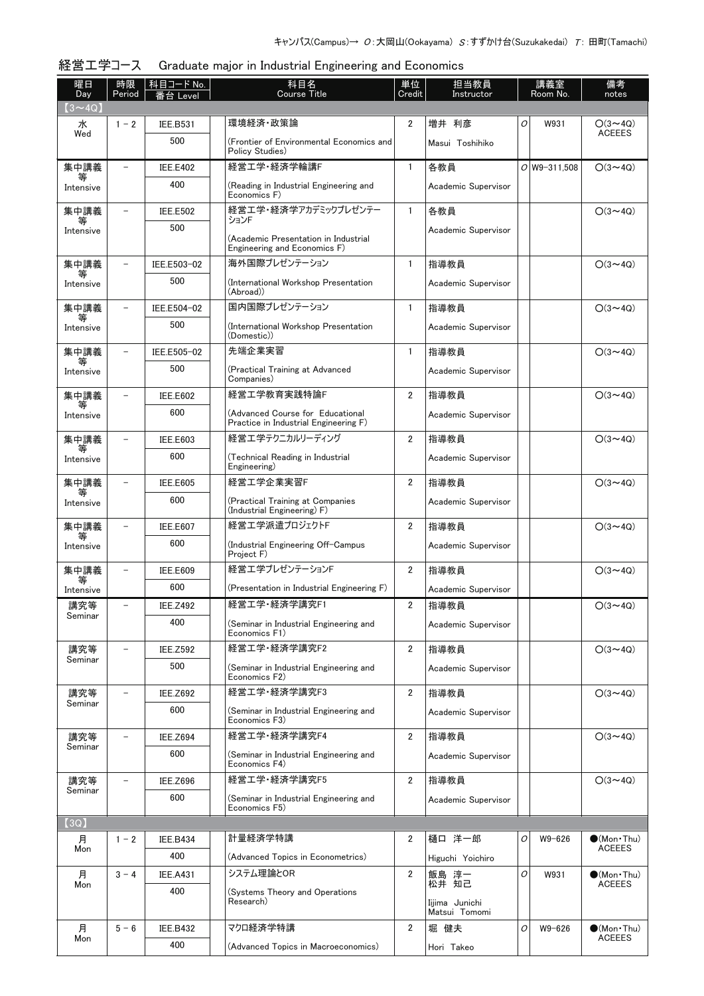#### 経営工学コース Graduate major in Industrial Engineering and Economics

| 曜日<br>Day      | 時限<br>Period             | 科目コード No.<br>番台 Level | 科目名<br><b>Course Title</b>                                                | 単位<br>Credit   | 担当教員<br>Instructor  |   | 講義室<br>Room No. | 備考<br>notes                          |
|----------------|--------------------------|-----------------------|---------------------------------------------------------------------------|----------------|---------------------|---|-----------------|--------------------------------------|
| $(3 \sim 40)$  |                          |                       |                                                                           |                |                     |   |                 |                                      |
| 水              | $1 - 2$                  | <b>IEE.B531</b>       | 環境経済・政策論                                                                  | $\overline{2}$ | 増井 利彦               | 0 | W931            | $O(3 \sim 4Q)$<br><b>ACEEES</b>      |
| Wed            |                          | 500                   | (Frontier of Environmental Economics and<br>Policy Studies)               |                | Masui Toshihiko     |   |                 |                                      |
| 集中講義<br>等      | $\overline{\phantom{0}}$ | <b>IEE.E402</b>       | 経営工学·経済学輪講F                                                               | $\mathbf{1}$   | 各教員                 |   | $O$ W9-311.508  | $O(3 \sim 4Q)$                       |
| Intensive      |                          | 400                   | (Reading in Industrial Engineering and<br>Economics F)                    |                | Academic Supervisor |   |                 |                                      |
| 集中講義<br>等      |                          | <b>IEE.E502</b>       | 経営工学・経済学アカデミックプレゼンテー<br>ションF                                              | 1              | 各教員                 |   |                 | $O(3 \sim 4Q)$                       |
| Intensive      |                          | 500                   | (Academic Presentation in Industrial<br>Engineering and Economics F)      |                | Academic Supervisor |   |                 |                                      |
| 集中講義           |                          | IEE.E503-02           | 海外国際プレゼンテーション                                                             | 1              | 指導教員                |   |                 | $O(3 \sim 4Q)$                       |
| Intensive      |                          | 500                   | (International Workshop Presentation<br>(Abroad))                         |                | Academic Supervisor |   |                 |                                      |
| 集中講義           |                          | IEE.E504-02           | 国内国際プレゼンテーション                                                             | $\mathbf{1}$   | 指導教員                |   |                 | $O(3 \sim 4Q)$                       |
| 等<br>Intensive |                          | 500                   | (International Workshop Presentation<br>(Domestic))                       |                | Academic Supervisor |   |                 |                                      |
| 集中講義           | $\equiv$                 | IEE.E505-02           | 先端企業実習                                                                    | $\mathbf{1}$   | 指導教員                |   |                 | $O(3 \sim 4Q)$                       |
| 等<br>Intensive |                          | 500                   | (Practical Training at Advanced<br>Companies)                             |                | Academic Supervisor |   |                 |                                      |
| 集中講義           |                          | <b>IEE.E602</b>       | 経営工学教育実践特論F                                                               | $\overline{2}$ | 指導教員                |   |                 | $O(3 \sim 4Q)$                       |
| 等<br>Intensive |                          | 600                   | (Advanced Course for Educational<br>Practice in Industrial Engineering F) |                | Academic Supervisor |   |                 |                                      |
| 集中講義           |                          | <b>IEE.E603</b>       | 経営工学テクニカルリーディング                                                           | $\overline{2}$ | 指導教員                |   |                 | $O(3 \sim 4Q)$                       |
| Intensive      |                          | 600                   | (Technical Reading in Industrial<br>Engineering)                          |                | Academic Supervisor |   |                 |                                      |
| 集中講義           |                          | <b>IEE.E605</b>       | 経営工学企業実習F                                                                 | $\overline{2}$ | 指導教員                |   |                 | $O(3 \sim 4Q)$                       |
| Intensive      |                          | 600                   | (Practical Training at Companies<br>(Industrial Engineering) F)           |                | Academic Supervisor |   |                 |                                      |
| 集中講義           |                          | <b>IEE.E607</b>       | 経営エ学派遣プロジェクトF                                                             | $\overline{2}$ | 指導教員                |   |                 | $O(3 \sim 4Q)$                       |
| 等<br>Intensive |                          | 600                   | (Industrial Engineering Off-Campus<br>Project F)                          |                | Academic Supervisor |   |                 |                                      |
| 集中講義           |                          | <b>IEE.E609</b>       | 経営工学プレゼンテーションF                                                            | $\overline{2}$ | 指導教員                |   |                 | $O(3 \sim 4Q)$                       |
| Intensive      |                          | 600                   | (Presentation in Industrial Engineering F)                                |                | Academic Supervisor |   |                 |                                      |
| 講究等            |                          | <b>IEE.Z492</b>       | 経営工学・経済学講究F1                                                              | $\overline{2}$ | 指導教員                |   |                 | $O(3 \sim 4Q)$                       |
| Seminar        |                          | 400                   | (Seminar in Industrial Engineering and<br>Economics F1)                   |                | Academic Supervisor |   |                 |                                      |
| 講究等            |                          | <b>IEE.Z592</b>       | 経営工学·経済学講究F2                                                              | 2              | 指導教員                |   |                 | $O(3 \sim 4Q)$                       |
| Seminar        |                          | 500                   | (Seminar in Industrial Engineering and<br>Economics F2)                   |                | Academic Supervisor |   |                 |                                      |
| 講究等<br>Seminar | $\qquad \qquad -$        | <b>IEE.Z692</b>       | 経営工学·経済学講究F3                                                              | $\overline{2}$ | 指導教員                |   |                 | $O(3 \sim 4Q)$                       |
|                |                          | 600                   | (Seminar in Industrial Engineering and<br>Economics F3)                   |                | Academic Supervisor |   |                 |                                      |
| 講究等<br>Seminar |                          | <b>IEE.Z694</b>       | 経営工学·経済学講究F4                                                              | $\overline{2}$ | 指導教員                |   |                 | $O(3 \sim 4Q)$                       |
|                |                          | 600                   | (Seminar in Industrial Engineering and<br>Economics F4)                   |                | Academic Supervisor |   |                 |                                      |
| 講究等<br>Seminar |                          | <b>IEE.Z696</b>       | 経営工学·経済学講究F5                                                              | $\overline{2}$ | 指導教員                |   |                 | $O(3 \sim 4Q)$                       |
|                |                          | 600                   | (Seminar in Industrial Engineering and<br>Economics F5)                   |                | Academic Supervisor |   |                 |                                      |
| (3Q)           |                          |                       |                                                                           |                |                     |   |                 |                                      |
| 月              | $1 - 2$                  | <b>IEE.B434</b>       | 計量経済学特講                                                                   | 2              | 樋口 洋一郎              | 0 | $W9 - 626$      | $\bullet$ (Mon $\cdot$ Thu)          |
| Mon            |                          | 400                   | (Advanced Topics in Econometrics)                                         |                | Higuchi Yoichiro    |   |                 | <b>ACEEES</b>                        |
| 月              | $3 - 4$                  | <b>IEE.A431</b>       | システム理論とOR                                                                 | $\overline{2}$ | 飯島 淳一<br>松井 知己      | 0 | W931            | $(Mon\cdot Thu)$                     |
| Mon            |                          | 400                   | (Systems Theory and Operations<br>Research)                               |                | Iijima Junichi      |   |                 | <b>ACEEES</b>                        |
|                |                          |                       |                                                                           |                | Matsui Tomomi       |   |                 |                                      |
| 月<br>Mon       | $5 - 6$                  | <b>IEE.B432</b>       | マクロ経済学特講                                                                  | $\overline{2}$ | 堀 健夫                | 0 | W9-626          | $\bullet$ (Mon Thu)<br><b>ACEEES</b> |
|                |                          | 400                   | (Advanced Topics in Macroeconomics)                                       |                | Hori Takeo          |   |                 |                                      |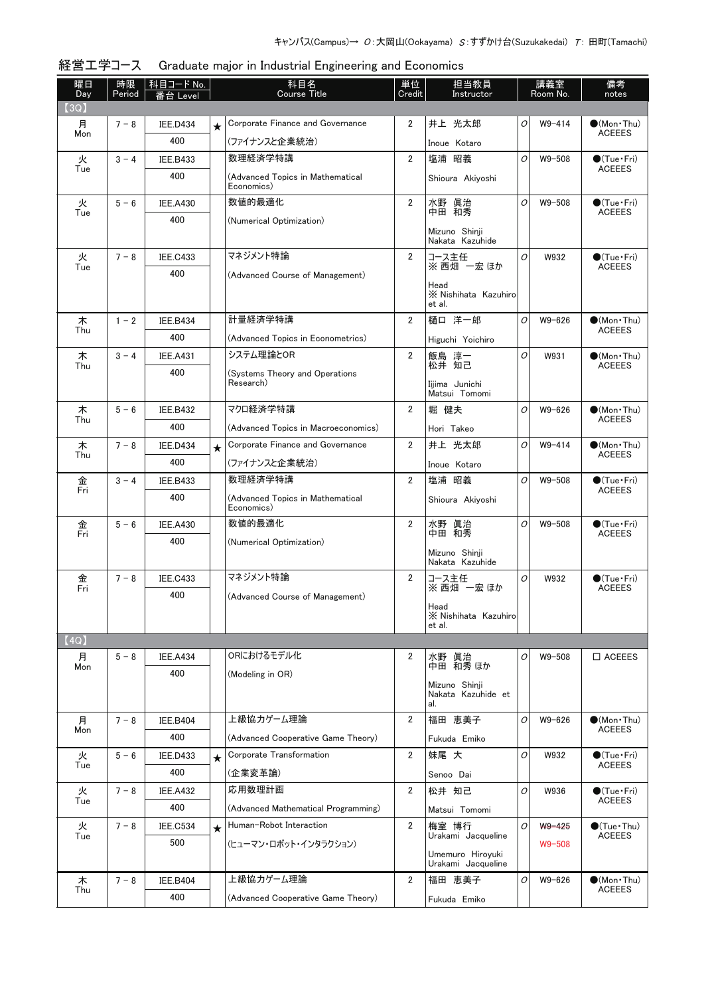| 曜日<br>Day | 時限<br>Period | │科目コード No.<br>番台 Level |         | 科目名<br><b>Course Title</b>                     | 単位<br>Credit   | 担当教員<br>Instructor                     |   | 講義室<br>Room No. | 備考<br>notes                             |
|-----------|--------------|------------------------|---------|------------------------------------------------|----------------|----------------------------------------|---|-----------------|-----------------------------------------|
| (3Q)      |              |                        |         |                                                |                |                                        |   |                 |                                         |
| 月<br>Mon  | $7 - 8$      | <b>IEE.D434</b>        | $\star$ | Corporate Finance and Governance               | $\overline{2}$ | 井上 光太郎                                 | 0 | $W9 - 414$      | $\bullet$ (Mon•Thu)<br><b>ACEEES</b>    |
|           |              | 400                    |         | (ファイナンスと企業統治)                                  |                | Inoue Kotaro                           |   |                 |                                         |
| 火<br>Tue  | $3 - 4$      | IEE.B433               |         | 数理経済学特講                                        | $\overline{2}$ | 塩浦 昭義                                  | 0 | $W9 - 508$      | $\bullet$ (Tue · Fri)<br><b>ACEEES</b>  |
|           |              | 400                    |         | (Advanced Topics in Mathematical<br>Economics) |                | Shioura Akiyoshi                       |   |                 |                                         |
| 火<br>Tue  | $5 - 6$      | <b>IEE.A430</b>        |         | 数値的最適化                                         | $\overline{2}$ | 水野 眞治<br>中田 和秀                         | O | $W9 - 508$      | $\bullet$ (Tue · Fri)<br><b>ACEEES</b>  |
|           |              | 400                    |         | (Numerical Optimization)                       |                |                                        |   |                 |                                         |
|           |              |                        |         |                                                |                | Mizuno Shinji<br>Nakata Kazuhide       |   |                 |                                         |
| 火         | $7 - 8$      | <b>IEE.C433</b>        |         | マネジメント特論                                       | $\overline{2}$ | コース主任                                  | O | W932            | $\bigcirc$ (Tue · Fri)                  |
| Tue       |              | 400                    |         | (Advanced Course of Management)                |                | ※西畑 一宏 ほか                              |   |                 | <b>ACEEES</b>                           |
|           |              |                        |         |                                                |                | Head<br>X Nishihata Kazuhiro<br>et al. |   |                 |                                         |
| 木         | $1 - 2$      | <b>IEE.B434</b>        |         | 計量経済学特講                                        | $\overline{2}$ | 樋口 洋一郎                                 | 0 | $W9 - 626$      | $\bullet$ (Mon Thu)                     |
| Thu       |              | 400                    |         | (Advanced Topics in Econometrics)              |                | Higuchi Yoichiro                       |   |                 | <b>ACEEES</b>                           |
| 木         | $3 - 4$      | <b>IEE.A431</b>        |         | システム理論とOR                                      | 2              | 飯島 淳一                                  | O | W931            | $\bullet$ (Mon $\cdot$ Thu)             |
| Thu       |              | 400                    |         | (Systems Theory and Operations                 |                | 松井 知己                                  |   |                 | <b>ACEEES</b>                           |
|           |              |                        |         | Research)                                      |                | Iiiima Junichi<br>Matsui Tomomi        |   |                 |                                         |
| 木         | $5 - 6$      | <b>IEE.B432</b>        |         | マクロ経済学特講                                       | $\overline{2}$ | 堀 健夫                                   | O | W9-626          | $\bullet$ (Mon $\cdot$ Thu)             |
| Thu       |              | 400                    |         | (Advanced Topics in Macroeconomics)            |                | Hori Takeo                             |   |                 | <b>ACEEES</b>                           |
| 木         | $7 - 8$      | <b>IEE.D434</b>        | $\star$ | Corporate Finance and Governance               | $\overline{2}$ | 井上 光太郎                                 | O | $W9 - 414$      | $\bullet$ (Mon•Thu)                     |
| Thu       |              | 400                    |         | (ファイナンスと企業統治)                                  |                | Inoue Kotaro                           |   |                 | <b>ACEEES</b>                           |
| 金         | $3 - 4$      | <b>IEE.B433</b>        |         | 数理経済学特講                                        | $\overline{2}$ | 塩浦 昭義                                  | 0 | $W9 - 508$      | $\bigcirc$ (Tue · Fri)                  |
| Fri       |              | 400                    |         | (Advanced Topics in Mathematical               |                | Shioura Akiyoshi                       |   |                 | <b>ACEEES</b>                           |
|           |              |                        |         | Economics)                                     |                |                                        |   |                 |                                         |
| 金<br>Fri  | $5 - 6$      | <b>IEE.A430</b>        |         | 数値的最適化                                         | $\overline{2}$ | 水野 眞治<br>中田 和秀                         | O | $W9 - 508$      | $\bigcirc$ (Tue · Fri)<br><b>ACEEES</b> |
|           |              | 400                    |         | (Numerical Optimization)                       |                | Mizuno Shinji                          |   |                 |                                         |
|           |              |                        |         |                                                |                | Nakata Kazuhide                        |   |                 |                                         |
| 金<br>Fri  | $7 - 8$      | <b>IEE.C433</b>        |         | マネジメント特論                                       | $\overline{2}$ | コース主任<br>※西畑 一宏ほか                      | O | W932            | $\bullet$ (Tue · Fri)<br><b>ACEEES</b>  |
|           |              | 400                    |         | (Advanced Course of Management)                |                |                                        |   |                 |                                         |
|           |              |                        |         |                                                |                | Head<br>X Nishihata Kazuhiro           |   |                 |                                         |
|           |              |                        |         |                                                |                | et al.                                 |   |                 |                                         |
| (4Q)<br>月 | $5 - 8$      |                        |         | ORにおけるモデル化                                     | 2              | 水野 眞治                                  | 0 | W9-508          | $\Box$ ACEEES                           |
| Mon       |              | IEE.A434<br>400        |         |                                                |                | 中田 和秀 ほか                               |   |                 |                                         |
|           |              |                        |         | (Modeling in OR)                               |                | Mizuno Shinii                          |   |                 |                                         |
|           |              |                        |         |                                                |                | Nakata Kazuhide et<br>al.              |   |                 |                                         |
| 月         | $7 - 8$      | <b>IEE.B404</b>        |         | 上級協力ゲーム理論                                      | $\overline{2}$ | 福田 恵美子                                 | 0 | W9-626          | $\bullet$ (Mon $\cdot$ Thu)             |
| Mon       |              | 400                    |         | (Advanced Cooperative Game Theory)             |                | Fukuda Emiko                           |   |                 | <b>ACEEES</b>                           |
| 火         | $5 - 6$      | <b>IEE.D433</b>        | $\star$ | Corporate Transformation                       | $\overline{2}$ | 妹尾 大                                   | 0 | W932            | $\bullet$ (Tue · Fri)                   |
| Tue       |              | 400                    |         | (企業変革論)                                        |                | Senoo Dai                              |   |                 | <b>ACEEES</b>                           |
| 火         | $7 - 8$      | <b>IEE.A432</b>        |         | 応用数理計画                                         | $\overline{2}$ | 松井 知己                                  | 0 | W936            | $\bullet$ (Tue · Fri)                   |
| Tue       |              | 400                    |         | (Advanced Mathematical Programming)            |                | Matsui Tomomi                          |   |                 | <b>ACEEES</b>                           |
| 火         | $7 - 8$      | IEE.C534               | $\star$ | Human-Robot Interaction                        | $\overline{2}$ | 梅室 博行                                  | O | W9-425          | $\bigcirc$ (Tue·Thu)                    |
| Tue       |              | 500                    |         | (ヒューマン・ロボット・インタラクション)                          |                | Urakami Jacqueline                     |   | $W9 - 508$      | <b>ACEEES</b>                           |
|           |              |                        |         |                                                |                | Umemuro Hiroyuki<br>Urakami Jacqueline |   |                 |                                         |
| 木         | $7 - 8$      | <b>IEE.B404</b>        |         | 上級協力ゲーム理論                                      | 2              | 福田 恵美子                                 | О | W9-626          | $\bullet$ (Mon Thu)                     |
| Thu       |              | 400                    |         | (Advanced Cooperative Game Theory)             |                | Fukuda Emiko                           |   |                 | <b>ACEEES</b>                           |
|           |              |                        |         |                                                |                |                                        |   |                 |                                         |

## 経営工学コース Graduate major in Industrial Engineering and Economics